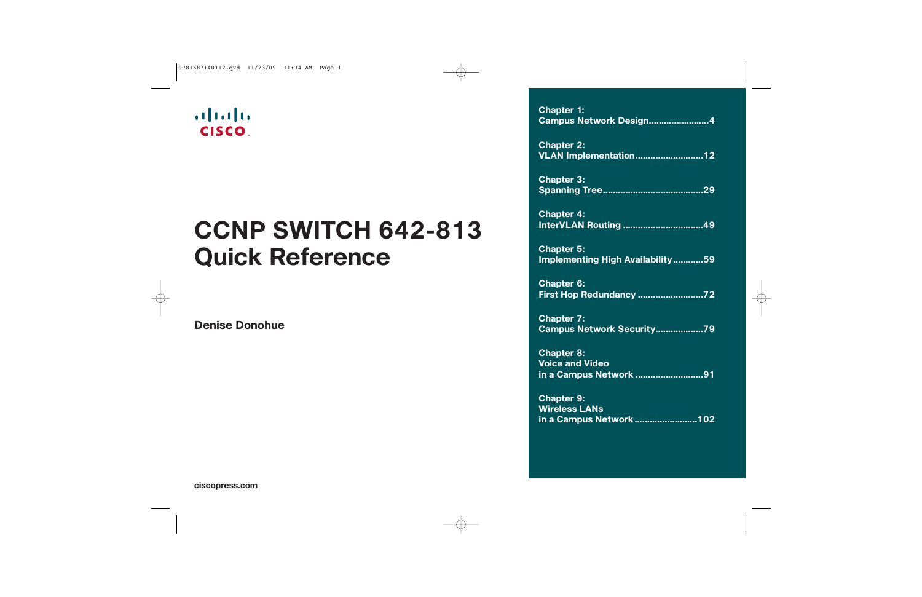

# **CCNP SWITCH 642-813 Quick Reference**

**Denise Donohue**

**Chapter 1: Campus Network Design........................4**

**Chapter 2: VLAN Implementation...........................12**

**Chapter 3: Spanning Tree........................................29**

**Chapter 4: InterVLAN Routing ................................49**

**Chapter 5: Implementing High Availability............59**

**Chapter 6: First Hop Redundancy ..........................72**

**Chapter 7: Campus Network Security...................79**

**Chapter 8: Voice and Video in a Campus Network ...........................91**

**Chapter 9: Wireless LANs in a Campus Network.........................102**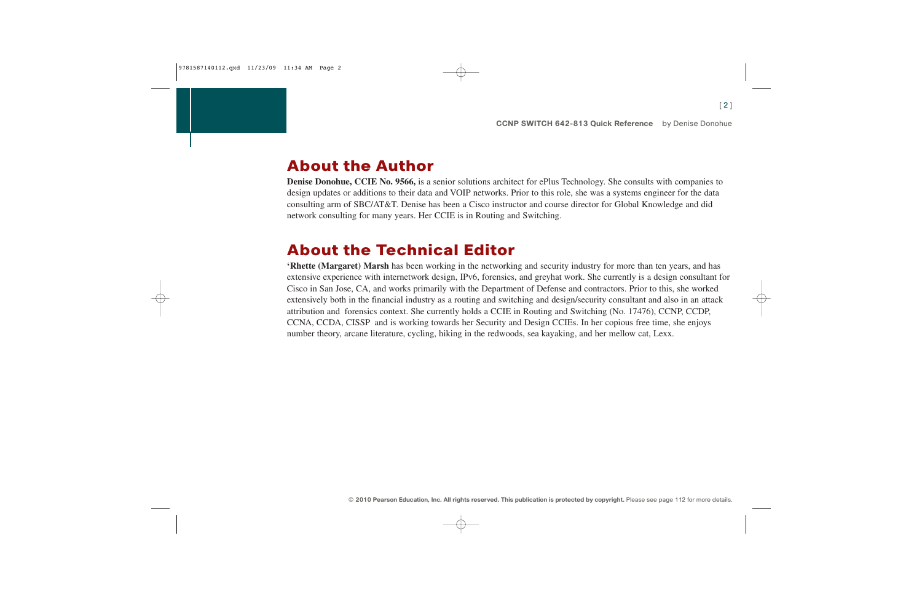[ 2 ]

# About the Author

**Denise Donohue, CCIE No. 9566,** is a senior solutions architect for ePlus Technology. She consults with companies to design updates or additions to their data and VOIP networks. Prior to this role, she was a systems engineer for the data consulting arm of SBC/AT&T. Denise has been a Cisco instructor and course director for Global Knowledge and did network consulting for many years. Her CCIE is in Routing and Switching.

# About the Technical Editor

**'Rhette (Margaret) Marsh** has been working in the networking and security industry for more than ten years, and has extensive experience with internetwork design, IPv6, forensics, and greyhat work. She currently is a design consultant for Cisco in San Jose, CA, and works primarily with the Department of Defense and contractors. Prior to this, she worked extensively both in the financial industry as a routing and switching and design/security consultant and also in an attack attribution and forensics context. She currently holds a CCIE in Routing and Switching (No. 17476), CCNP, CCDP, CCNA, CCDA, CISSP and is working towards her Security and Design CCIEs. In her copious free time, she enjoys number theory, arcane literature, cycling, hiking in the redwoods, sea kayaking, and her mellow cat, Lexx.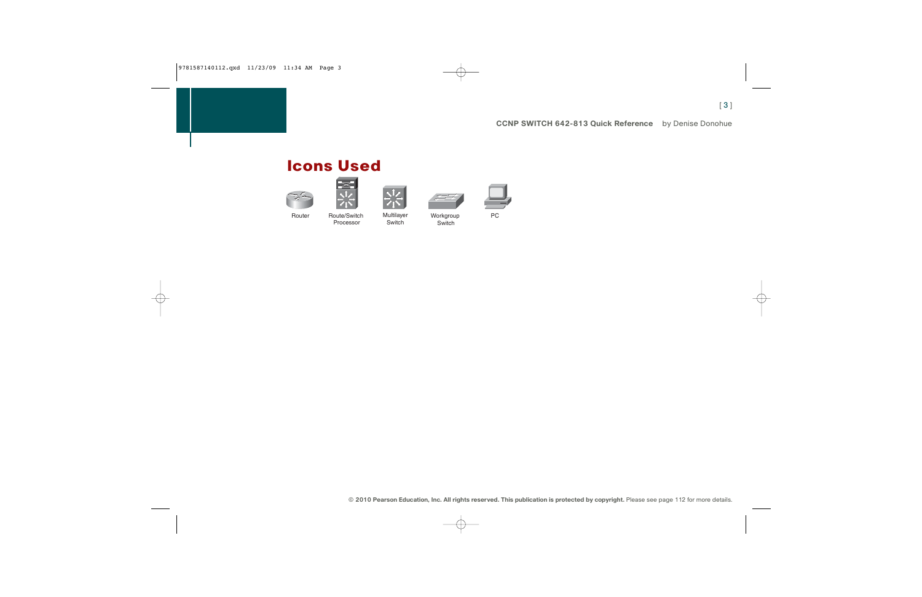# Icons Used **Icons Used**<br>
Say 11:34 AM Paulter Router Router Switch Multigreen Switch Switch Switch Switch Switch Switch Switch Switch Switch Switch Switch Switch Switch Switch Switch Switch Switch Switch Switch Switch Switch Switch











Processor

**Switch** 

Workgroup<br>Switch

Router Route/Switch Multilayer Workgroup PC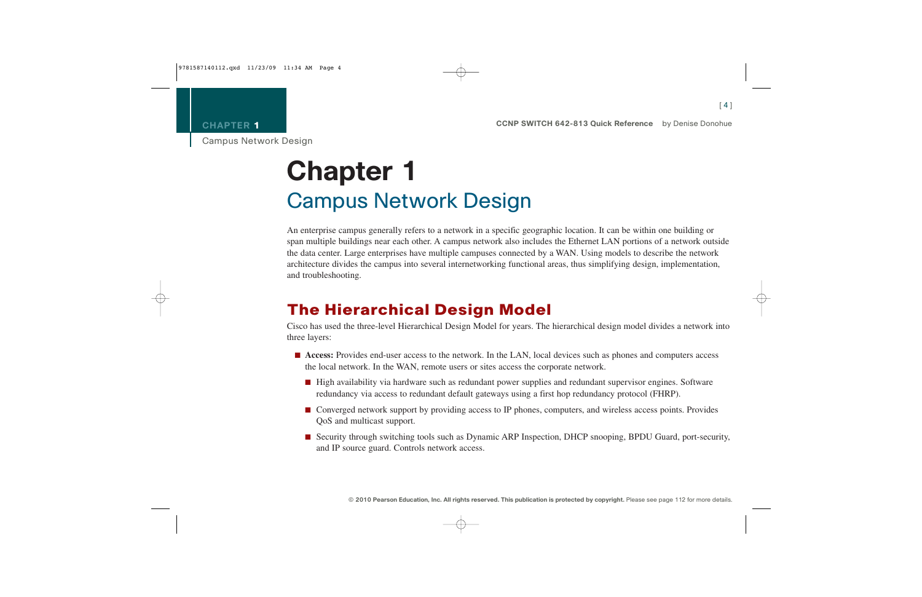Campus Network Design

# **Chapter 1** Campus Network Design

An enterprise campus generally refers to a network in a specific geographic location. It can be within one building or span multiple buildings near each other. A campus network also includes the Ethernet LAN portions of a network outside the data center. Large enterprises have multiple campuses connected by a WAN. Using models to describe the network architecture divides the campus into several internetworking functional areas, thus simplifying design, implementation, and troubleshooting.

# The Hierarchical Design Model

Cisco has used the three-level Hierarchical Design Model for years. The hierarchical design model divides a network into three layers:

- Access: Provides end-user access to the network. In the LAN, local devices such as phones and computers access the local network. In the WAN, remote users or sites access the corporate network.
	- <sup>n</sup> High availability via hardware such as redundant power supplies and redundant supervisor engines. Software redundancy via access to redundant default gateways using a first hop redundancy protocol (FHRP).
	- Converged network support by providing access to IP phones, computers, and wireless access points. Provides QoS and multicast support.
	- Security through switching tools such as Dynamic ARP Inspection, DHCP snooping, BPDU Guard, port-security, and IP source guard. Controls network access.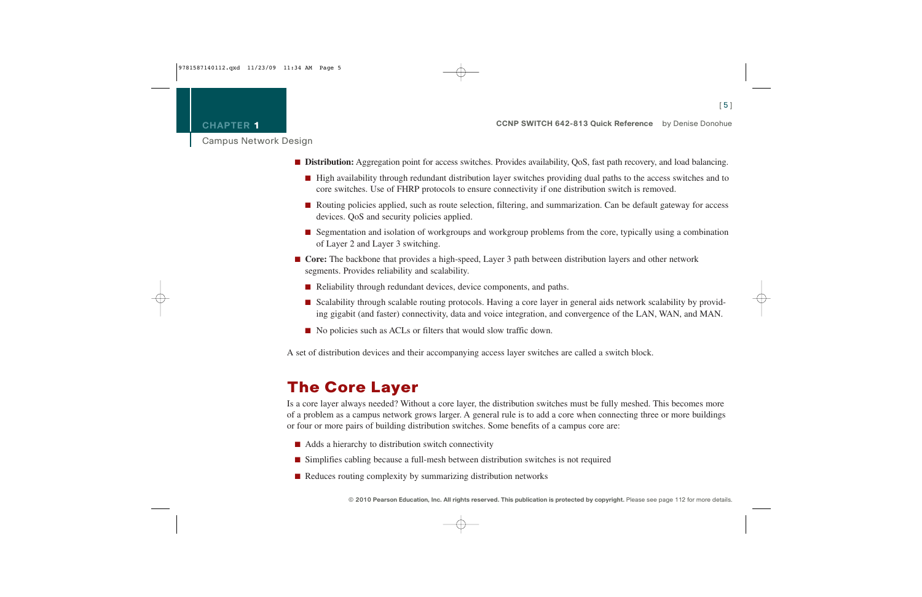#### **CCNP SWITCH 642-813 Quick Reference** by Denise Donohue

#### **CHAPTER**  1

Campus Network Design

- **Distribution:** Aggregation point for access switches. Provides availability, QoS, fast path recovery, and load balancing.
	- <sup>n</sup> High availability through redundant distribution layer switches providing dual paths to the access switches and to core switches. Use of FHRP protocols to ensure connectivity if one distribution switch is removed.
	- <sup>n</sup> Routing policies applied, such as route selection, filtering, and summarization. Can be default gateway for access devices. QoS and security policies applied.
	- Segmentation and isolation of workgroups and workgroup problems from the core, typically using a combination of Layer 2 and Layer 3 switching.
- **Core:** The backbone that provides a high-speed, Layer 3 path between distribution layers and other network segments. Provides reliability and scalability.
	- Reliability through redundant devices, device components, and paths.
	- Scalability through scalable routing protocols. Having a core layer in general aids network scalability by providing gigabit (and faster) connectivity, data and voice integration, and convergence of the LAN, WAN, and MAN.
	- $\blacksquare$  No policies such as ACLs or filters that would slow traffic down.

A set of distribution devices and their accompanying access layer switches are called a switch block.

# The Core Layer

Is a core layer always needed? Without a core layer, the distribution switches must be fully meshed. This becomes more of a problem as a campus network grows larger. A general rule is to add a core when connecting three or more buildings or four or more pairs of building distribution switches. Some benefits of a campus core are:

- $\blacksquare$  Adds a hierarchy to distribution switch connectivity
- <sup>n</sup> Simplifies cabling because a full-mesh between distribution switches is not required
- $\blacksquare$  Reduces routing complexity by summarizing distribution networks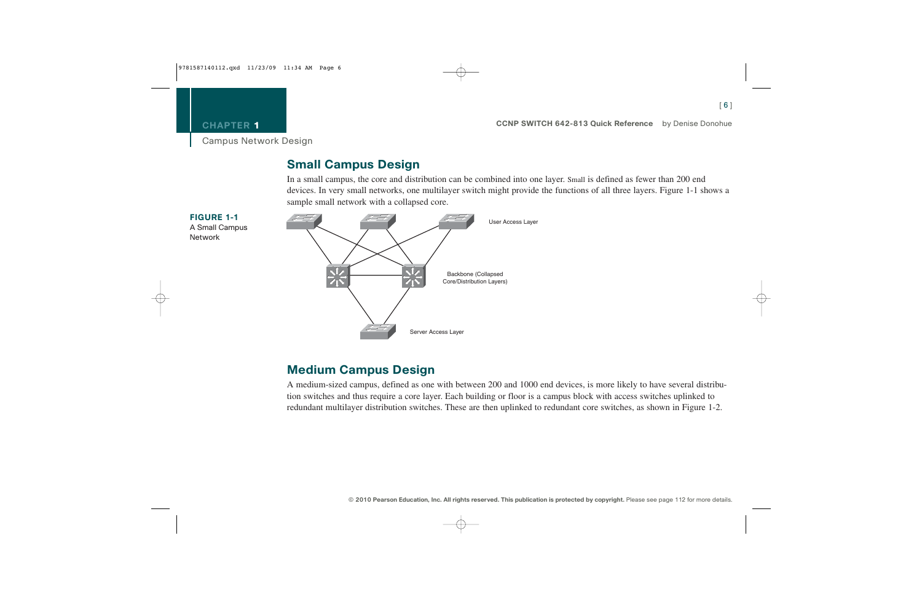Campus Network Design

# **Small Campus Design**

In a small campus, the core and distribution can be combined into one layer. Small is defined as fewer than 200 end devices. In very small networks, one multilayer switch might provide the functions of all three layers. Figure 1-1 shows a sample small network with a collapsed core.

**FIGURE 1-1** A Small Campus Network



## **Medium Campus Design**

A medium-sized campus, defined as one with between 200 and 1000 end devices, is more likely to have several distribution switches and thus require a core layer. Each building or floor is a campus block with access switches uplinked to redundant multilayer distribution switches. These are then uplinked to redundant core switches, as shown in Figure 1-2.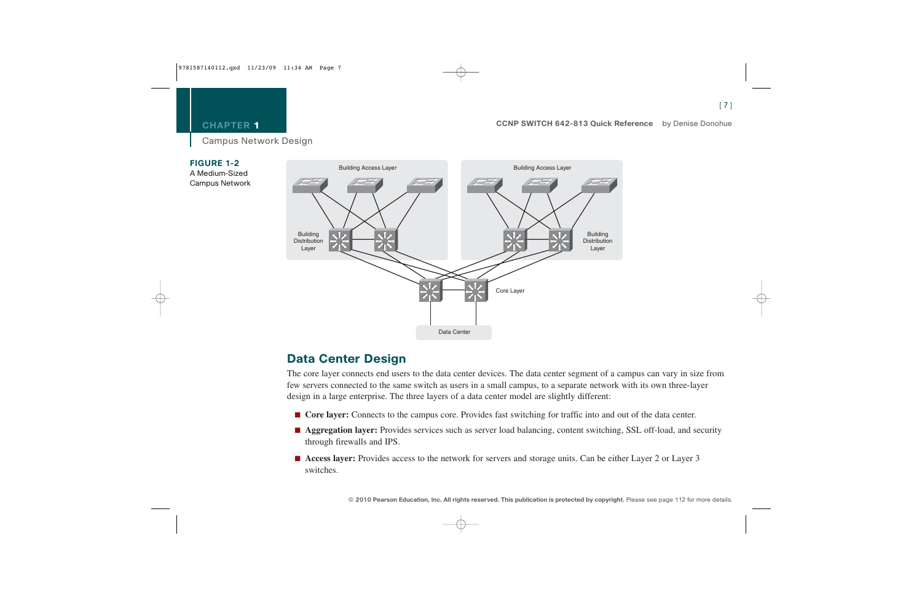**FIGURE 1-2** A Medium-Sized

#### **CCNP SWITCH 642-813 Quick Reference** by Denise Donohue

Campus Network Design



### **Data Center Design**

The core layer connects end users to the data center devices. The data center segment of a campus can vary in size from few servers connected to the same switch as users in a small campus, to a separate network with its own three-layer design in a large enterprise. The three layers of a data center model are slightly different:

- **Core layer:** Connects to the campus core. Provides fast switching for traffic into and out of the data center.
- **Aggregation layer:** Provides services such as server load balancing, content switching, SSL off-load, and security through firewalls and IPS.
- **Access layer:** Provides access to the network for servers and storage units. Can be either Layer 2 or Layer 3 switches.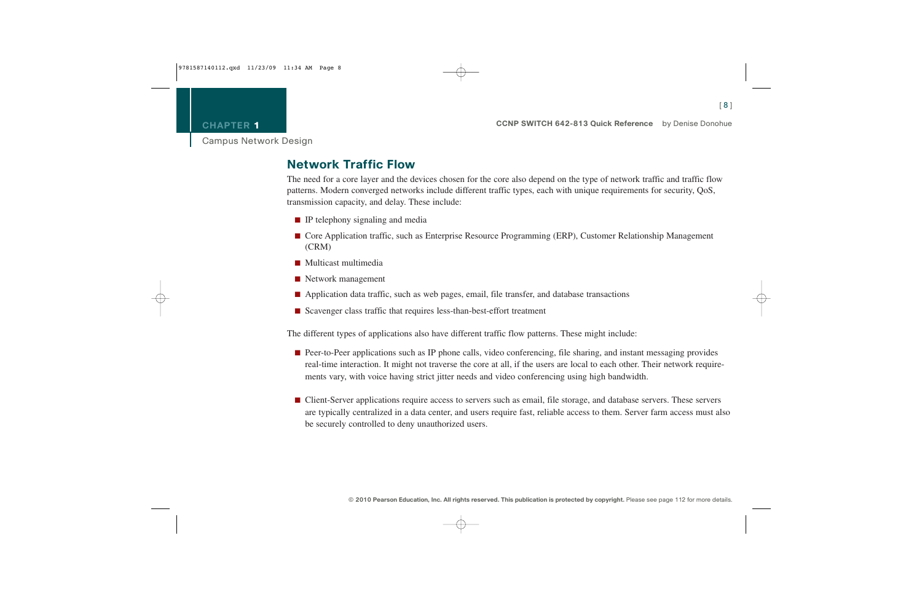Campus Network Design

# **Network Traffic Flow**

The need for a core layer and the devices chosen for the core also depend on the type of network traffic and traffic flow patterns. Modern converged networks include different traffic types, each with unique requirements for security, QoS, transmission capacity, and delay. These include:

- $\blacksquare$  IP telephony signaling and media
- <sup>n</sup> Core Application traffic, such as Enterprise Resource Programming (ERP), Customer Relationship Management (CRM)
- $\blacksquare$  Multicast multimedia
- **Network management**
- Application data traffic, such as web pages, email, file transfer, and database transactions
- Scavenger class traffic that requires less-than-best-effort treatment

The different types of applications also have different traffic flow patterns. These might include:

- Peer-to-Peer applications such as IP phone calls, video conferencing, file sharing, and instant messaging provides real-time interaction. It might not traverse the core at all, if the users are local to each other. Their network requirements vary, with voice having strict jitter needs and video conferencing using high bandwidth.
- <sup>n</sup> Client-Server applications require access to servers such as email, file storage, and database servers. These servers are typically centralized in a data center, and users require fast, reliable access to them. Server farm access must also be securely controlled to deny unauthorized users.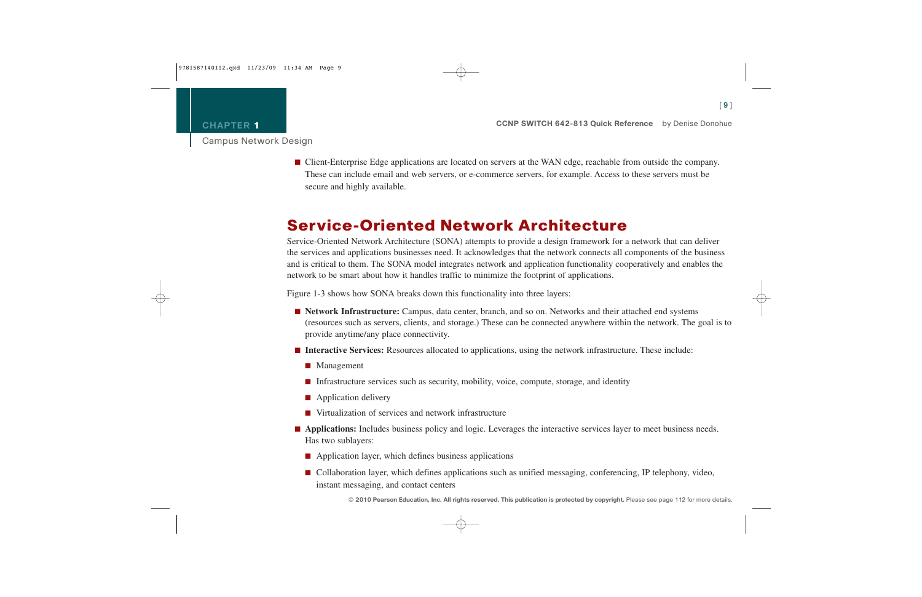Campus Network Design

<sup>n</sup> Client-Enterprise Edge applications are located on servers at the WAN edge, reachable from outside the company. These can include email and web servers, or e-commerce servers, for example. Access to these servers must be secure and highly available.

# Service-Oriented Network Architecture

Service-Oriented Network Architecture (SONA) attempts to provide a design framework for a network that can deliver the services and applications businesses need. It acknowledges that the network connects all components of the business and is critical to them. The SONA model integrates network and application functionality cooperatively and enables the network to be smart about how it handles traffic to minimize the footprint of applications.

Figure 1-3 shows how SONA breaks down this functionality into three layers:

- **n Network Infrastructure:** Campus, data center, branch, and so on. Networks and their attached end systems (resources such as servers, clients, and storage.) These can be connected anywhere within the network. The goal is to provide anytime/any place connectivity.
- Interactive Services: Resources allocated to applications, using the network infrastructure. These include:
	- $\blacksquare$  Management
	- **n** Infrastructure services such as security, mobility, voice, compute, storage, and identity
	- $\blacksquare$  Application delivery
	- $\blacksquare$  Virtualization of services and network infrastructure
- **n Applications:** Includes business policy and logic. Leverages the interactive services layer to meet business needs. Has two sublayers:
	- $\blacksquare$  Application layer, which defines business applications
	- Collaboration layer, which defines applications such as unified messaging, conferencing, IP telephony, video, instant messaging, and contact centers

[ 9 ]

**© 2010 Pearson Education, Inc. All rights reserved. This publication is protected by copyright.** Please see page 112 for more details.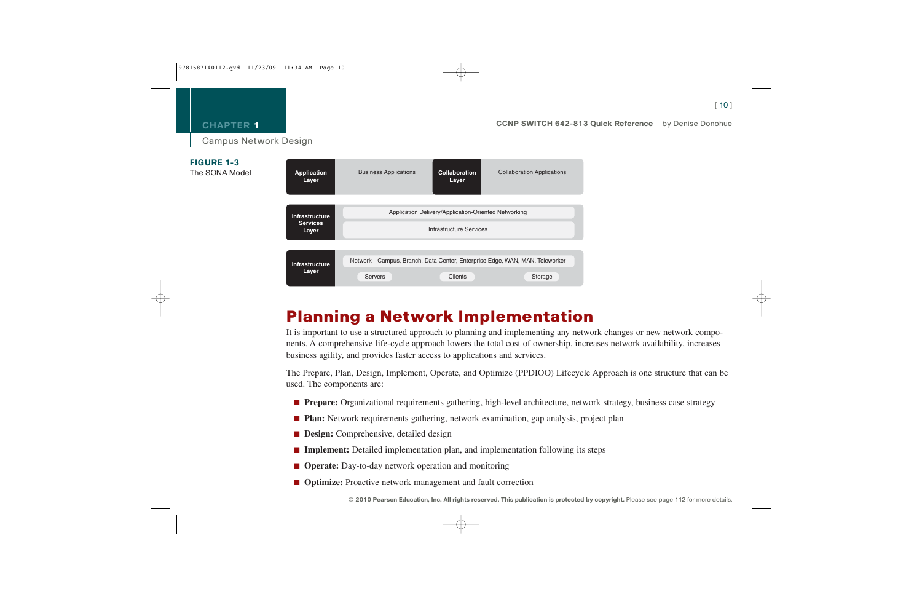#### **CCNP SWITCH 642-813 Quick Reference** by Denise Donohue

Campus Network Design



# Planning a Network Implementation

It is important to use a structured approach to planning and implementing any network changes or new network components. A comprehensive life-cycle approach lowers the total cost of ownership, increases network availability, increases business agility, and provides faster access to applications and services.

The Prepare, Plan, Design, Implement, Operate, and Optimize (PPDIOO) Lifecycle Approach is one structure that can be used. The components are:

- **n Prepare:** Organizational requirements gathering, high-level architecture, network strategy, business case strategy
- **n Plan:** Network requirements gathering, network examination, gap analysis, project plan
- **n Design:** Comprehensive, detailed design
- **n Implement:** Detailed implementation plan, and implementation following its steps
- **Operate:** Day-to-day network operation and monitoring
- **n Optimize:** Proactive network management and fault correction

**© 2010 Pearson Education, Inc. All rights reserved. This publication is protected by copyright.** Please see page 112 for more details.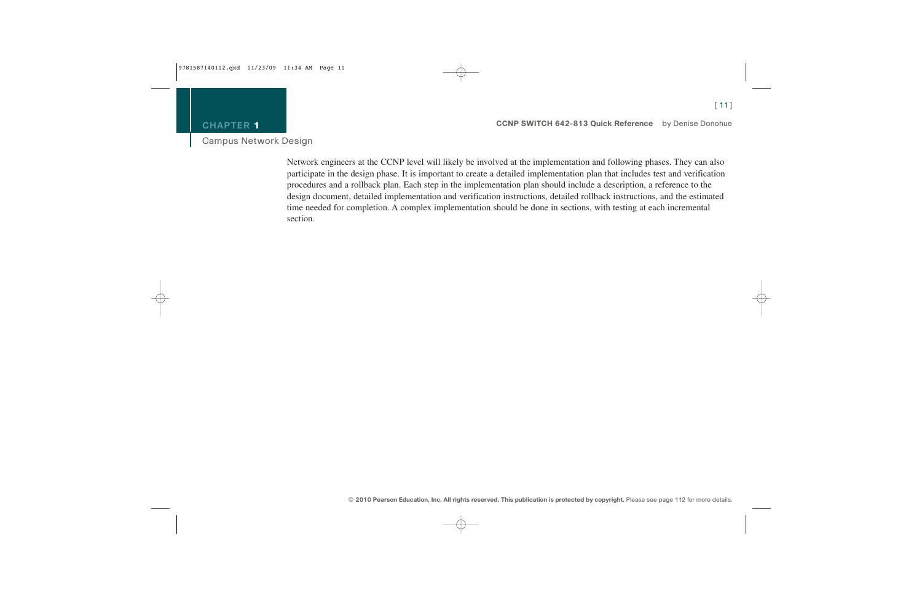$[11]$ 

Campus Network Design

Network engineers at the CCNP level will likely be involved at the implementation and following phases. They can also participate in the design phase. It is important to create a detailed implementation plan that includes test and verification procedures and a rollback plan. Each step in the implementation plan should include a description, a reference to the design document, detailed implementation and verification instructions, detailed rollback instructions, and the estimated time needed for completion. A complex implementation should be done in sections, with testing at each incremental section.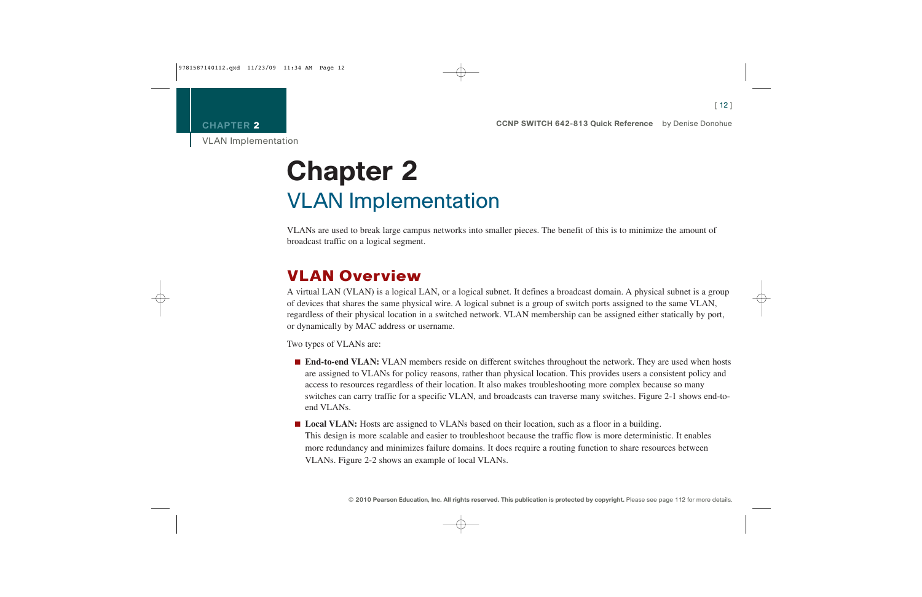[ 12 ]

VLAN Implementation

# **Chapter 2** VLAN Implementation

VLANs are used to break large campus networks into smaller pieces. The benefit of this is to minimize the amount of broadcast traffic on a logical segment.

# VLAN Overview

A virtual LAN (VLAN) is a logical LAN, or a logical subnet. It defines a broadcast domain. A physical subnet is a group of devices that shares the same physical wire. A logical subnet is a group of switch ports assigned to the same VLAN, regardless of their physical location in a switched network. VLAN membership can be assigned either statically by port, or dynamically by MAC address or username.

Two types of VLANs are:

- **n End-to-end VLAN:** VLAN members reside on different switches throughout the network. They are used when hosts are assigned to VLANs for policy reasons, rather than physical location. This provides users a consistent policy and access to resources regardless of their location. It also makes troubleshooting more complex because so many switches can carry traffic for a specific VLAN, and broadcasts can traverse many switches. Figure 2-1 shows end-toend VLANs.
- **n Local VLAN:** Hosts are assigned to VLANs based on their location, such as a floor in a building. This design is more scalable and easier to troubleshoot because the traffic flow is more deterministic. It enables more redundancy and minimizes failure domains. It does require a routing function to share resources between VLANs. Figure 2-2 shows an example of local VLANs.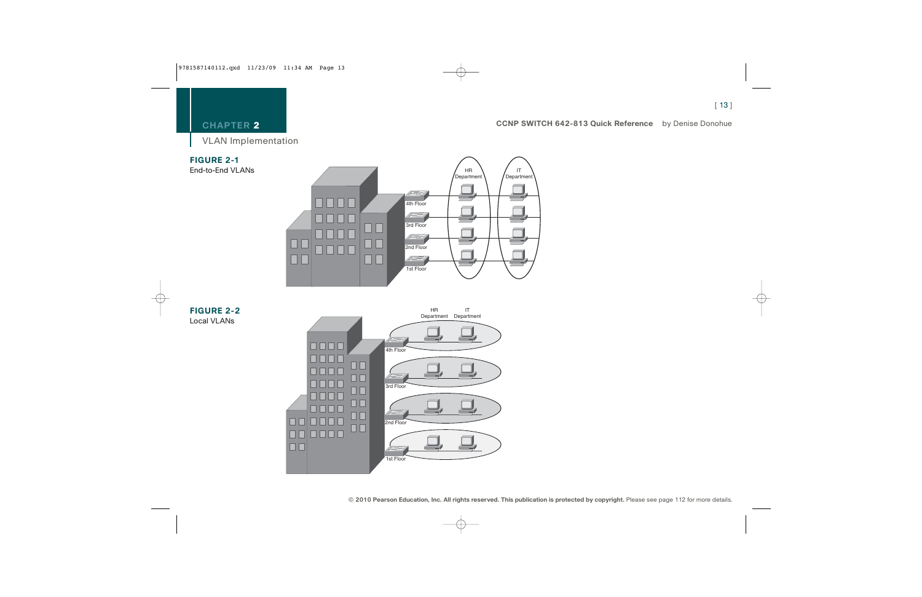VLAN Implementation

# **FIGURE 2-1**

End-to-End VLANs



**FIGURE 2-2** Local VLANs



#### **CCNP SWITCH 642-813 Quick Reference** by Denise Donohue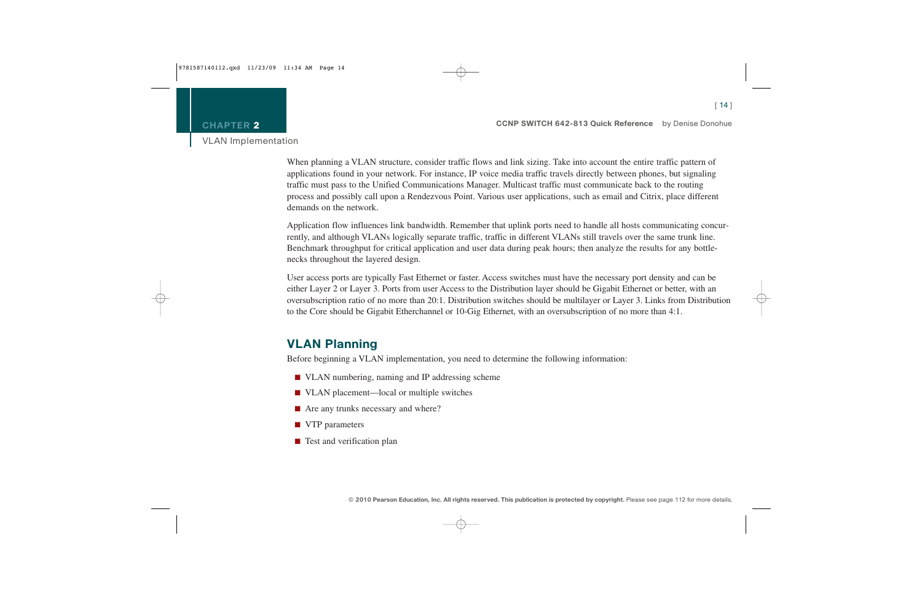VLAN Implementation

When planning a VLAN structure, consider traffic flows and link sizing. Take into account the entire traffic pattern of applications found in your network. For instance, IP voice media traffic travels directly between phones, but signaling traffic must pass to the Unified Communications Manager. Multicast traffic must communicate back to the routing process and possibly call upon a Rendezvous Point. Various user applications, such as email and Citrix, place different demands on the network.

Application flow influences link bandwidth. Remember that uplink ports need to handle all hosts communicating concurrently, and although VLANs logically separate traffic, traffic in different VLANs still travels over the same trunk line. Benchmark throughput for critical application and user data during peak hours; then analyze the results for any bottlenecks throughout the layered design.

User access ports are typically Fast Ethernet or faster. Access switches must have the necessary port density and can be either Layer 2 or Layer 3. Ports from user Access to the Distribution layer should be Gigabit Ethernet or better, with an oversubscription ratio of no more than 20:1. Distribution switches should be multilayer or Layer 3. Links from Distribution to the Core should be Gigabit Etherchannel or 10-Gig Ethernet, with an oversubscription of no more than 4:1.

# **VLAN Planning**

Before beginning a VLAN implementation, you need to determine the following information:

- VLAN numbering, naming and IP addressing scheme
- VLAN placement—local or multiple switches
- $\blacksquare$  Are any trunks necessary and where?
- $\blacksquare$  VTP parameters
- $\blacksquare$  Test and verification plan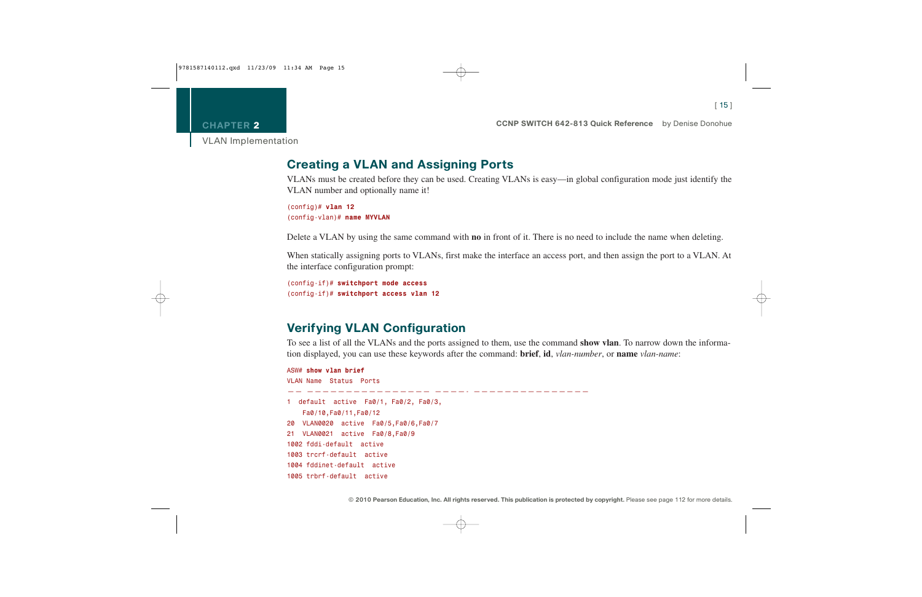VLAN Implementation

# **Creating a VLAN and Assigning Ports**

VLANs must be created before they can be used. Creating VLANs is easy—in global configuration mode just identify the VLAN number and optionally name it!

(config)# **vlan 12** (config-vlan)# **name MYVLAN**

Delete a VLAN by using the same command with **no** in front of it. There is no need to include the name when deleting.

When statically assigning ports to VLANs, first make the interface an access port, and then assign the port to a VLAN. At the interface configuration prompt:

```
(config-if)# switchport mode access
(config-if)# switchport access vlan 12
```
# **Verifying VLAN Configuration**

To see a list of all the VLANs and the ports assigned to them, use the command **show vlan**. To narrow down the information displayed, you can use these keywords after the command: **brief**, **id**, *vlan-number*, or **name** *vlan-name*:

```
ASW# show vlan brief
VLAN Name Status Ports
    —— ———————————————— ————- ———————————————
1 default active Fa0/1, Fa0/2, Fa0/3,
   Fa0/10,Fa0/11,Fa0/12
20 VLAN0020 active Fa0/5,Fa0/6,Fa0/7
21 VLAN0021 active Fa0/8,Fa0/9
1002 fddi-default active
1003 trcrf-default active
1004 fddinet-default active
1005 trbrf-default active
```
 $[15]$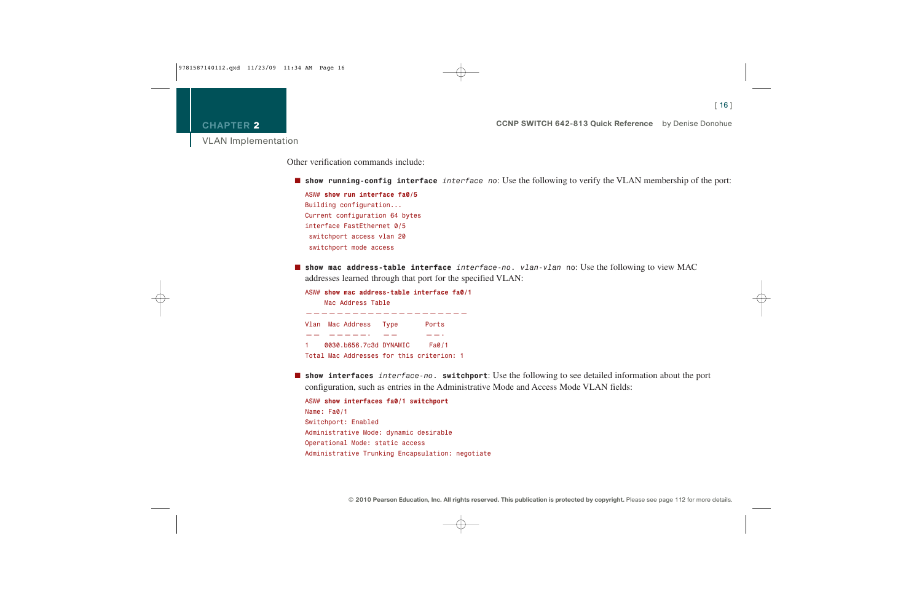$[16]$ 

VLAN Implementation

Other verification commands include:

- <sup>n</sup> **show running-config interface** *interface no*: Use the following to verify the VLAN membership of the port: ASW# **show run interface fa0/5** Building configuration... Current configuration 64 bytes interface FastEthernet 0/5 switchport access vlan 20 switchport mode access
- show mac address-table interface *interface-no. vlan-vlan* no: Use the following to view MAC addresses learned through that port for the specified VLAN:

```
ASW# show mac address-table interface fa0/1
   Mac Address Table
—————————————————————Vlan Mac Address Type Ports
—— —————- —— ——-
1 0030.b656.7c3d DYNAMIC Fa0/1
Total Mac Addresses for this criterion: 1
```
<sup>n</sup> **show interfaces** *interface-no*. **switchport**: Use the following to see detailed information about the port configuration, such as entries in the Administrative Mode and Access Mode VLAN fields:

```
ASW# show interfaces fa0/1 switchport
Name: Fa0/1
Switchport: Enabled
Administrative Mode: dynamic desirable
Operational Mode: static access
Administrative Trunking Encapsulation: negotiate
```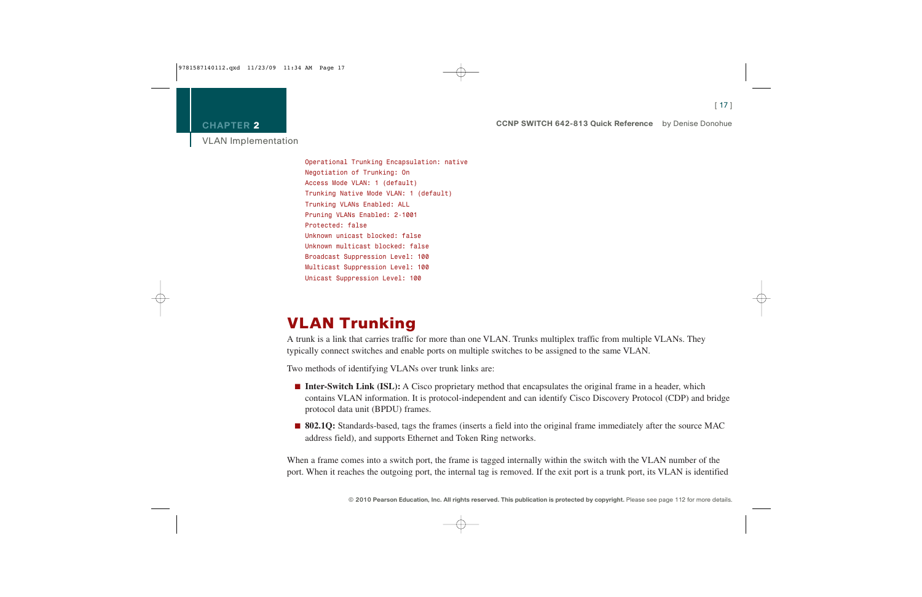**CCNP SWITCH 642-813 Quick Reference** by Denise Donohue

#### **CHAPTER**  2

VLAN Implementation

Operational Trunking Encapsulation: native Negotiation of Trunking: On Access Mode VLAN: 1 (default) Trunking Native Mode VLAN: 1 (default) Trunking VLANs Enabled: ALL Pruning VLANs Enabled: 2-1001 Protected: false Unknown unicast blocked: false Unknown multicast blocked: false Broadcast Suppression Level: 100 Multicast Suppression Level: 100 Unicast Suppression Level: 100

# VLAN Trunking

A trunk is a link that carries traffic for more than one VLAN. Trunks multiplex traffic from multiple VLANs. They typically connect switches and enable ports on multiple switches to be assigned to the same VLAN.

Two methods of identifying VLANs over trunk links are:

- **Inter-Switch Link (ISL):** A Cisco proprietary method that encapsulates the original frame in a header, which contains VLAN information. It is protocol-independent and can identify Cisco Discovery Protocol (CDP) and bridge protocol data unit (BPDU) frames.
- **802.1Q:** Standards-based, tags the frames (inserts a field into the original frame immediately after the source MAC address field), and supports Ethernet and Token Ring networks.

When a frame comes into a switch port, the frame is tagged internally within the switch with the VLAN number of the port. When it reaches the outgoing port, the internal tag is removed. If the exit port is a trunk port, its VLAN is identified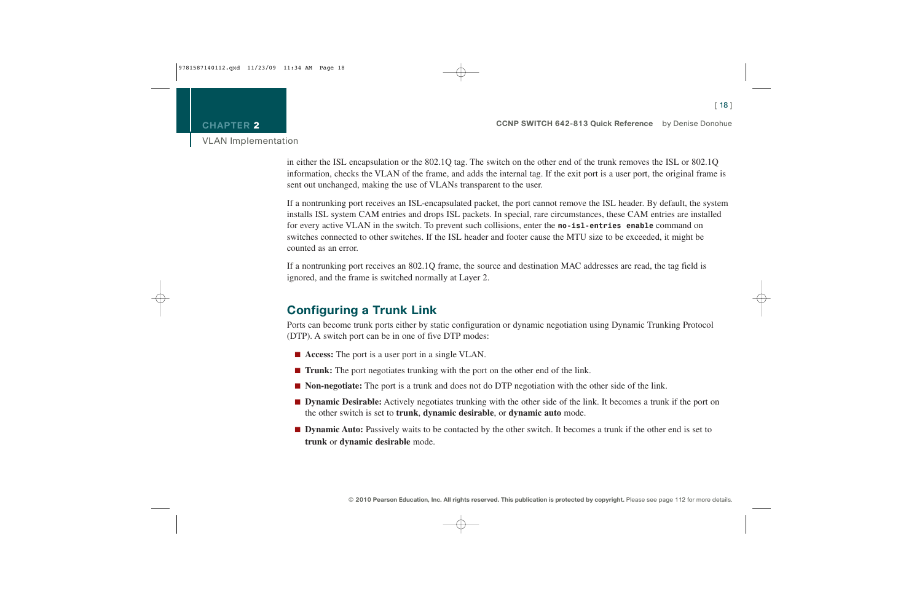[ 18 ]

#### **CHAPTER**  2

in either the ISL encapsulation or the 802.1Q tag. The switch on the other end of the trunk removes the ISL or 802.1Q information, checks the VLAN of the frame, and adds the internal tag. If the exit port is a user port, the original frame is sent out unchanged, making the use of VLANs transparent to the user.

If a nontrunking port receives an ISL-encapsulated packet, the port cannot remove the ISL header. By default, the system installs ISL system CAM entries and drops ISL packets. In special, rare circumstances, these CAM entries are installed for every active VLAN in the switch. To prevent such collisions, enter the **no-isl-entries enable** command on switches connected to other switches. If the ISL header and footer cause the MTU size to be exceeded, it might be counted as an error.

If a nontrunking port receives an 802.1Q frame, the source and destination MAC addresses are read, the tag field is ignored, and the frame is switched normally at Layer 2.

# **Configuring a Trunk Link**

Ports can become trunk ports either by static configuration or dynamic negotiation using Dynamic Trunking Protocol (DTP). A switch port can be in one of five DTP modes:

- **Access:** The port is a user port in a single VLAN.
- **n Trunk:** The port negotiates trunking with the port on the other end of the link.
- **n Non-negotiate:** The port is a trunk and does not do DTP negotiation with the other side of the link.
- **n Dynamic Desirable:** Actively negotiates trunking with the other side of the link. It becomes a trunk if the port on the other switch is set to **trunk**, **dynamic desirable**, or **dynamic auto** mode.
- **n Dynamic Auto:** Passively waits to be contacted by the other switch. It becomes a trunk if the other end is set to **trunk** or **dynamic desirable** mode.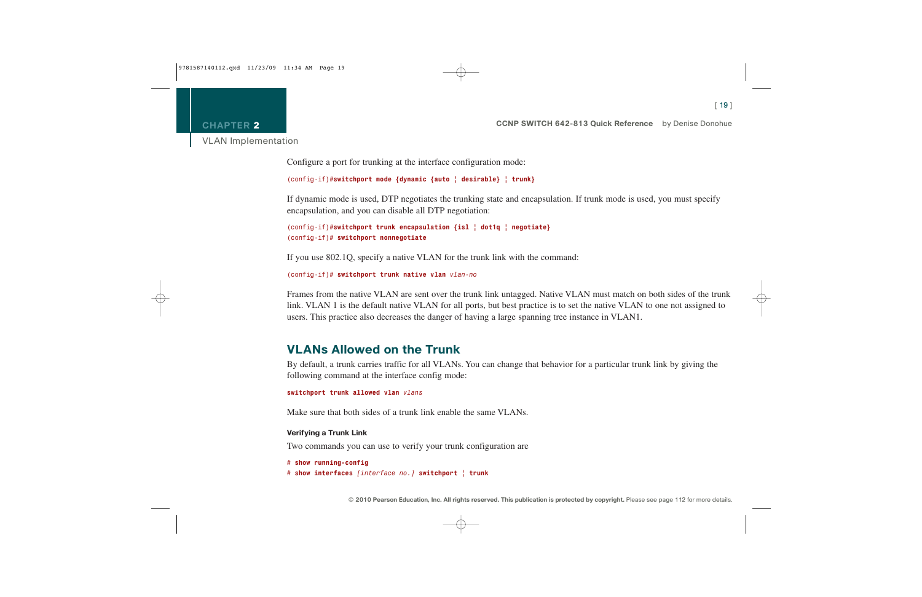Configure a port for trunking at the interface configuration mode:

```
(config-if)#switchport mode {dynamic {auto | desirable} | trunk}
```
If dynamic mode is used, DTP negotiates the trunking state and encapsulation. If trunk mode is used, you must specify encapsulation, and you can disable all DTP negotiation:

```
(config-if)#switchport trunk encapsulation {isl | dot1q | negotiate}
(config-if)# switchport nonnegotiate
```
If you use 802.1Q, specify a native VLAN for the trunk link with the command:

```
(config-if)# switchport trunk native vlan vlan-no
```
Frames from the native VLAN are sent over the trunk link untagged. Native VLAN must match on both sides of the trunk link. VLAN 1 is the default native VLAN for all ports, but best practice is to set the native VLAN to one not assigned to users. This practice also decreases the danger of having a large spanning tree instance in VLAN1.

# **VLANs Allowed on the Trunk**

By default, a trunk carries traffic for all VLANs. You can change that behavior for a particular trunk link by giving the following command at the interface config mode:

#### **switchport trunk allowed vlan** *vlans*

Make sure that both sides of a trunk link enable the same VLANs.

#### **Verifying a Trunk Link**

Two commands you can use to verify your trunk configuration are

```
# show running-config
# show interfaces [interface no.] switchport | trunk
```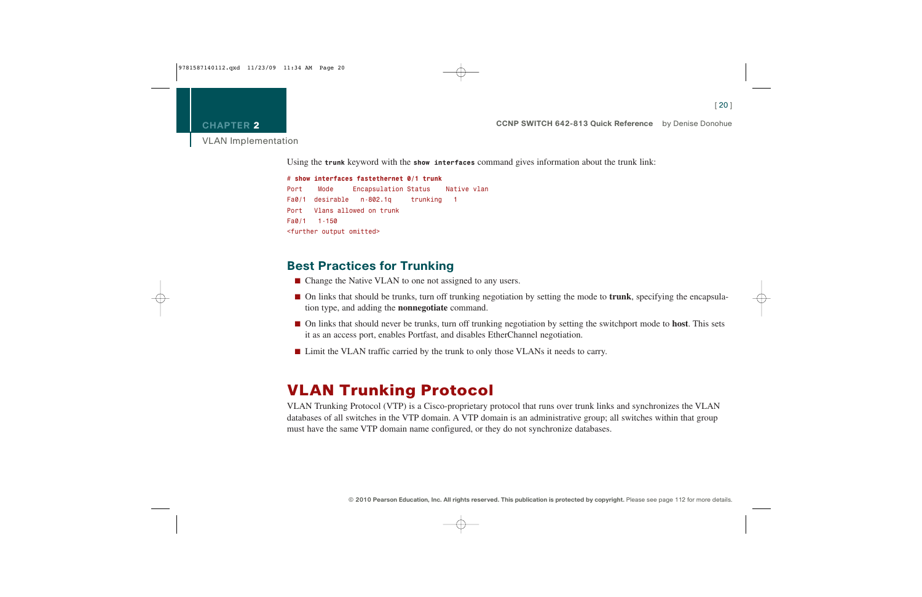#### **CCNP SWITCH 642-813 Quick Reference** by Denise Donohue

VLAN Implementation

Using the **trunk** keyword with the **show interfaces** command gives information about the trunk link:

# **show interfaces fastethernet 0/1 trunk** Port Mode Encapsulation Status Native vlan Fa0/1 desirable n-802.1q trunking 1 Port Vlans allowed on trunk Fa0/1 1-150 <further output omitted>

## **Best Practices for Trunking**

- Change the Native VLAN to one not assigned to any users.
- <sup>n</sup> On links that should be trunks, turn off trunking negotiation by setting the mode to **trunk**, specifying the encapsulation type, and adding the **nonnegotiate** command.
- <sup>n</sup> On links that should never be trunks, turn off trunking negotiation by setting the switchport mode to **host**. This sets it as an access port, enables Portfast, and disables EtherChannel negotiation.
- Limit the VLAN traffic carried by the trunk to only those VLANs it needs to carry.

# VLAN Trunking Protocol

VLAN Trunking Protocol (VTP) is a Cisco-proprietary protocol that runs over trunk links and synchronizes the VLAN databases of all switches in the VTP domain. A VTP domain is an administrative group; all switches within that group must have the same VTP domain name configured, or they do not synchronize databases.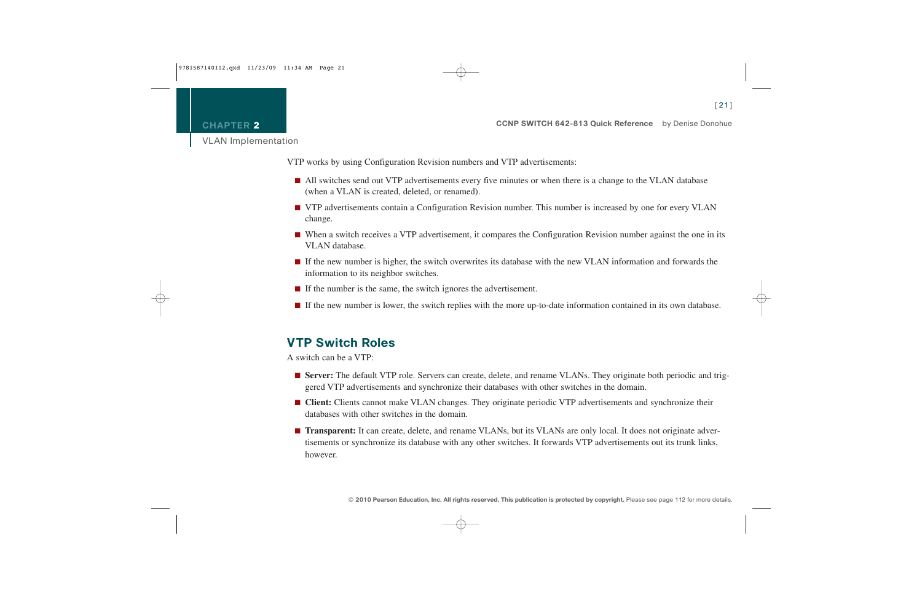VLAN Implementation

VTP works by using Configuration Revision numbers and VTP advertisements:

- <sup>n</sup> All switches send out VTP advertisements every five minutes or when there is a change to the VLAN database (when a VLAN is created, deleted, or renamed).
- VTP advertisements contain a Configuration Revision number. This number is increased by one for every VLAN change.
- <sup>n</sup> When a switch receives a VTP advertisement, it compares the Configuration Revision number against the one in its VLAN database.
- <sup>n</sup> If the new number is higher, the switch overwrites its database with the new VLAN information and forwards the information to its neighbor switches.
- $\blacksquare$  If the number is the same, the switch ignores the advertisement.
- <sup>n</sup> If the new number is lower, the switch replies with the more up-to-date information contained in its own database.

# **VTP Switch Roles**

A switch can be a VTP:

- <sup>n</sup> **Server:** The default VTP role. Servers can create, delete, and rename VLANs. They originate both periodic and triggered VTP advertisements and synchronize their databases with other switches in the domain.
- **n Client:** Clients cannot make VLAN changes. They originate periodic VTP advertisements and synchronize their databases with other switches in the domain.
- **Transparent:** It can create, delete, and rename VLANs, but its VLANs are only local. It does not originate advertisements or synchronize its database with any other switches. It forwards VTP advertisements out its trunk links, however.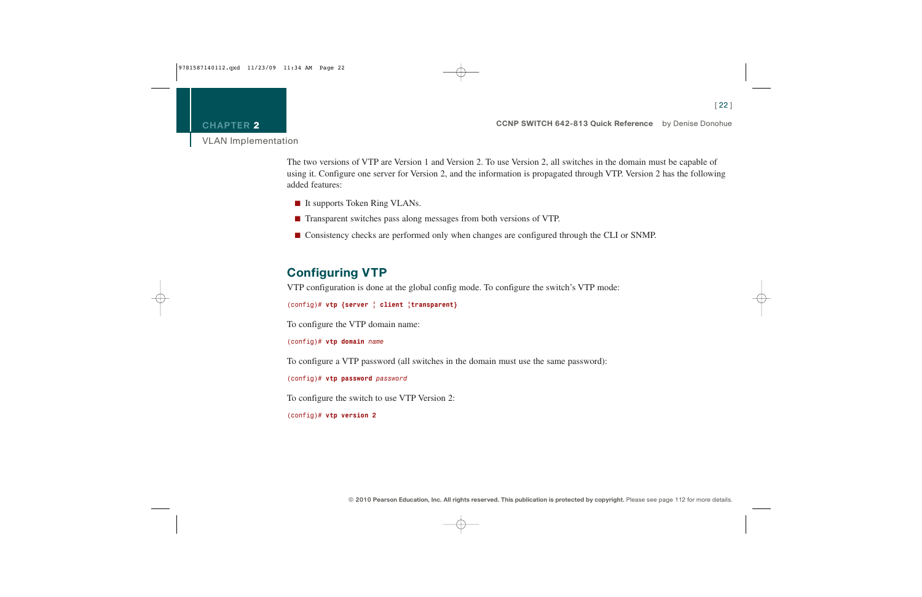The two versions of VTP are Version 1 and Version 2. To use Version 2, all switches in the domain must be capable of using it. Configure one server for Version 2, and the information is propagated through VTP. Version 2 has the following added features:

- It supports Token Ring VLANs.
- Transparent switches pass along messages from both versions of VTP.
- Consistency checks are performed only when changes are configured through the CLI or SNMP.

# **Configuring VTP**

VTP configuration is done at the global config mode. To configure the switch's VTP mode:

```
(config)# vtp {server | client |transparent}
```
To configure the VTP domain name:

```
(config)# vtp domain name
```
To configure a VTP password (all switches in the domain must use the same password):

```
(config)# vtp password password
```
To configure the switch to use VTP Version 2:

```
(config)# vtp version 2
```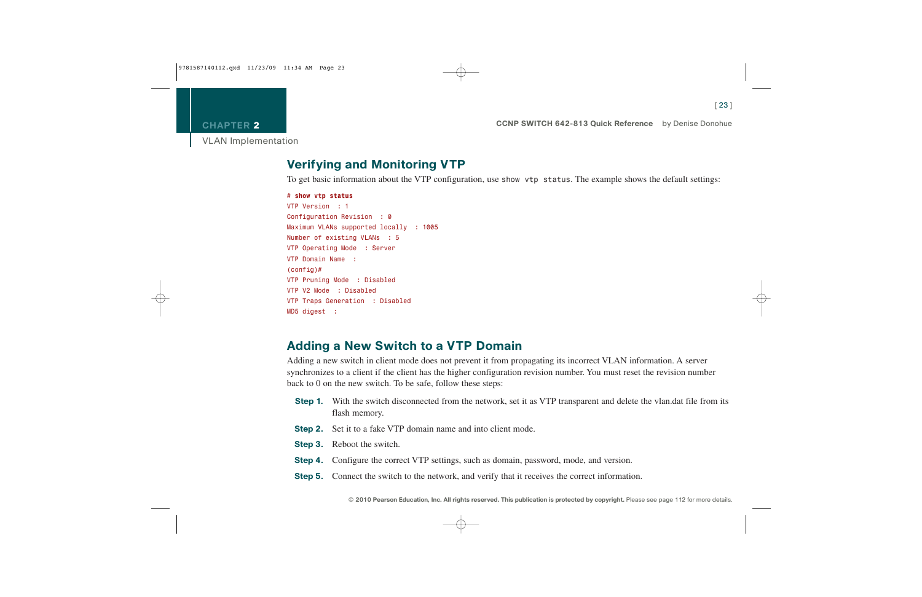VLAN Implementation

# **Verifying and Monitoring VTP**

To get basic information about the VTP configuration, use show vtp status. The example shows the default settings:

```
# show vtp status
VTP Version : 1
Configuration Revision : 0
Maximum VLANs supported locally : 1005
Number of existing VLANs : 5
VTP Operating Mode : Server
VTP Domain Name :
(config)#
VTP Pruning Mode : Disabled
VTP V2 Mode : Disabled
VTP Traps Generation : Disabled
MD5 digest :
```
# **Adding a New Switch to a VTP Domain**

Adding a new switch in client mode does not prevent it from propagating its incorrect VLAN information. A server synchronizes to a client if the client has the higher configuration revision number. You must reset the revision number back to 0 on the new switch. To be safe, follow these steps:

- **Step 1.** With the switch disconnected from the network, set it as VTP transparent and delete the vlan.dat file from its flash memory.
- **Step 2.** Set it to a fake VTP domain name and into client mode.
- **Step 3.** Reboot the switch.
- **Step 4.** Configure the correct VTP settings, such as domain, password, mode, and version.
- **Step 5.** Connect the switch to the network, and verify that it receives the correct information.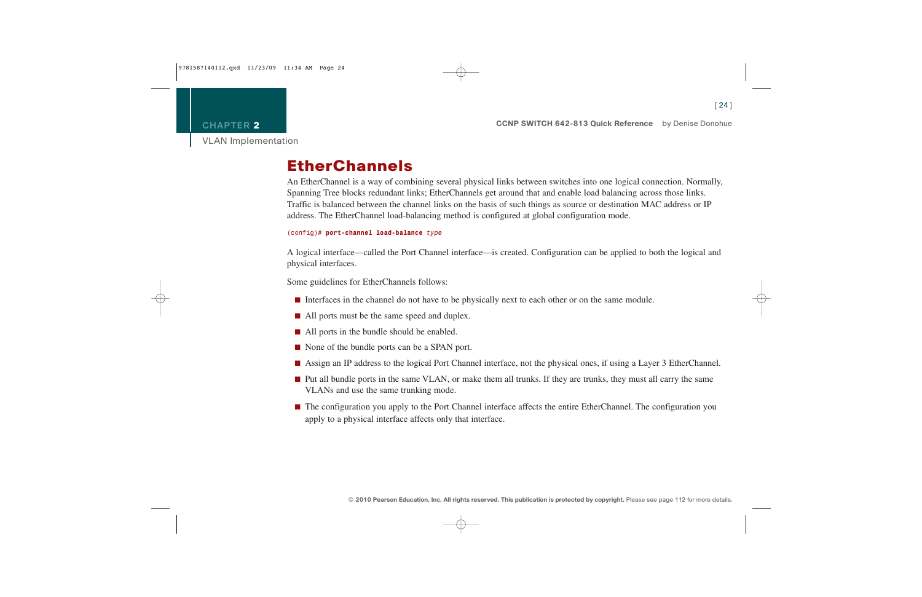[ 24 ]

#### **CHAPTER**  2

VLAN Implementation

# **EtherChannels**

An EtherChannel is a way of combining several physical links between switches into one logical connection. Normally, Spanning Tree blocks redundant links; EtherChannels get around that and enable load balancing across those links. Traffic is balanced between the channel links on the basis of such things as source or destination MAC address or IP address. The EtherChannel load-balancing method is configured at global configuration mode.

#### (config)# **port-channel load-balance** *type*

A logical interface—called the Port Channel interface—is created. Configuration can be applied to both the logical and physical interfaces.

Some guidelines for EtherChannels follows:

- **n** Interfaces in the channel do not have to be physically next to each other or on the same module.
- All ports must be the same speed and duplex.
- All ports in the bundle should be enabled.
- None of the bundle ports can be a SPAN port.
- Assign an IP address to the logical Port Channel interface, not the physical ones, if using a Layer 3 EtherChannel.
- <sup>n</sup> Put all bundle ports in the same VLAN, or make them all trunks. If they are trunks, they must all carry the same VLANs and use the same trunking mode.
- The configuration you apply to the Port Channel interface affects the entire EtherChannel. The configuration you apply to a physical interface affects only that interface.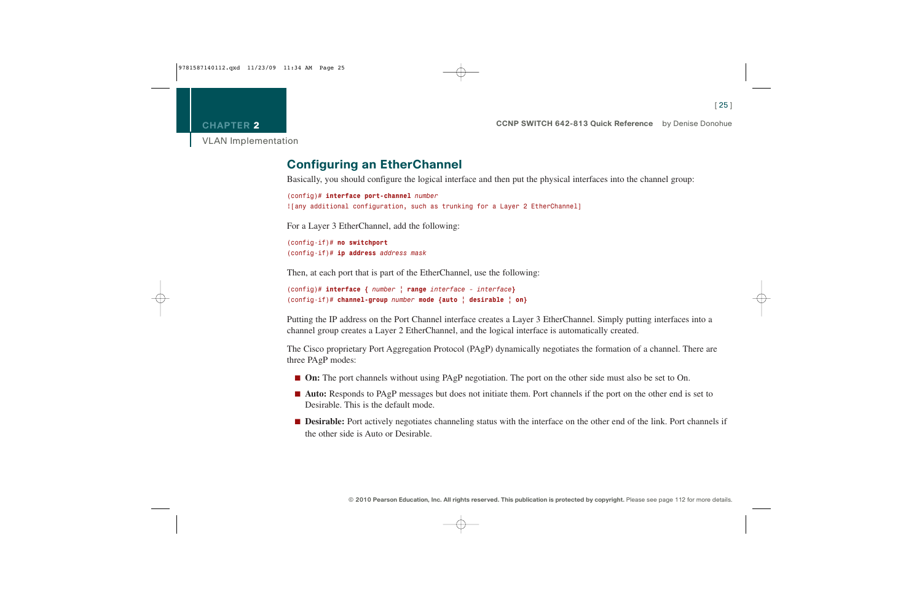VLAN Implementation

# **Configuring an EtherChannel**

Basically, you should configure the logical interface and then put the physical interfaces into the channel group:

```
(config)# interface port-channel number
![any additional configuration, such as trunking for a Layer 2 EtherChannel]
```
For a Layer 3 EtherChannel, add the following:

```
(config-if)# no switchport
(config-if)# ip address address mask
```
Then, at each port that is part of the EtherChannel, use the following:

```
(config)# interface { number | range interface – interface}
(config-if)# channel-group number mode {auto | desirable | on}
```
Putting the IP address on the Port Channel interface creates a Layer 3 EtherChannel. Simply putting interfaces into a channel group creates a Layer 2 EtherChannel, and the logical interface is automatically created.

The Cisco proprietary Port Aggregation Protocol (PAgP) dynamically negotiates the formation of a channel. There are three PAgP modes:

- **n On:** The port channels without using PAgP negotiation. The port on the other side must also be set to On.
- <sup>n</sup> **Auto:** Responds to PAgP messages but does not initiate them. Port channels if the port on the other end is set to Desirable. This is the default mode.
- **n Desirable:** Port actively negotiates channeling status with the interface on the other end of the link. Port channels if the other side is Auto or Desirable.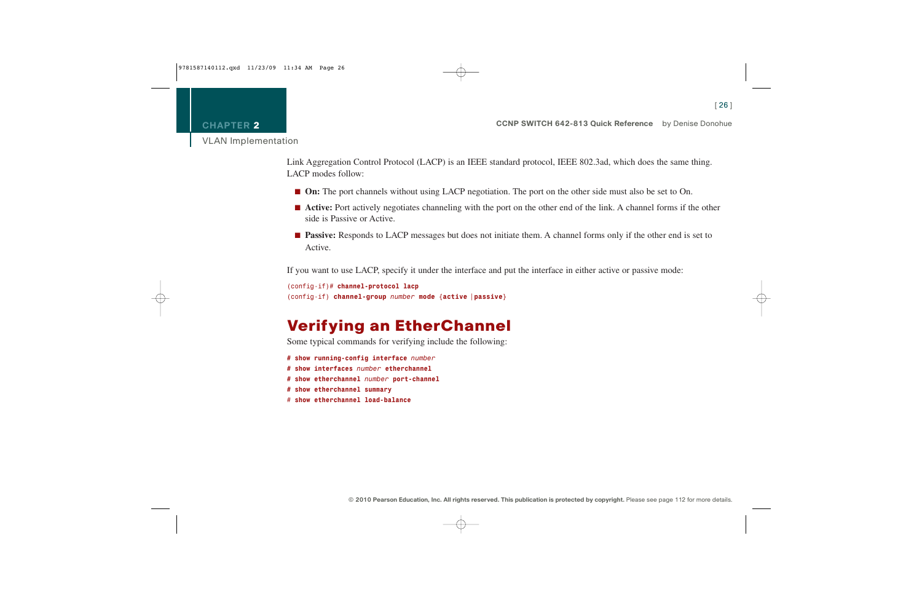VLAN Implementation

Link Aggregation Control Protocol (LACP) is an IEEE standard protocol, IEEE 802.3ad, which does the same thing. LACP modes follow:

- **n On:** The port channels without using LACP negotiation. The port on the other side must also be set to On.
- Active: Port actively negotiates channeling with the port on the other end of the link. A channel forms if the other side is Passive or Active.
- **n Passive:** Responds to LACP messages but does not initiate them. A channel forms only if the other end is set to Active.

If you want to use LACP, specify it under the interface and put the interface in either active or passive mode:

```
(config-if)# channel-protocol lacp
(config-if) channel-group number mode {active | passive}
```
# Verifying an EtherChannel

Some typical commands for verifying include the following:

- **# show running-config interface** *number*
- **# show interfaces** *number* **etherchannel**
- **# show etherchannel** *number* **port-channel**
- **# show etherchannel summary**
- # **show etherchannel load-balance**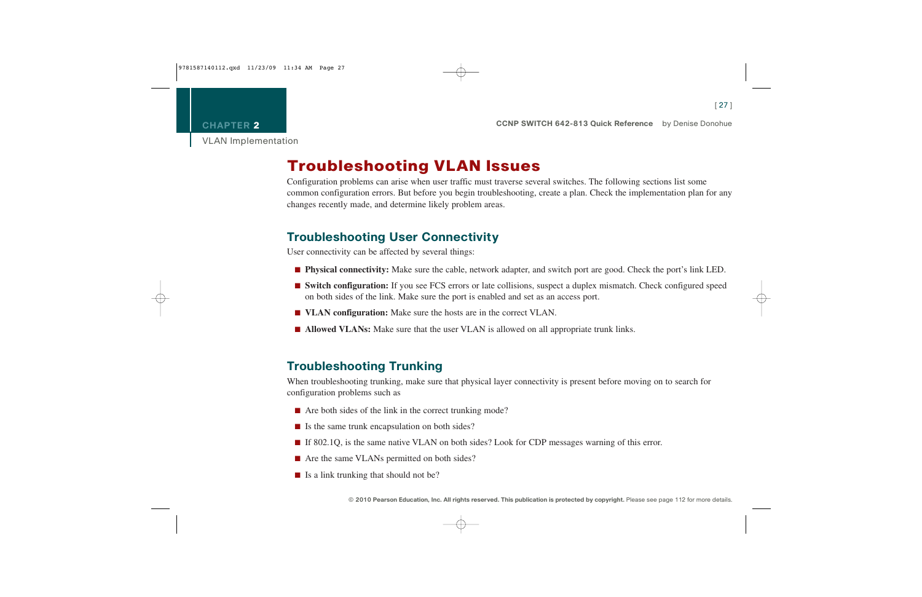VLAN Implementation

# Troubleshooting VLAN Issues

Configuration problems can arise when user traffic must traverse several switches. The following sections list some common configuration errors. But before you begin troubleshooting, create a plan. Check the implementation plan for any changes recently made, and determine likely problem areas.

# **Troubleshooting User Connectivity**

User connectivity can be affected by several things:

- **Physical connectivity:** Make sure the cable, network adapter, and switch port are good. Check the port's link LED.
- **n Switch configuration:** If you see FCS errors or late collisions, suspect a duplex mismatch. Check configured speed on both sides of the link. Make sure the port is enabled and set as an access port.
- **NORDER III VLAN configuration:** Make sure the hosts are in the correct VLAN.
- **n Allowed VLANs:** Make sure that the user VLAN is allowed on all appropriate trunk links.

# **Troubleshooting Trunking**

When troubleshooting trunking, make sure that physical layer connectivity is present before moving on to search for configuration problems such as

- $\blacksquare$  Are both sides of the link in the correct trunking mode?
- $\blacksquare$  Is the same trunk encapsulation on both sides?
- If 802.1Q, is the same native VLAN on both sides? Look for CDP messages warning of this error.
- Are the same VLANs permitted on both sides?
- $\blacksquare$  Is a link trunking that should not be?

[ 27 ]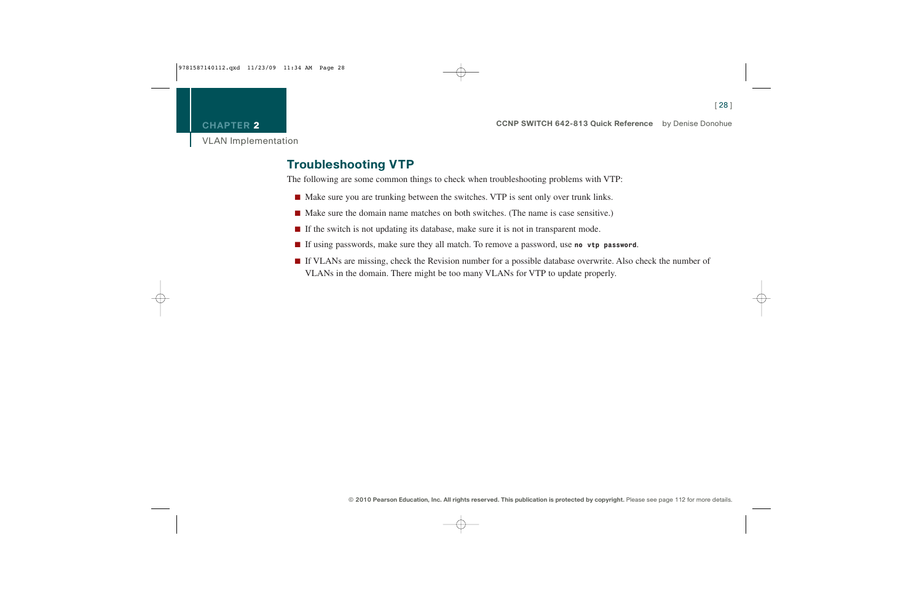[ 28 ]

#### **CHAPTER**  2

VLAN Implementation

# **Troubleshooting VTP**

The following are some common things to check when troubleshooting problems with VTP:

- $\blacksquare$  Make sure you are trunking between the switches. VTP is sent only over trunk links.
- <sup>n</sup> Make sure the domain name matches on both switches. (The name is case sensitive.)
- $\blacksquare$  If the switch is not updating its database, make sure it is not in transparent mode.
- <sup>n</sup> If using passwords, make sure they all match. To remove a password, use **no vtp password**.
- <sup>n</sup> If VLANs are missing, check the Revision number for a possible database overwrite. Also check the number of VLANs in the domain. There might be too many VLANs for VTP to update properly.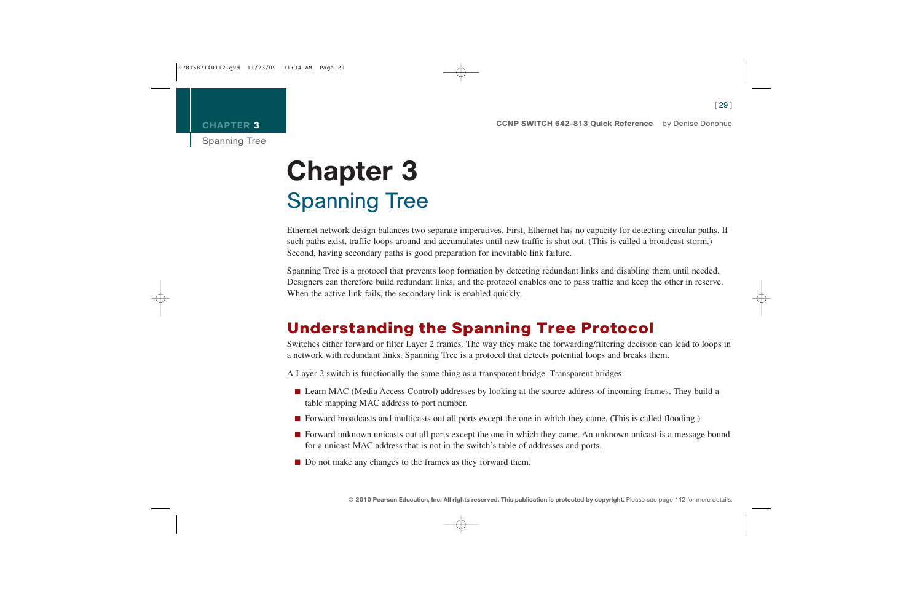Spanning Tree

# **Chapter 3** Spanning Tree

Ethernet network design balances two separate imperatives. First, Ethernet has no capacity for detecting circular paths. If such paths exist, traffic loops around and accumulates until new traffic is shut out. (This is called a broadcast storm.) Second, having secondary paths is good preparation for inevitable link failure.

Spanning Tree is a protocol that prevents loop formation by detecting redundant links and disabling them until needed. Designers can therefore build redundant links, and the protocol enables one to pass traffic and keep the other in reserve. When the active link fails, the secondary link is enabled quickly.

# Understanding the Spanning Tree Protocol

Switches either forward or filter Layer 2 frames. The way they make the forwarding/filtering decision can lead to loops in a network with redundant links. Spanning Tree is a protocol that detects potential loops and breaks them.

A Layer 2 switch is functionally the same thing as a transparent bridge. Transparent bridges:

- Learn MAC (Media Access Control) addresses by looking at the source address of incoming frames. They build a table mapping MAC address to port number.
- <sup>n</sup> Forward broadcasts and multicasts out all ports except the one in which they came. (This is called flooding.)
- <sup>n</sup> Forward unknown unicasts out all ports except the one in which they came. An unknown unicast is a message bound for a unicast MAC address that is not in the switch's table of addresses and ports.
- Do not make any changes to the frames as they forward them.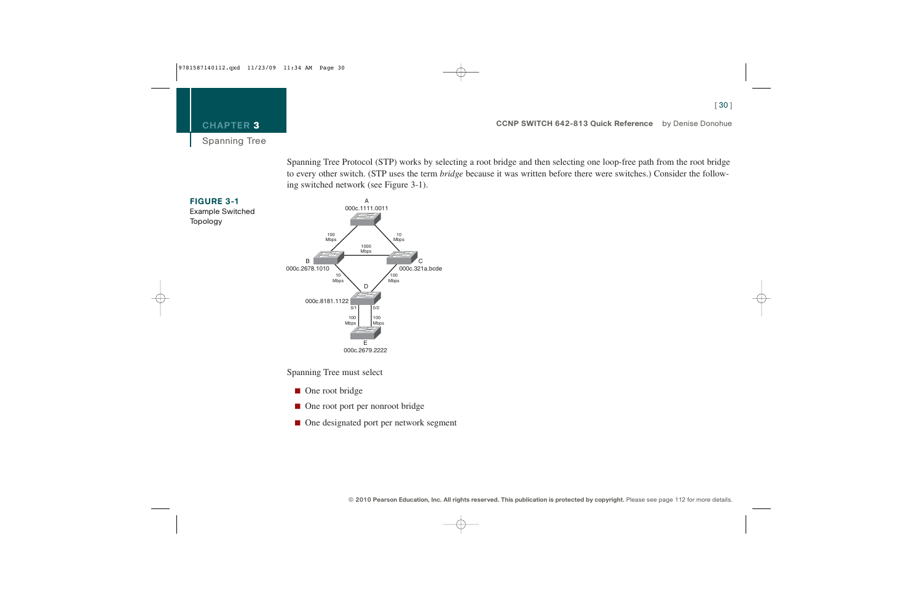#### Spanning Tree

**CCNP SWITCH 642-813 Quick Reference** by Denise Donohue

Spanning Tree Protocol (STP) works by selecting a root bridge and then selecting one loop-free path from the root bridge to every other switch. (STP uses the term *bridge* because it was written before there were switches.) Consider the following switched network (see Figure 3-1).

**FIGURE 3-1** Example Switched Topology



Spanning Tree must select

- $\blacksquare$  One root bridge
- One root port per nonroot bridge
- $\blacksquare$  One designated port per network segment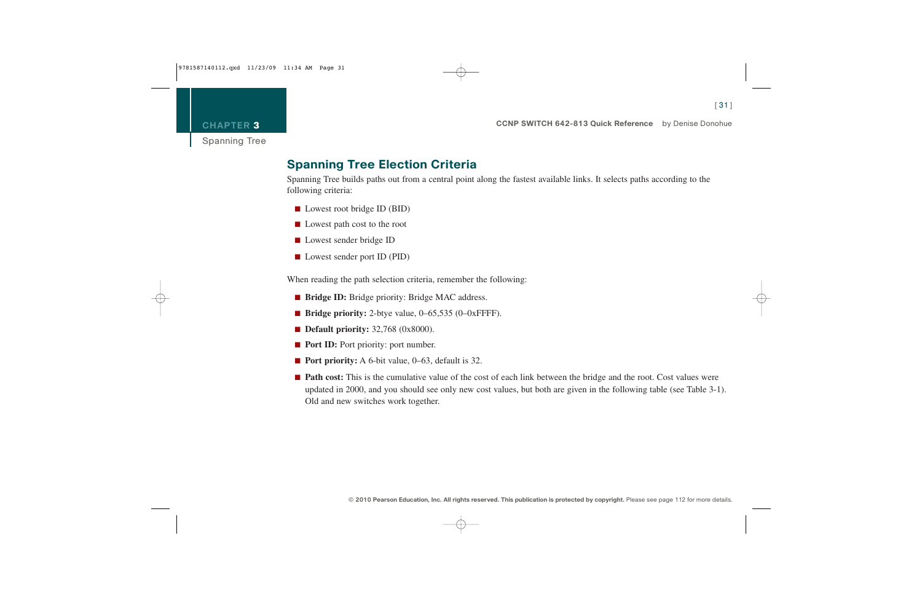[ 31 ]

#### **CHAPTER**  3

Spanning Tree

# **Spanning Tree Election Criteria**

Spanning Tree builds paths out from a central point along the fastest available links. It selects paths according to the following criteria:

- Lowest root bridge ID (BID)
- Lowest path cost to the root
- Lowest sender bridge ID
- Lowest sender port ID (PID)

When reading the path selection criteria, remember the following:

- **Bridge ID:** Bridge priority: Bridge MAC address.
- **Bridge priority:** 2-btye value, 0–65,535 (0–0xFFFF).
- **Default priority:** 32,768 (0x8000).
- **Port ID:** Port priority: port number.
- **Port priority:** A 6-bit value, 0–63, default is 32.
- **n Path cost:** This is the cumulative value of the cost of each link between the bridge and the root. Cost values were updated in 2000, and you should see only new cost values, but both are given in the following table (see Table 3-1). Old and new switches work together.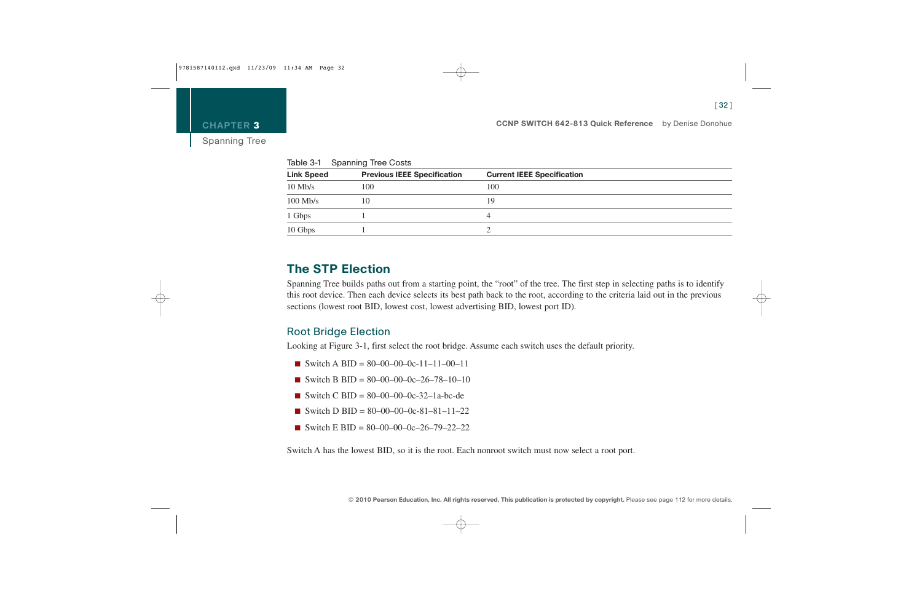| <b>Link Speed</b> | <b>Previous IEEE Specification</b> | <b>Current IEEE Specification</b> |  |
|-------------------|------------------------------------|-----------------------------------|--|
| $10$ Mb/s         | 100                                | 100                               |  |
| $100$ Mb/s        | 10                                 | 19                                |  |
| 1 Gbps            |                                    |                                   |  |
| 10 Gbps           |                                    |                                   |  |

Table 3-1 Spanning Tree Costs

## **The STP Election**

Spanning Tree builds paths out from a starting point, the "root" of the tree. The first step in selecting paths is to identify this root device. Then each device selects its best path back to the root, according to the criteria laid out in the previous sections (lowest root BID, lowest cost, lowest advertising BID, lowest port ID).

#### Root Bridge Election

Looking at Figure 3-1, first select the root bridge. Assume each switch uses the default priority.

- $\blacksquare$  Switch A BID = 80–00–00–0c-11–11–00–11
- Switch B BID =  $80-00-00-0c-26-78-10-10$
- Switch C BID =  $80-00-00-0c-32-1a-bc-de$
- $\blacksquare$  Switch D BID = 80–00–00–0c-81–81–11–22
- $\blacksquare$  Switch E BID = 80–00–00–0c–26–79–22–22

Switch A has the lowest BID, so it is the root. Each nonroot switch must now select a root port.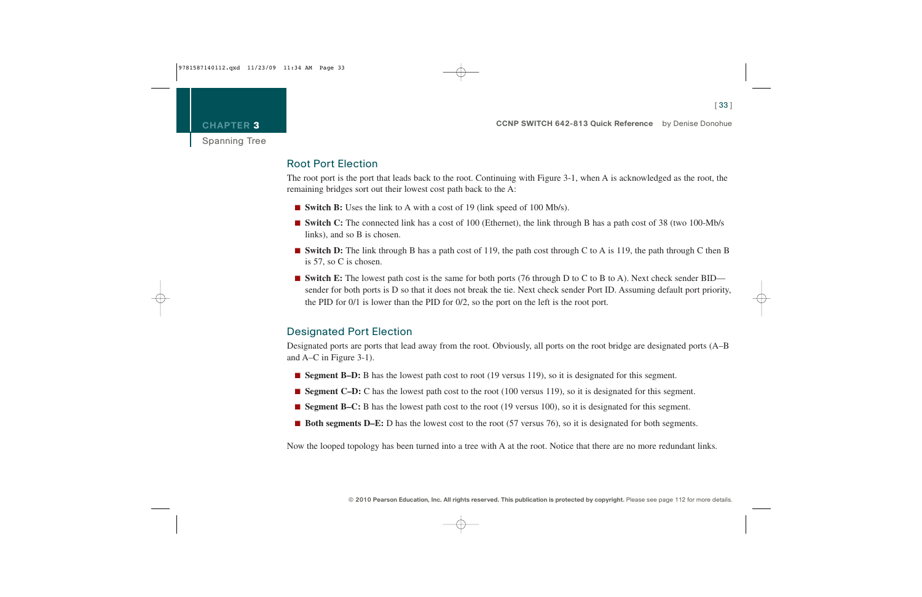#### Root Port Election

The root port is the port that leads back to the root. Continuing with Figure 3-1, when A is acknowledged as the root, the remaining bridges sort out their lowest cost path back to the A:

- **Switch B:** Uses the link to A with a cost of 19 (link speed of 100 Mb/s).
- **n Switch C:** The connected link has a cost of 100 (Ethernet), the link through B has a path cost of 38 (two 100-Mb/s links), and so B is chosen.
- **n Switch D:** The link through B has a path cost of 119, the path cost through C to A is 119, the path through C then B is 57, so C is chosen.
- **Switch E:** The lowest path cost is the same for both ports (76 through D to C to B to A). Next check sender BID sender for both ports is D so that it does not break the tie. Next check sender Port ID. Assuming default port priority, the PID for 0/1 is lower than the PID for 0/2, so the port on the left is the root port.

#### Designated Port Election

Designated ports are ports that lead away from the root. Obviously, all ports on the root bridge are designated ports (A–B and A–C in Figure 3-1).

- **n Segment B–D:** B has the lowest path cost to root (19 versus 119), so it is designated for this segment.
- **Segment C–D:** C has the lowest path cost to the root (100 versus 119), so it is designated for this segment.
- **Segment B–C:** B has the lowest path cost to the root (19 versus 100), so it is designated for this segment.
- **Both segments D–E:** D has the lowest cost to the root (57 versus 76), so it is designated for both segments.

Now the looped topology has been turned into a tree with A at the root. Notice that there are no more redundant links.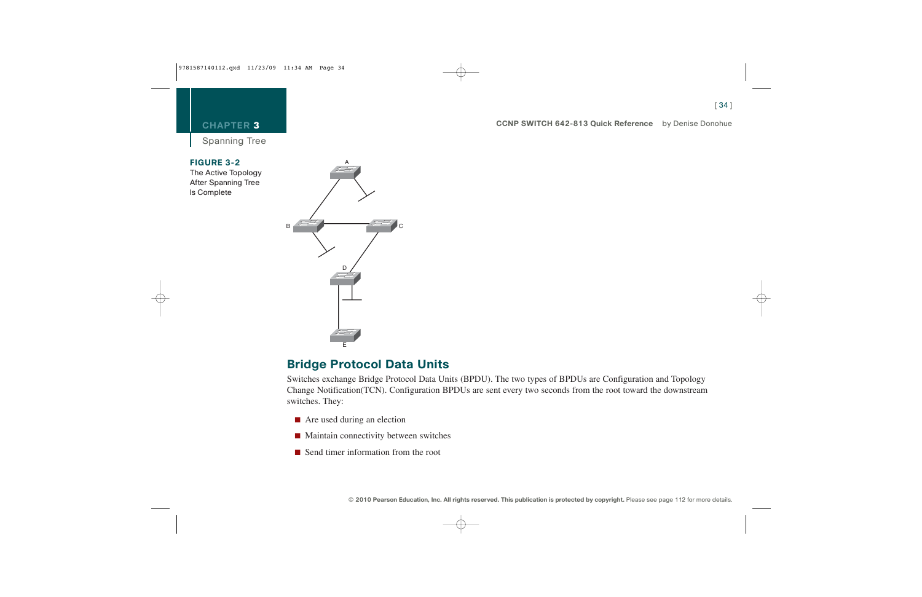**CCNP SWITCH 642-813 Quick Reference** by Denise Donohue

#### **CHAPTER**  3

Spanning Tree

#### **FIGURE 3-2**

The Active Topology After Spanning Tree Is Complete



## **Bridge Protocol Data Units**

Switches exchange Bridge Protocol Data Units (BPDU). The two types of BPDUs are Configuration and Topology Change Notification(TCN). Configuration BPDUs are sent every two seconds from the root toward the downstream switches. They:

- $\blacksquare$  Are used during an election
- $\blacksquare$  Maintain connectivity between switches
- $\blacksquare$  Send timer information from the root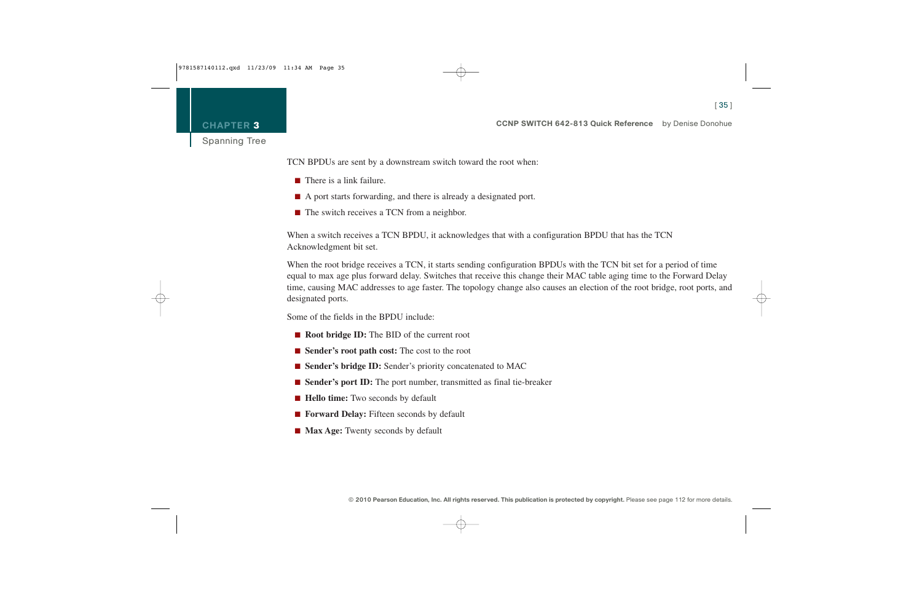[ 35 ]

#### **CHAPTER**  3

#### Spanning Tree

TCN BPDUs are sent by a downstream switch toward the root when:

- $\blacksquare$  There is a link failure.
- A port starts forwarding, and there is already a designated port.
- $\blacksquare$  The switch receives a TCN from a neighbor.

When a switch receives a TCN BPDU, it acknowledges that with a configuration BPDU that has the TCN Acknowledgment bit set.

When the root bridge receives a TCN, it starts sending configuration BPDUs with the TCN bit set for a period of time equal to max age plus forward delay. Switches that receive this change their MAC table aging time to the Forward Delay time, causing MAC addresses to age faster. The topology change also causes an election of the root bridge, root ports, and designated ports.

Some of the fields in the BPDU include:

- **Root bridge ID:** The BID of the current root
- **Sender's root path cost:** The cost to the root
- **Sender's bridge ID:** Sender's priority concatenated to MAC
- **Sender's port ID:** The port number, transmitted as final tie-breaker
- **Hello time:** Two seconds by default
- **Forward Delay:** Fifteen seconds by default
- **n** Max Age: Twenty seconds by default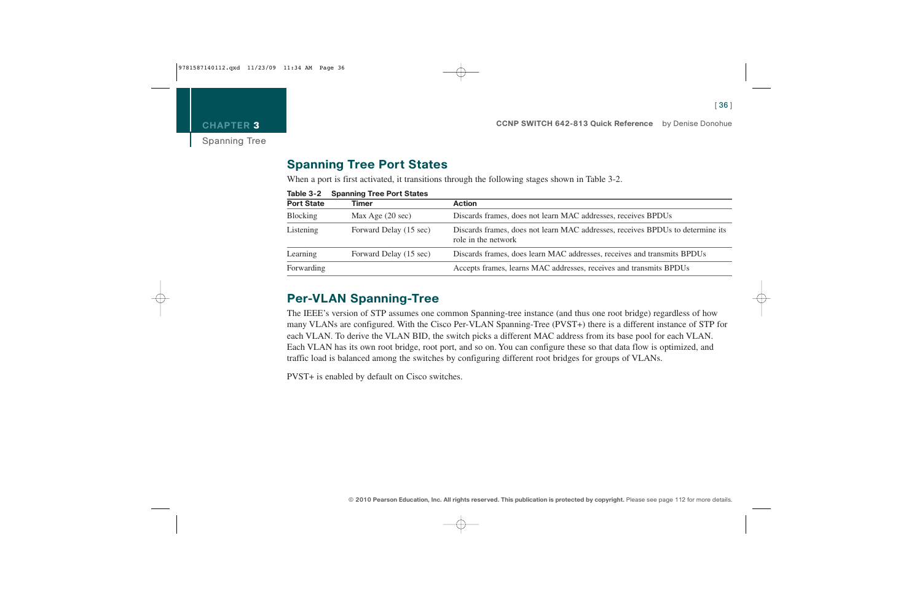Spanning Tree

# **Spanning Tree Port States**

When a port is first activated, it transitions through the following stages shown in Table 3-2.

| $100000 - 2$      | <b>Production Production</b> |                                                                                                       |
|-------------------|------------------------------|-------------------------------------------------------------------------------------------------------|
| <b>Port State</b> | Timer                        | <b>Action</b>                                                                                         |
| Blocking          | Max Age $(20 \text{ sec})$   | Discards frames, does not learn MAC addresses, receives BPDUs                                         |
| Listening         | Forward Delay (15 sec)       | Discards frames, does not learn MAC addresses, receives BPDUs to determine its<br>role in the network |
| Learning          | Forward Delay (15 sec)       | Discards frames, does learn MAC addresses, receives and transmits BPDUs                               |
| Forwarding        |                              | Accepts frames, learns MAC addresses, receives and transmits BPDUs                                    |

**Table 3-2 Spanning Tree Port States**

# **Per-VLAN Spanning-Tree**

The IEEE's version of STP assumes one common Spanning-tree instance (and thus one root bridge) regardless of how many VLANs are configured. With the Cisco Per-VLAN Spanning-Tree (PVST+) there is a different instance of STP for each VLAN. To derive the VLAN BID, the switch picks a different MAC address from its base pool for each VLAN. Each VLAN has its own root bridge, root port, and so on. You can configure these so that data flow is optimized, and traffic load is balanced among the switches by configuring different root bridges for groups of VLANs.

PVST+ is enabled by default on Cisco switches.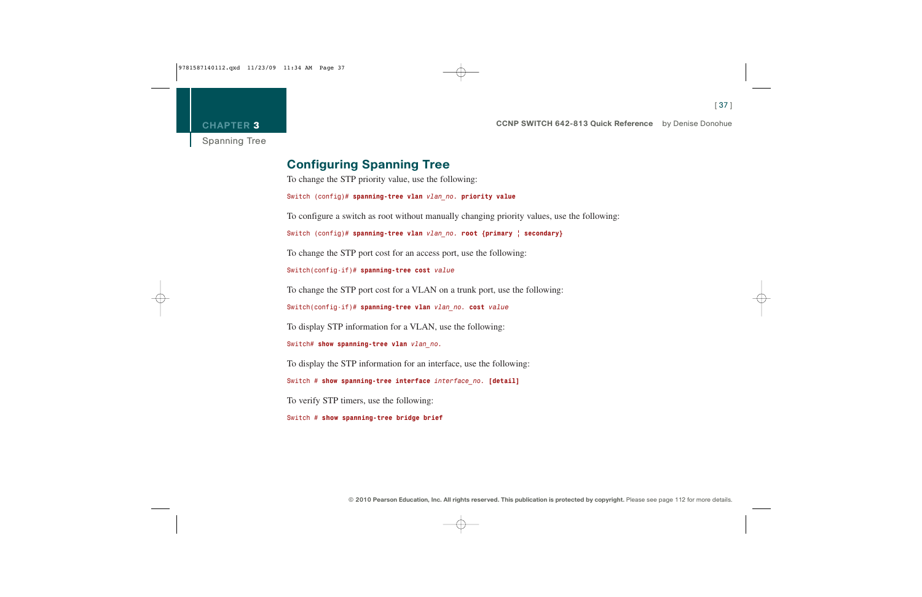[ 37 ]

### **CHAPTER** 3

Spanning Tree

### **Configuring Spanning Tree**

To change the STP priority value, use the following:

Switch (config)# **spanning-tree vlan** *vlan\_no.* **priority value**

To configure a switch as root without manually changing priority values, use the following:

Switch (config)# **spanning-tree vlan** *vlan\_no.* **root {primary | secondary}**

To change the STP port cost for an access port, use the following:

Switch(config-if)# **spanning-tree cost** *value*

To change the STP port cost for a VLAN on a trunk port, use the following:

Switch(config-if)# **spanning-tree vlan** *vlan\_no.* **cost** *value*

To display STP information for a VLAN, use the following:

Switch# **show spanning-tree vlan** *vlan\_no.*

To display the STP information for an interface, use the following:

Switch # **show spanning-tree interface** *interface\_no.* **[detail]**

To verify STP timers, use the following:

Switch # **show spanning-tree bridge brief**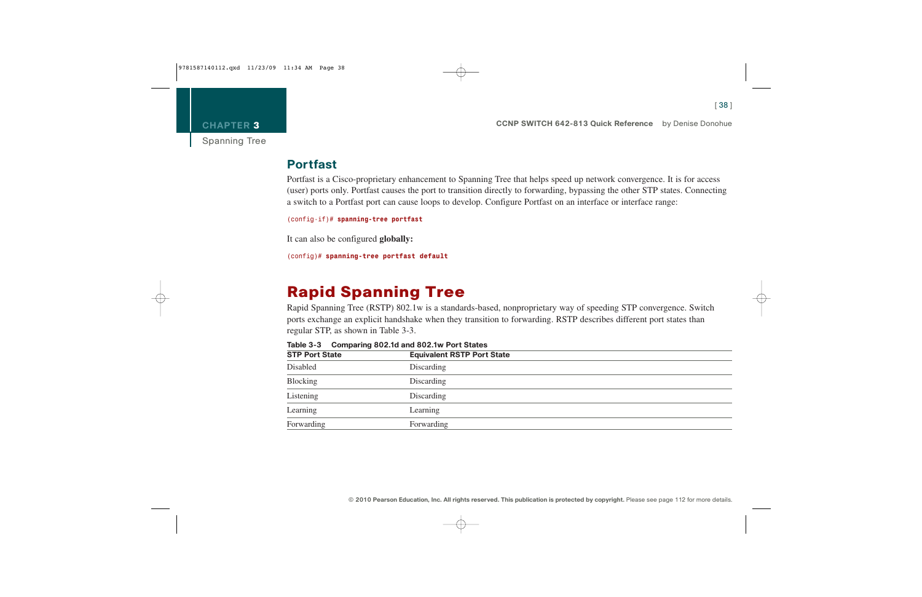[ 38 ]

#### **CHAPTER**  3

Spanning Tree

### **Portfast**

Portfast is a Cisco-proprietary enhancement to Spanning Tree that helps speed up network convergence. It is for access (user) ports only. Portfast causes the port to transition directly to forwarding, bypassing the other STP states. Connecting a switch to a Portfast port can cause loops to develop. Configure Portfast on an interface or interface range:

```
(config-if)# spanning-tree portfast
```
It can also be configured **globally:**

(config)# **spanning-tree portfast default**

# Rapid Spanning Tree

Rapid Spanning Tree (RSTP) 802.1w is a standards-based, nonproprietary way of speeding STP convergence. Switch ports exchange an explicit handshake when they transition to forwarding. RSTP describes different port states than regular STP, as shown in Table 3-3.

| <b>STP Port State</b> | <b>Equivalent RSTP Port State</b> |  |
|-----------------------|-----------------------------------|--|
| Disabled              | Discarding                        |  |
| Blocking              | Discarding                        |  |
| Listening             | Discarding                        |  |
| Learning              | Learning                          |  |
| Forwarding            | Forwarding                        |  |

**Table 3-3 Comparing 802.1d and 802.1w Port States**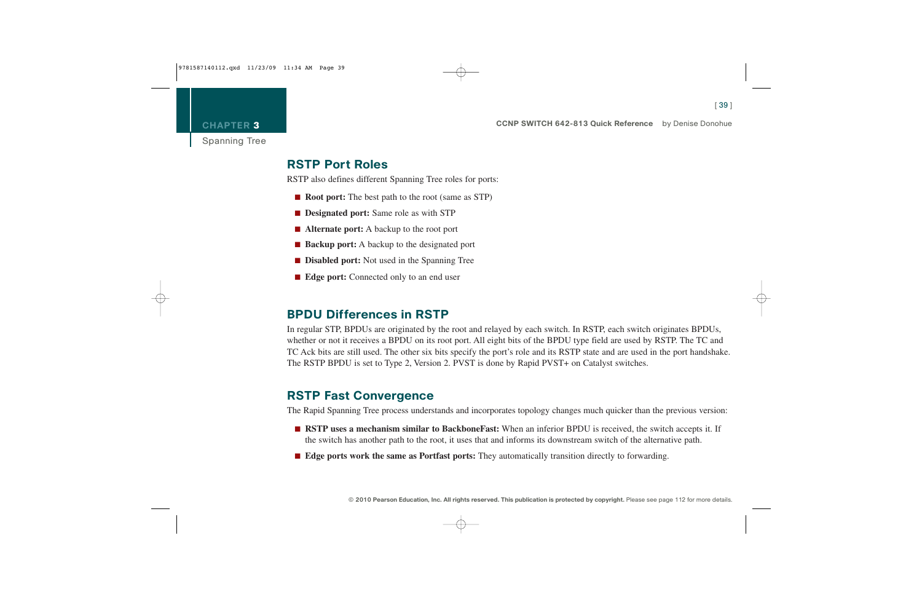### **RSTP Port Roles**

RSTP also defines different Spanning Tree roles for ports:

- **Root port:** The best path to the root (same as STP)
- **n Designated port:** Same role as with STP
- **Alternate port:** A backup to the root port
- **Backup port:** A backup to the designated port
- **n Disabled port:** Not used in the Spanning Tree
- **Edge port:** Connected only to an end user

### **BPDU Differences in RSTP**

In regular STP, BPDUs are originated by the root and relayed by each switch. In RSTP, each switch originates BPDUs, whether or not it receives a BPDU on its root port. All eight bits of the BPDU type field are used by RSTP. The TC and TC Ack bits are still used. The other six bits specify the port's role and its RSTP state and are used in the port handshake. The RSTP BPDU is set to Type 2, Version 2. PVST is done by Rapid PVST+ on Catalyst switches.

### **RSTP Fast Convergence**

The Rapid Spanning Tree process understands and incorporates topology changes much quicker than the previous version:

- <sup>n</sup> **RSTP uses a mechanism similar to BackboneFast:** When an inferior BPDU is received, the switch accepts it. If the switch has another path to the root, it uses that and informs its downstream switch of the alternative path.
- **Edge ports work the same as Portfast ports:** They automatically transition directly to forwarding.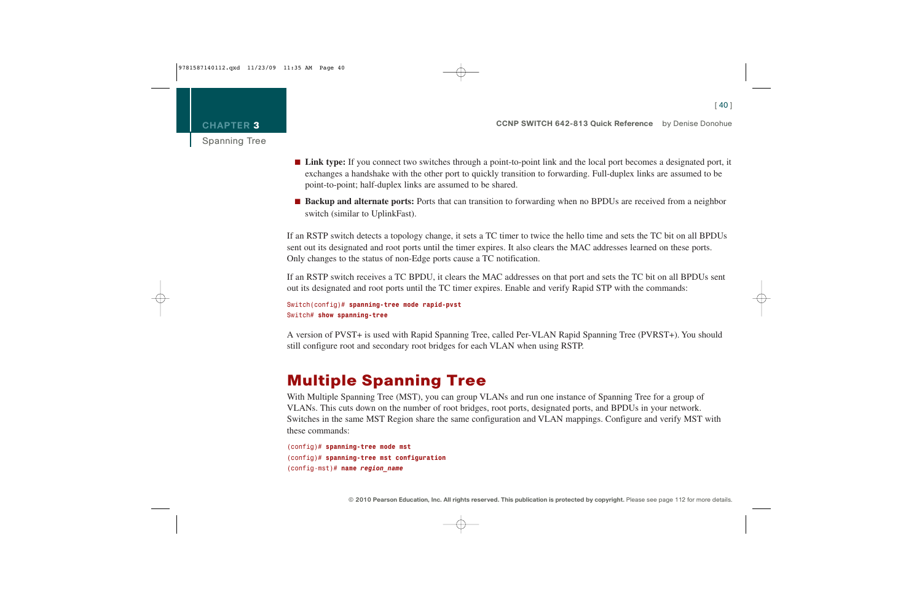[ 40 ]

### **CHAPTER**  3

### Spanning Tree

- **Link type:** If you connect two switches through a point-to-point link and the local port becomes a designated port, it exchanges a handshake with the other port to quickly transition to forwarding. Full-duplex links are assumed to be point-to-point; half-duplex links are assumed to be shared.
- **n Backup and alternate ports:** Ports that can transition to forwarding when no BPDUs are received from a neighbor switch (similar to UplinkFast).

If an RSTP switch detects a topology change, it sets a TC timer to twice the hello time and sets the TC bit on all BPDUs sent out its designated and root ports until the timer expires. It also clears the MAC addresses learned on these ports. Only changes to the status of non-Edge ports cause a TC notification.

If an RSTP switch receives a TC BPDU, it clears the MAC addresses on that port and sets the TC bit on all BPDUs sent out its designated and root ports until the TC timer expires. Enable and verify Rapid STP with the commands:

```
Switch(config)# spanning-tree mode rapid-pvst
Switch# show spanning-tree
```
A version of PVST+ is used with Rapid Spanning Tree, called Per-VLAN Rapid Spanning Tree (PVRST+). You should still configure root and secondary root bridges for each VLAN when using RSTP.

# Multiple Spanning Tree

With Multiple Spanning Tree (MST), you can group VLANs and run one instance of Spanning Tree for a group of VLANs. This cuts down on the number of root bridges, root ports, designated ports, and BPDUs in your network. Switches in the same MST Region share the same configuration and VLAN mappings. Configure and verify MST with these commands:

```
(config)# spanning-tree mode mst
(config)# spanning-tree mst configuration
(config-mst)# name region_name
```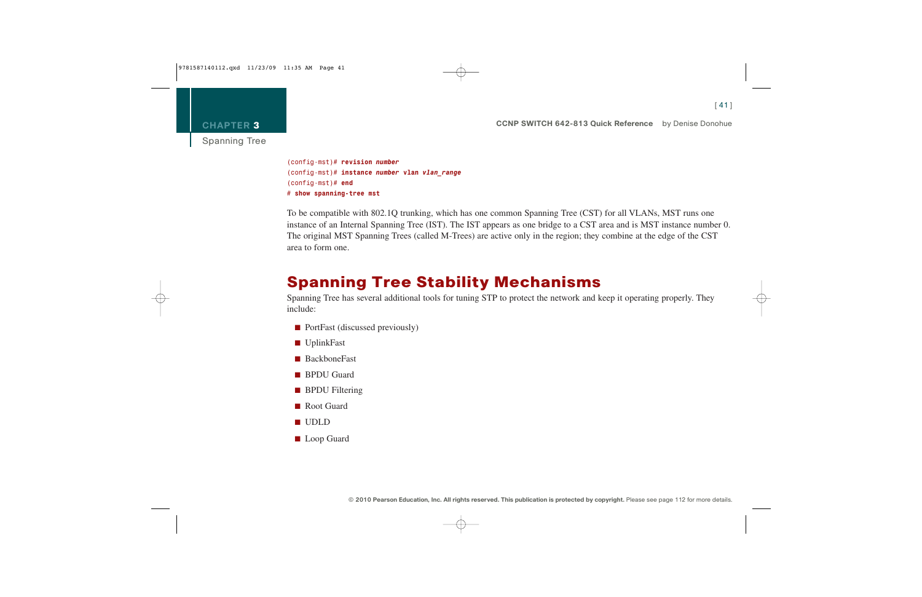$[41]$ 

### **CHAPTER**  3

(config-mst)# **revision** *number* (config-mst)# **instance** *number* **vlan** *vlan\_range* (config-mst)# **end** # **show spanning-tree mst**

To be compatible with 802.1Q trunking, which has one common Spanning Tree (CST) for all VLANs, MST runs one instance of an Internal Spanning Tree (IST). The IST appears as one bridge to a CST area and is MST instance number 0. The original MST Spanning Trees (called M-Trees) are active only in the region; they combine at the edge of the CST area to form one.

# Spanning Tree Stability Mechanisms

Spanning Tree has several additional tools for tuning STP to protect the network and keep it operating properly. They include:

- PortFast (discussed previously)
- UplinkFast
- BackboneFast
- **n** BPDU Guard
- **n** BPDU Filtering
- Root Guard
- n UDLD
- **n** Loop Guard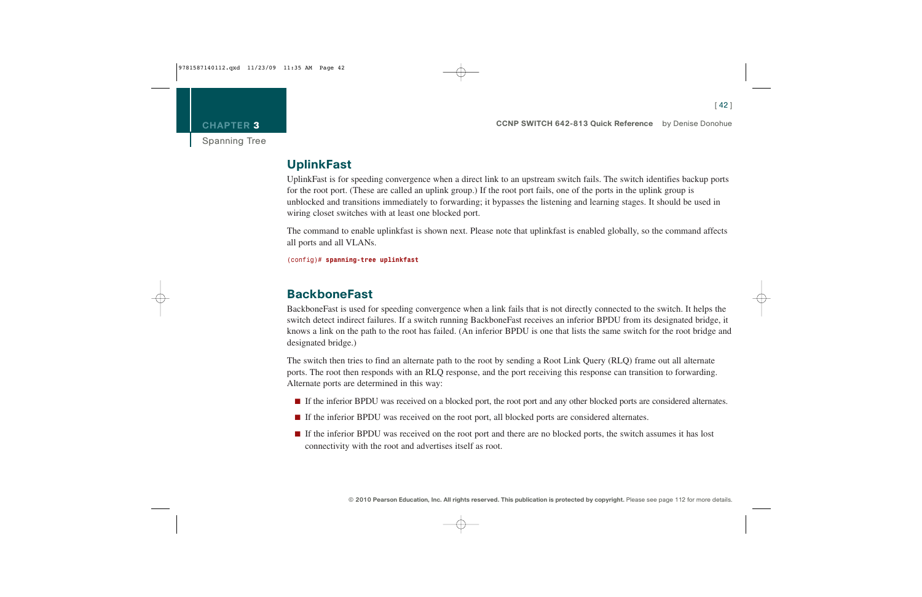Spanning Tree

### **UplinkFast**

UplinkFast is for speeding convergence when a direct link to an upstream switch fails. The switch identifies backup ports for the root port. (These are called an uplink group.) If the root port fails, one of the ports in the uplink group is unblocked and transitions immediately to forwarding; it bypasses the listening and learning stages. It should be used in wiring closet switches with at least one blocked port.

The command to enable uplinkfast is shown next. Please note that uplinkfast is enabled globally, so the command affects all ports and all VLANs.

#### (config)# **spanning-tree uplinkfast**

### **BackboneFast**

BackboneFast is used for speeding convergence when a link fails that is not directly connected to the switch. It helps the switch detect indirect failures. If a switch running BackboneFast receives an inferior BPDU from its designated bridge, it knows a link on the path to the root has failed. (An inferior BPDU is one that lists the same switch for the root bridge and designated bridge.)

The switch then tries to find an alternate path to the root by sending a Root Link Query (RLQ) frame out all alternate ports. The root then responds with an RLQ response, and the port receiving this response can transition to forwarding. Alternate ports are determined in this way:

- If the inferior BPDU was received on a blocked port, the root port and any other blocked ports are considered alternates.
- <sup>n</sup> If the inferior BPDU was received on the root port, all blocked ports are considered alternates.
- <sup>n</sup> If the inferior BPDU was received on the root port and there are no blocked ports, the switch assumes it has lost connectivity with the root and advertises itself as root.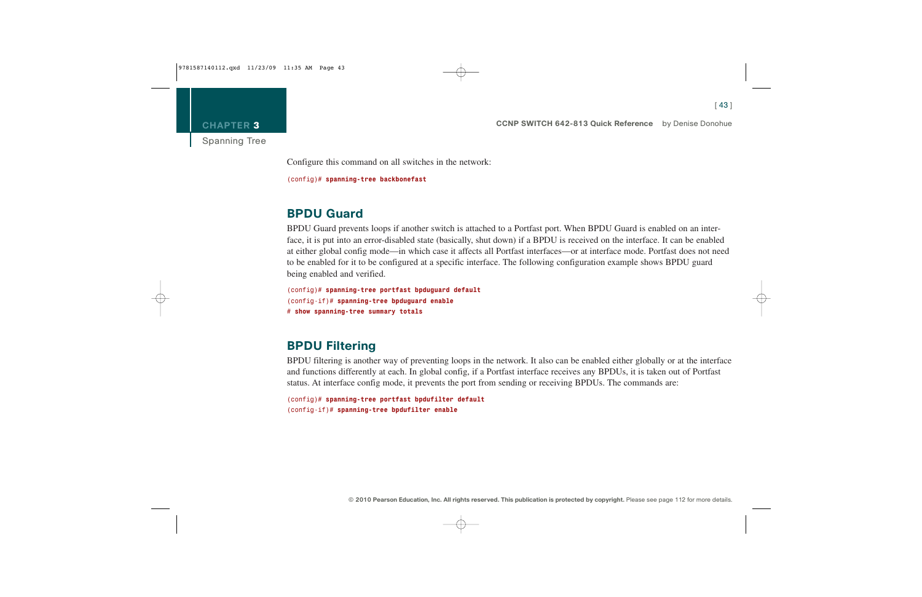#### **CHAPTER**  3

Spanning Tree

Configure this command on all switches in the network:

(config)# **spanning-tree backbonefast**

### **BPDU Guard**

BPDU Guard prevents loops if another switch is attached to a Portfast port. When BPDU Guard is enabled on an interface, it is put into an error-disabled state (basically, shut down) if a BPDU is received on the interface. It can be enabled at either global config mode—in which case it affects all Portfast interfaces—or at interface mode. Portfast does not need to be enabled for it to be configured at a specific interface. The following configuration example shows BPDU guard being enabled and verified.

```
(config)# spanning-tree portfast bpduguard default
(config-if)# spanning-tree bpduguard enable
# show spanning-tree summary totals
```
### **BPDU Filtering**

BPDU filtering is another way of preventing loops in the network. It also can be enabled either globally or at the interface and functions differently at each. In global config, if a Portfast interface receives any BPDUs, it is taken out of Portfast status. At interface config mode, it prevents the port from sending or receiving BPDUs. The commands are:

```
(config)# spanning-tree portfast bpdufilter default
(config-if)# spanning-tree bpdufilter enable
```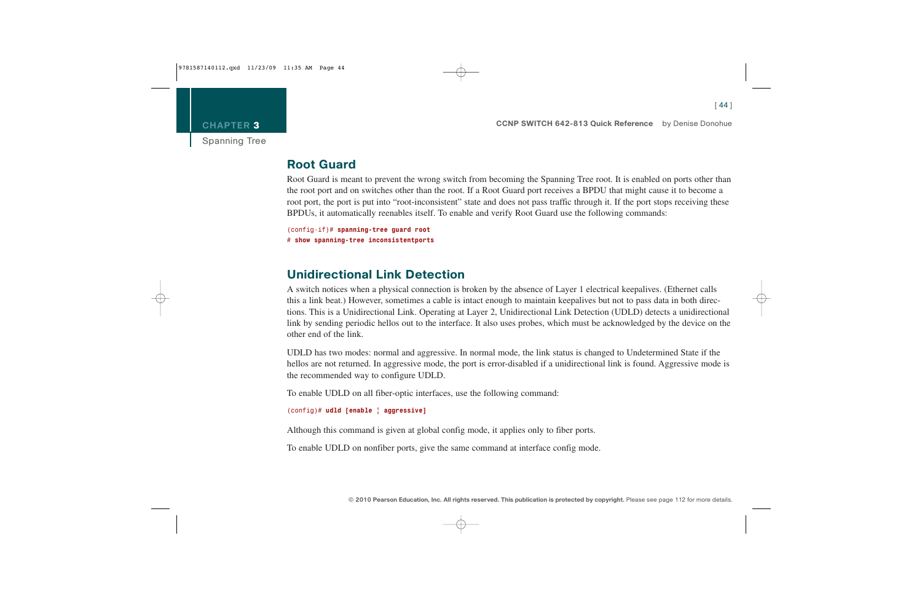Spanning Tree

### **Root Guard**

Root Guard is meant to prevent the wrong switch from becoming the Spanning Tree root. It is enabled on ports other than the root port and on switches other than the root. If a Root Guard port receives a BPDU that might cause it to become a root port, the port is put into "root-inconsistent" state and does not pass traffic through it. If the port stops receiving these BPDUs, it automatically reenables itself. To enable and verify Root Guard use the following commands:

```
(config-if)# spanning-tree guard root
# show spanning-tree inconsistentports
```
### **Unidirectional Link Detection**

A switch notices when a physical connection is broken by the absence of Layer 1 electrical keepalives. (Ethernet calls this a link beat.) However, sometimes a cable is intact enough to maintain keepalives but not to pass data in both directions. This is a Unidirectional Link. Operating at Layer 2, Unidirectional Link Detection (UDLD) detects a unidirectional link by sending periodic hellos out to the interface. It also uses probes, which must be acknowledged by the device on the other end of the link.

UDLD has two modes: normal and aggressive. In normal mode, the link status is changed to Undetermined State if the hellos are not returned. In aggressive mode, the port is error-disabled if a unidirectional link is found. Aggressive mode is the recommended way to configure UDLD.

To enable UDLD on all fiber-optic interfaces, use the following command:

#### (config)# **udld [enable | aggressive]**

Although this command is given at global config mode, it applies only to fiber ports.

To enable UDLD on nonfiber ports, give the same command at interface config mode.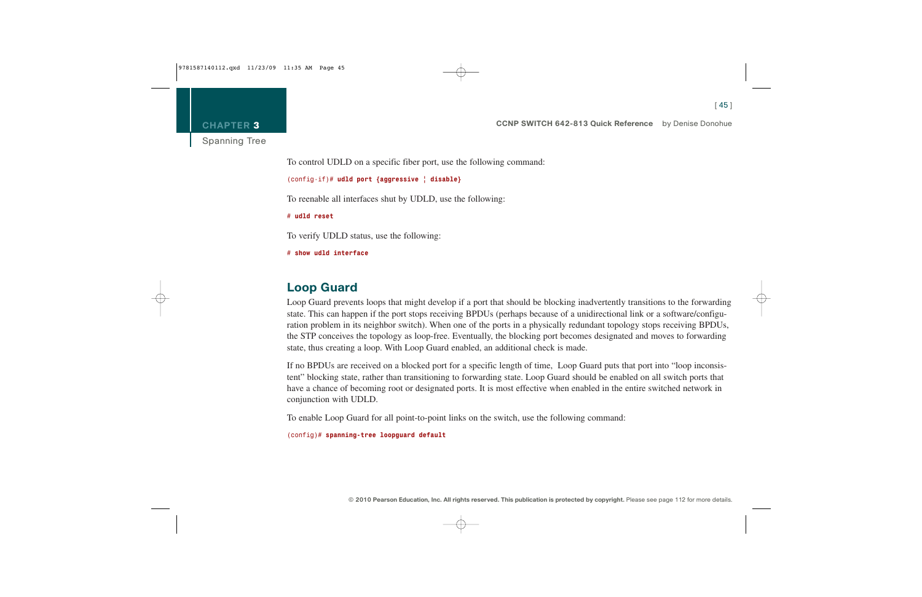[ 45 ]

### Spanning Tree

To control UDLD on a specific fiber port, use the following command:

```
(config-if)# udld port {aggressive | disable}
```
To reenable all interfaces shut by UDLD, use the following:

# **udld reset**

To verify UDLD status, use the following:

# **show udld interface**

### **Loop Guard**

Loop Guard prevents loops that might develop if a port that should be blocking inadvertently transitions to the forwarding state. This can happen if the port stops receiving BPDUs (perhaps because of a unidirectional link or a software/configuration problem in its neighbor switch). When one of the ports in a physically redundant topology stops receiving BPDUs, the STP conceives the topology as loop-free. Eventually, the blocking port becomes designated and moves to forwarding state, thus creating a loop. With Loop Guard enabled, an additional check is made.

If no BPDUs are received on a blocked port for a specific length of time, Loop Guard puts that port into "loop inconsistent" blocking state, rather than transitioning to forwarding state. Loop Guard should be enabled on all switch ports that have a chance of becoming root or designated ports. It is most effective when enabled in the entire switched network in conjunction with UDLD.

To enable Loop Guard for all point-to-point links on the switch, use the following command:

(config)# **spanning-tree loopguard default**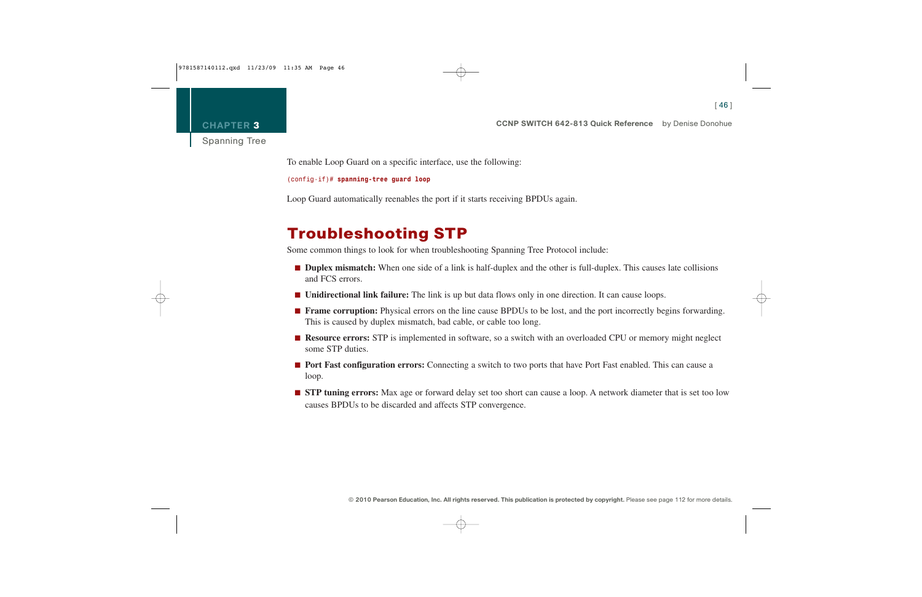[ 46 ]

Spanning Tree

To enable Loop Guard on a specific interface, use the following:

(config-if)# **spanning-tree guard loop**

Loop Guard automatically reenables the port if it starts receiving BPDUs again.

# Troubleshooting STP

Some common things to look for when troubleshooting Spanning Tree Protocol include:

- **n Duplex mismatch:** When one side of a link is half-duplex and the other is full-duplex. This causes late collisions and FCS errors.
- **Unidirectional link failure:** The link is up but data flows only in one direction. It can cause loops.
- **Frame corruption:** Physical errors on the line cause BPDUs to be lost, and the port incorrectly begins forwarding. This is caused by duplex mismatch, bad cable, or cable too long.
- **Resource errors:** STP is implemented in software, so a switch with an overloaded CPU or memory might neglect some STP duties.
- **n Port Fast configuration errors:** Connecting a switch to two ports that have Port Fast enabled. This can cause a loop.
- **STP tuning errors:** Max age or forward delay set too short can cause a loop. A network diameter that is set too low causes BPDUs to be discarded and affects STP convergence.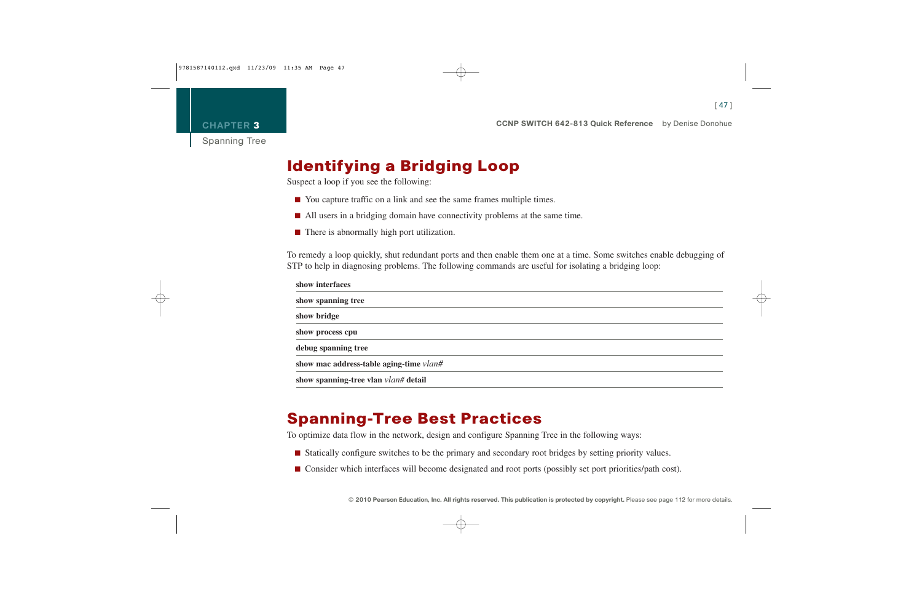# Identifying a Bridging Loop

Suspect a loop if you see the following:

- You capture traffic on a link and see the same frames multiple times.
- <sup>n</sup> All users in a bridging domain have connectivity problems at the same time.
- $\blacksquare$  There is abnormally high port utilization.

To remedy a loop quickly, shut redundant ports and then enable them one at a time. Some switches enable debugging of STP to help in diagnosing problems. The following commands are useful for isolating a bridging loop:

| show interfaces                         |
|-----------------------------------------|
| show spanning tree                      |
| show bridge                             |
| show process cpu                        |
| debug spanning tree                     |
| show mac address-table aging-time vlan# |
| show spanning-tree vlan vlan# detail    |

## Spanning-Tree Best Practices

To optimize data flow in the network, design and configure Spanning Tree in the following ways:

- Statically configure switches to be the primary and secondary root bridges by setting priority values.
- Consider which interfaces will become designated and root ports (possibly set port priorities/path cost).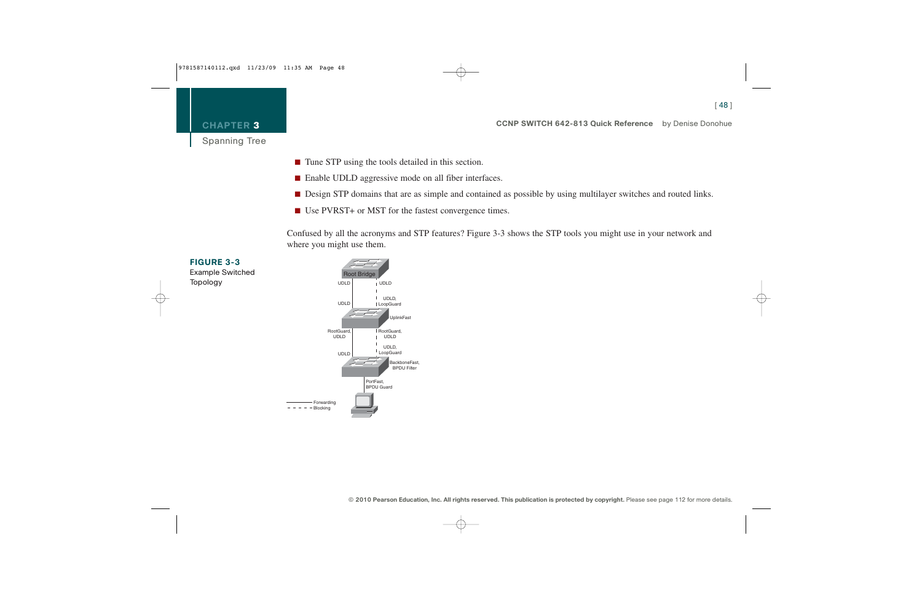[ 48 ]

- $\blacksquare$  Tune STP using the tools detailed in this section.
- Enable UDLD aggressive mode on all fiber interfaces.
- **n** Design STP domains that are as simple and contained as possible by using multilayer switches and routed links.
- Use PVRST+ or MST for the fastest convergence times.

Confused by all the acronyms and STP features? Figure 3-3 shows the STP tools you might use in your network and where you might use them.

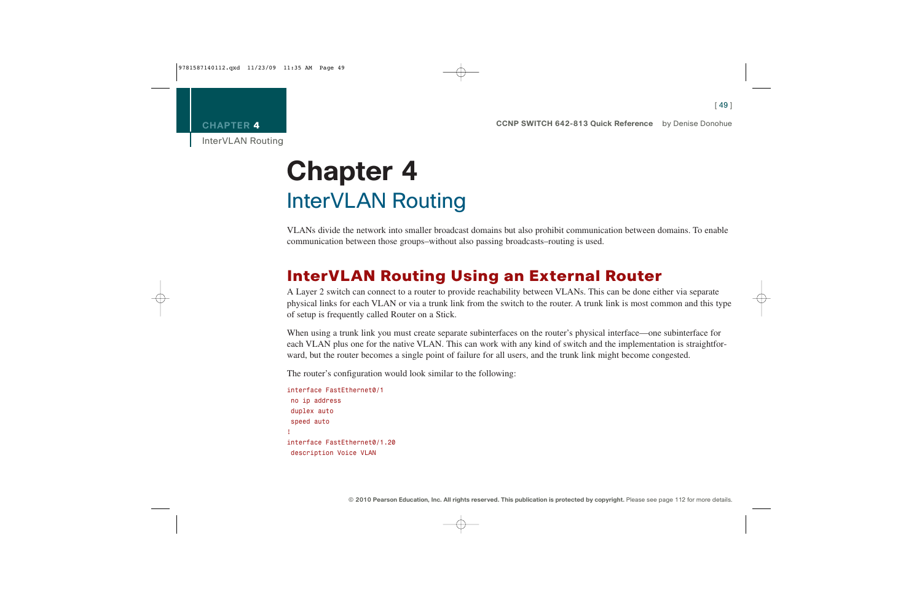InterVLAN Routing

# **Chapter 4** InterVLAN Routing

VLANs divide the network into smaller broadcast domains but also prohibit communication between domains. To enable communication between those groups–without also passing broadcasts–routing is used.

# InterVLAN Routing Using an External Router

A Layer 2 switch can connect to a router to provide reachability between VLANs. This can be done either via separate physical links for each VLAN or via a trunk link from the switch to the router. A trunk link is most common and this type of setup is frequently called Router on a Stick.

When using a trunk link you must create separate subinterfaces on the router's physical interface—one subinterface for each VLAN plus one for the native VLAN. This can work with any kind of switch and the implementation is straightforward, but the router becomes a single point of failure for all users, and the trunk link might become congested.

The router's configuration would look similar to the following:

```
interface FastEthernet0/1
no ip address
duplex auto
speed auto
!
interface FastEthernet0/1.20
description Voice VLAN
```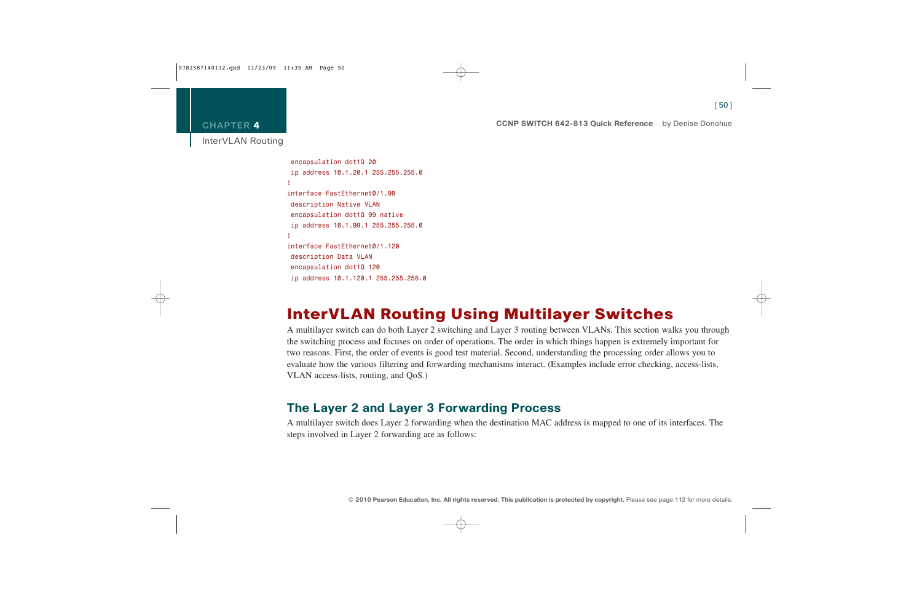#### **CHAPTER**  4

InterVLAN Routing

```
encapsulation dot1Q 20
ip address 10.1.20.1 255.255.255.0
!
interface FastEthernet0/1.99
description Native VLAN
encapsulation dot1Q 99 native
ip address 10.1.99.1 255.255.255.0
!
interface FastEthernet0/1.120
description Data VLAN
encapsulation dot1Q 120
ip address 10.1.120.1 255.255.255.0
```
# InterVLAN Routing Using Multilayer Switches

A multilayer switch can do both Layer 2 switching and Layer 3 routing between VLANs. This section walks you through the switching process and focuses on order of operations. The order in which things happen is extremely important for two reasons. First, the order of events is good test material. Second, understanding the processing order allows you to evaluate how the various filtering and forwarding mechanisms interact. (Examples include error checking, access-lists, VLAN access-lists, routing, and QoS.)

### **The Layer 2 and Layer 3 Forwarding Process**

A multilayer switch does Layer 2 forwarding when the destination MAC address is mapped to one of its interfaces. The steps involved in Layer 2 forwarding are as follows: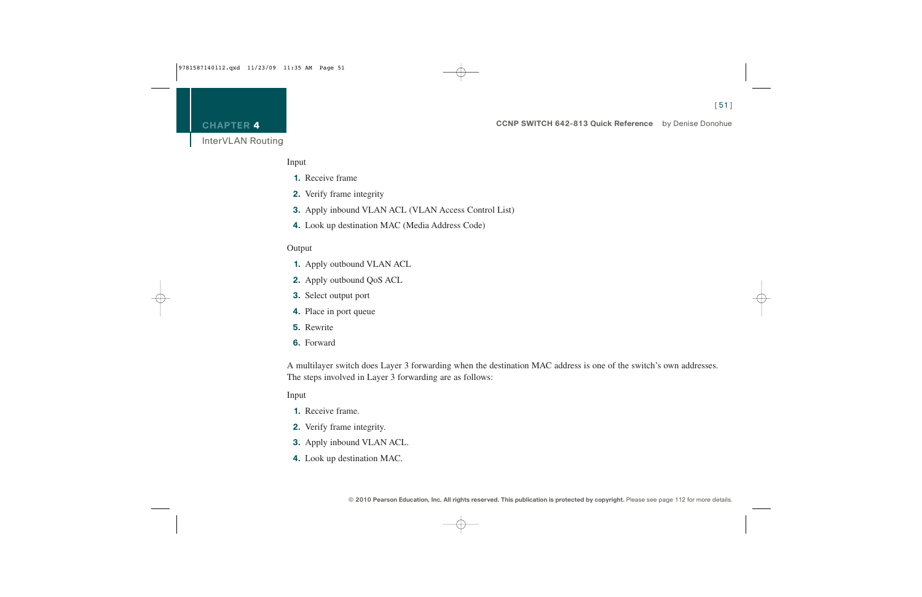#### **CHAPTER**  4

Input

- **1.** Receive frame
- **2.** Verify frame integrity
- **3.** Apply inbound VLAN ACL (VLAN Access Control List)
- **4.** Look up destination MAC (Media Address Code)

### Output

- **1.** Apply outbound VLAN ACL
- **2.** Apply outbound QoS ACL
- **3.** Select output port
- **4.** Place in port queue
- **5.** Rewrite
- **6.** Forward

A multilayer switch does Layer 3 forwarding when the destination MAC address is one of the switch's own addresses. The steps involved in Layer 3 forwarding are as follows:

Input

- **1.** Receive frame.
- **2.** Verify frame integrity.
- **3.** Apply inbound VLAN ACL.
- **4.** Look up destination MAC.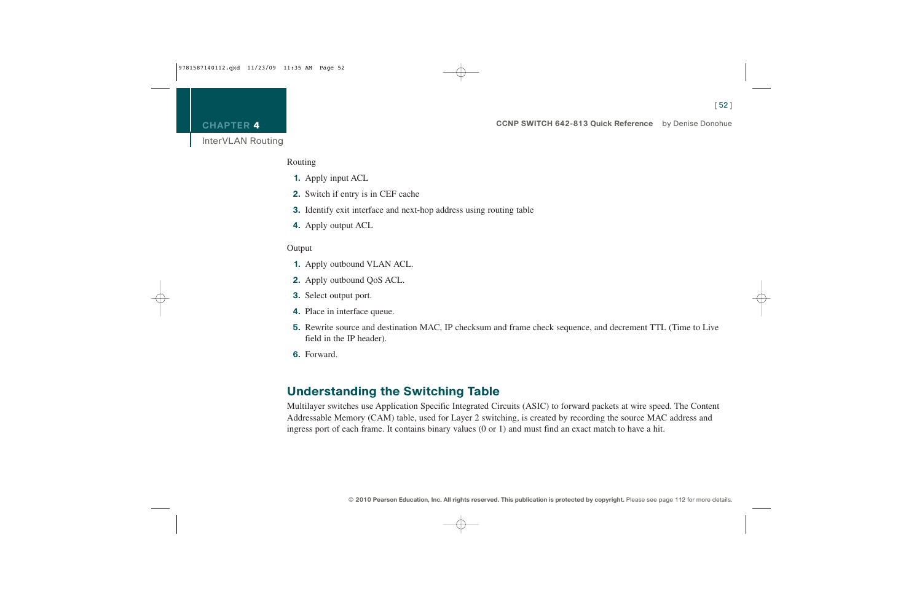#### **CHAPTER**  4

Routing

- **1.** Apply input ACL
- **2.** Switch if entry is in CEF cache
- **3.** Identify exit interface and next-hop address using routing table
- **4.** Apply output ACL

### Output

- **1.** Apply outbound VLAN ACL.
- **2.** Apply outbound QoS ACL.
- **3.** Select output port.
- **4.** Place in interface queue.
- **5.** Rewrite source and destination MAC, IP checksum and frame check sequence, and decrement TTL (Time to Live field in the IP header).
- **6.** Forward.

### **Understanding the Switching Table**

Multilayer switches use Application Specific Integrated Circuits (ASIC) to forward packets at wire speed. The Content Addressable Memory (CAM) table, used for Layer 2 switching, is created by recording the source MAC address and ingress port of each frame. It contains binary values (0 or 1) and must find an exact match to have a hit.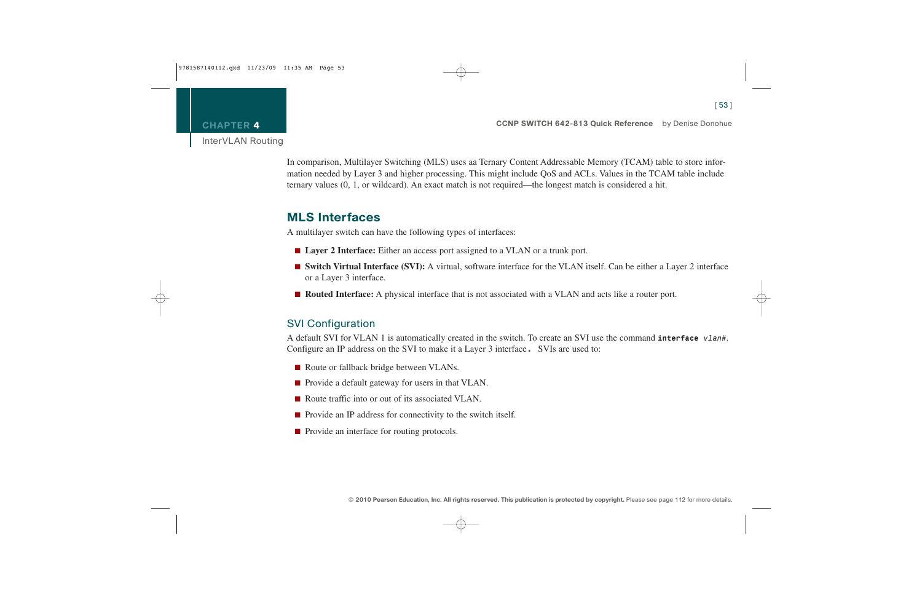[ 53 ]

In comparison, Multilayer Switching (MLS) uses aa Ternary Content Addressable Memory (TCAM) table to store information needed by Layer 3 and higher processing. This might include QoS and ACLs. Values in the TCAM table include ternary values (0, 1, or wildcard). An exact match is not required—the longest match is considered a hit.

### **MLS Interfaces**

A multilayer switch can have the following types of interfaces:

- **Layer 2 Interface:** Either an access port assigned to a VLAN or a trunk port.
- **Switch Virtual Interface (SVI):** A virtual, software interface for the VLAN itself. Can be either a Layer 2 interface or a Layer 3 interface.
- **Routed Interface:** A physical interface that is not associated with a VLAN and acts like a router port.

### SVI Configuration

A default SVI for VLAN 1 is automatically created in the switch. To create an SVI use the command **interface** *vlan#*. Configure an IP address on the SVI to make it a Layer 3 interface. SVIs are used to:

- Route or fallback bridge between VLANs.
- Provide a default gateway for users in that VLAN.
- Route traffic into or out of its associated VLAN.
- Provide an IP address for connectivity to the switch itself.
- **n** Provide an interface for routing protocols.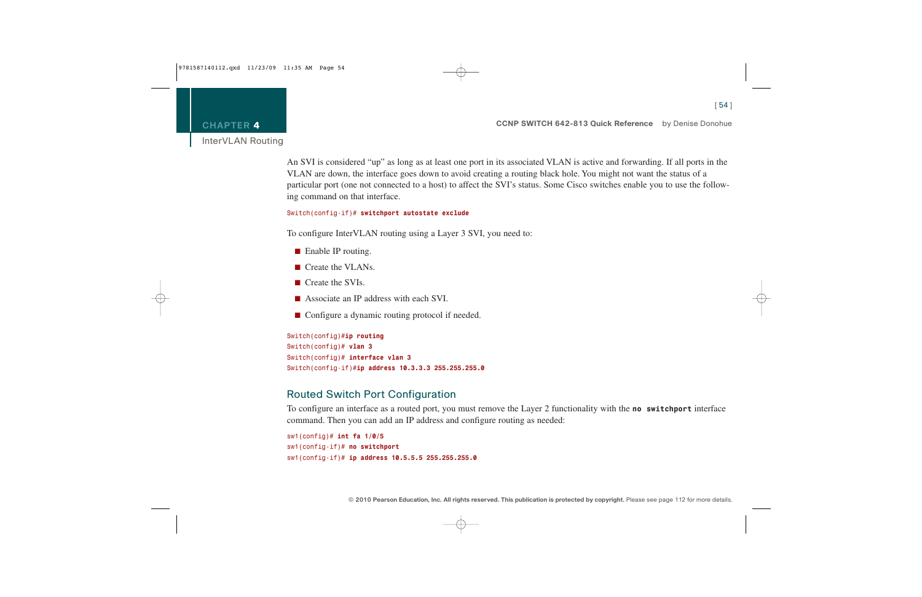[ 54 ]

An SVI is considered "up" as long as at least one port in its associated VLAN is active and forwarding. If all ports in the VLAN are down, the interface goes down to avoid creating a routing black hole. You might not want the status of a particular port (one not connected to a host) to affect the SVI's status. Some Cisco switches enable you to use the following command on that interface.

#### Switch(config-if)# **switchport autostate exclude**

To configure InterVLAN routing using a Layer 3 SVI, you need to:

- $\blacksquare$  Enable IP routing.
- n Create the VLANs.
- Create the SVIs.
- Associate an IP address with each SVI.
- Configure a dynamic routing protocol if needed.

```
Switch(config)#ip routing
Switch(config)# vlan 3
Switch(config)# interface vlan 3
Switch(config-if)#ip address 10.3.3.3 255.255.255.0
```
### Routed Switch Port Configuration

To configure an interface as a routed port, you must remove the Layer 2 functionality with the **no switchport** interface command. Then you can add an IP address and configure routing as needed:

```
sw1(config)# int fa 1/0/5
sw1(config-if)# no switchport
sw1(config-if)# ip address 10.5.5.5 255.255.255.0
```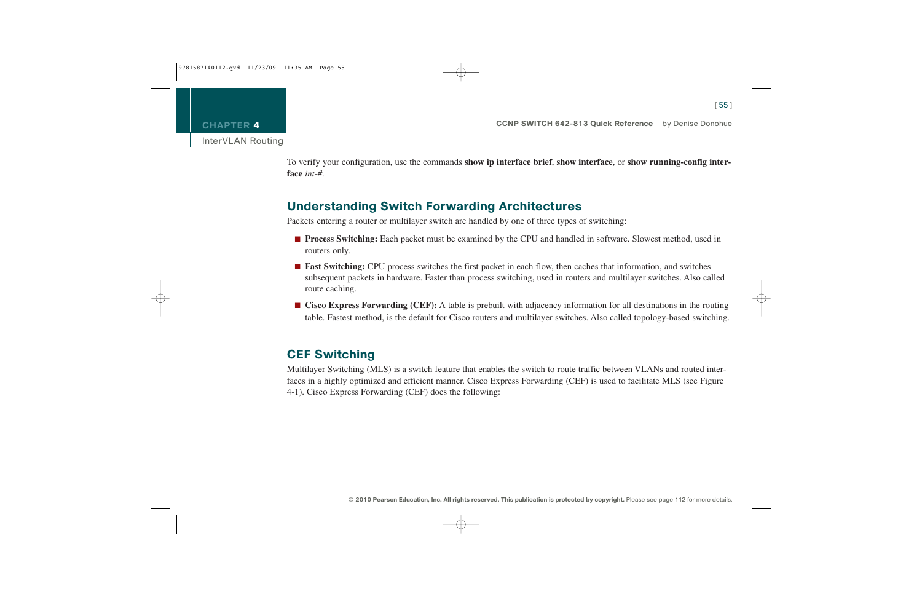[ 55 ]

To verify your configuration, use the commands **show ip interface brief**, **show interface**, or **show running-config interface** *int-#*.

### **Understanding Switch Forwarding Architectures**

Packets entering a router or multilayer switch are handled by one of three types of switching:

- **Process Switching:** Each packet must be examined by the CPU and handled in software. Slowest method, used in routers only.
- **n Fast Switching:** CPU process switches the first packet in each flow, then caches that information, and switches subsequent packets in hardware. Faster than process switching, used in routers and multilayer switches. Also called route caching.
- **Cisco Express Forwarding (CEF):** A table is prebuilt with adjacency information for all destinations in the routing table. Fastest method, is the default for Cisco routers and multilayer switches. Also called topology-based switching.

### **CEF Switching**

Multilayer Switching (MLS) is a switch feature that enables the switch to route traffic between VLANs and routed interfaces in a highly optimized and efficient manner. Cisco Express Forwarding (CEF) is used to facilitate MLS (see Figure 4-1). Cisco Express Forwarding (CEF) does the following: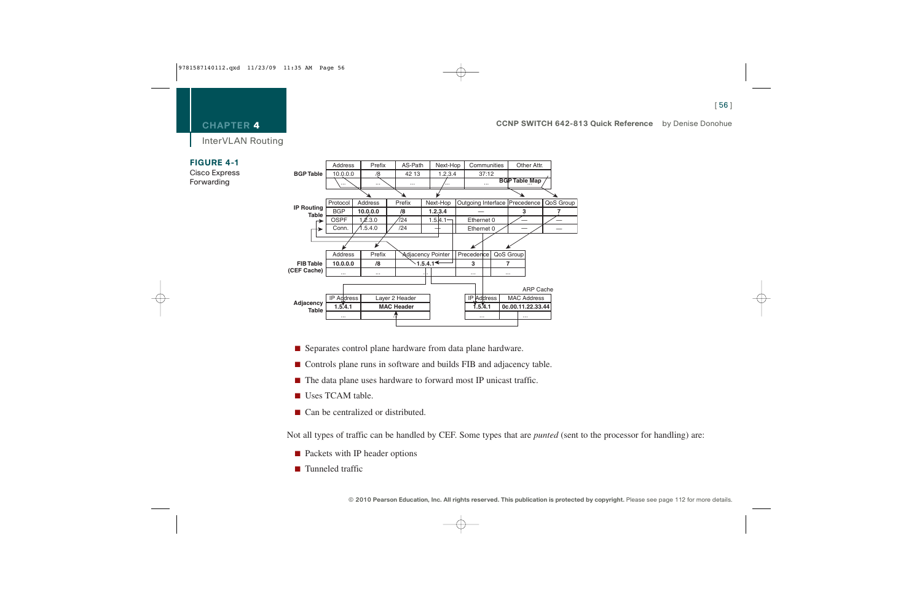#### **CHAPTER**  4

InterVLAN Routing

### **FIGURE 4-1**

Cisco Express Forwarding



- Separates control plane hardware from data plane hardware.
- Controls plane runs in software and builds FIB and adjacency table.
- $\blacksquare$  The data plane uses hardware to forward most IP unicast traffic.
- Uses TCAM table.
- Can be centralized or distributed.

Not all types of traffic can be handled by CEF. Some types that are *punted* (sent to the processor for handling) are:

- $\blacksquare$  Packets with IP header options
- $\blacksquare$  Tunneled traffic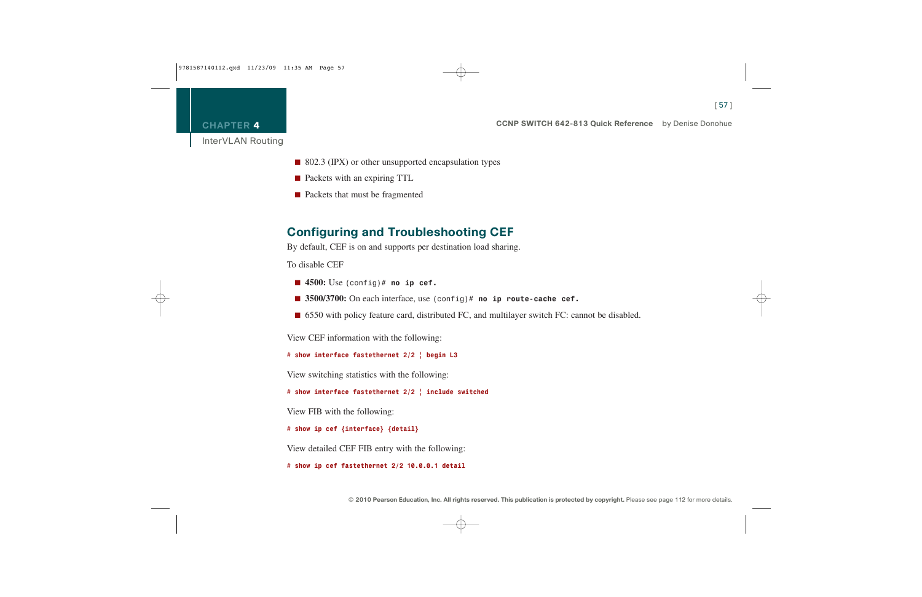[ 57 ]

#### **CHAPTER**  4

- 802.3 (IPX) or other unsupported encapsulation types
- n Packets with an expiring TTL
- $\blacksquare$  Packets that must be fragmented

### **Configuring and Troubleshooting CEF**

By default, CEF is on and supports per destination load sharing.

To disable CEF

- 4500: Use (config)# **no ip cef.**
- 3500/3700: On each interface, use (config)# no ip route-cache cef.
- 6550 with policy feature card, distributed FC, and multilayer switch FC: cannot be disabled.

View CEF information with the following:

```
# show interface fastethernet 2/2 | begin L3
```
View switching statistics with the following:

```
# show interface fastethernet 2/2 | include switched
```
View FIB with the following:

```
# show ip cef {interface} {detail}
```
View detailed CEF FIB entry with the following:

```
# show ip cef fastethernet 2/2 10.0.0.1 detail
```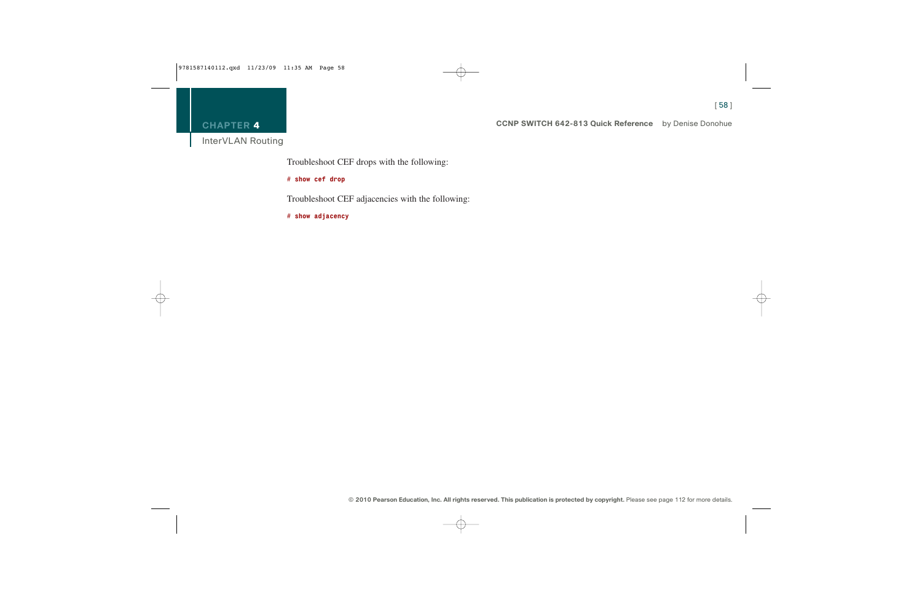### **CHAPTER** 4

InterVLAN Routing

Troubleshoot CEF drops with the following:

# **show cef drop**

Troubleshoot CEF adjacencies with the following:

# **show adjacency**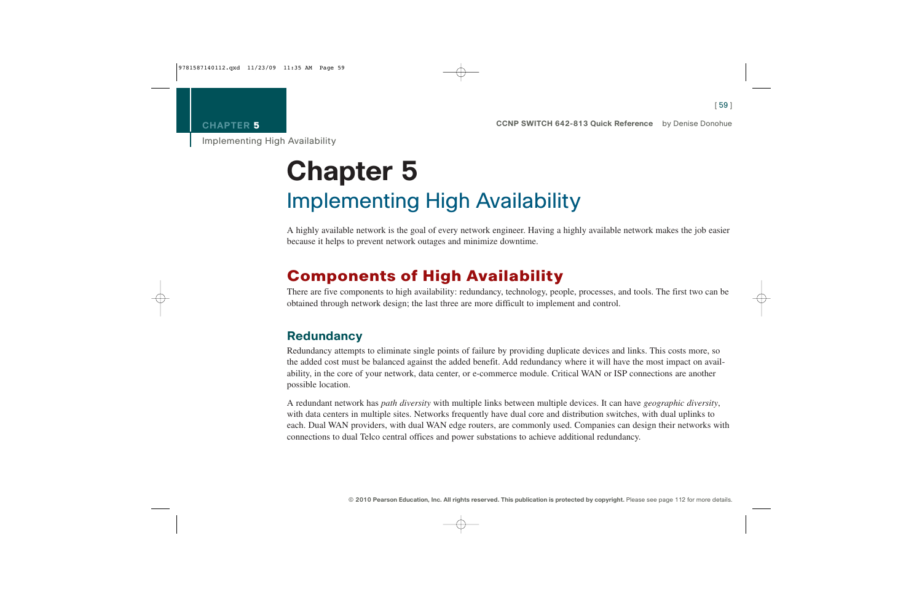Implementing High Availability

# **Chapter 5** Implementing High Availability

A highly available network is the goal of every network engineer. Having a highly available network makes the job easier because it helps to prevent network outages and minimize downtime.

# Components of High Availability

There are five components to high availability: redundancy, technology, people, processes, and tools. The first two can be obtained through network design; the last three are more difficult to implement and control.

### **Redundancy**

Redundancy attempts to eliminate single points of failure by providing duplicate devices and links. This costs more, so the added cost must be balanced against the added benefit. Add redundancy where it will have the most impact on availability, in the core of your network, data center, or e-commerce module. Critical WAN or ISP connections are another possible location.

A redundant network has *path diversity* with multiple links between multiple devices. It can have *geographic diversity*, with data centers in multiple sites. Networks frequently have dual core and distribution switches, with dual uplinks to each. Dual WAN providers, with dual WAN edge routers, are commonly used. Companies can design their networks with connections to dual Telco central offices and power substations to achieve additional redundancy.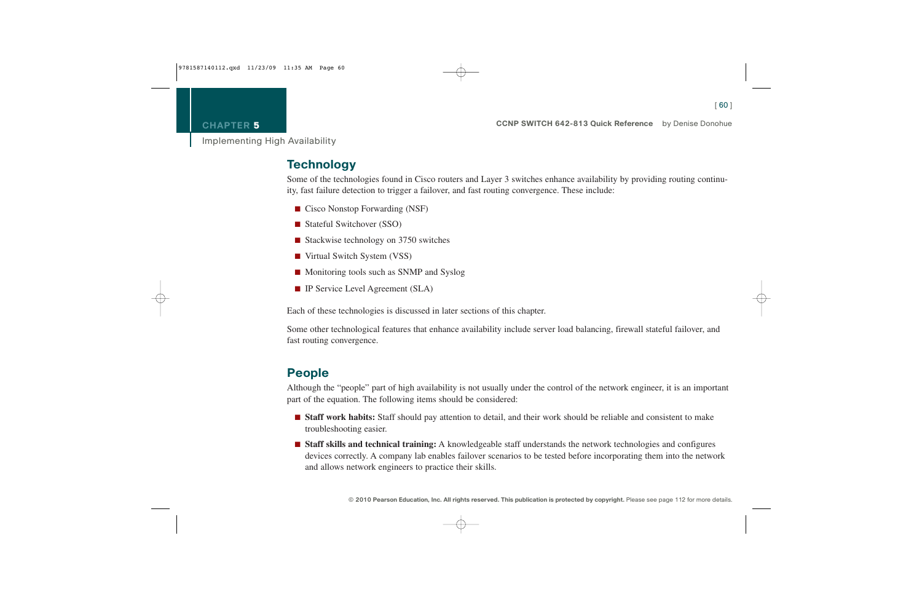Implementing High Availability

### **Technology**

Some of the technologies found in Cisco routers and Layer 3 switches enhance availability by providing routing continuity, fast failure detection to trigger a failover, and fast routing convergence. These include:

- $\blacksquare$  Cisco Nonstop Forwarding (NSF)
- Stateful Switchover (SSO)
- Stackwise technology on  $3750$  switches
- Virtual Switch System (VSS)
- Monitoring tools such as SNMP and Syslog
- **n** IP Service Level Agreement (SLA)

Each of these technologies is discussed in later sections of this chapter.

Some other technological features that enhance availability include server load balancing, firewall stateful failover, and fast routing convergence.

### **People**

Although the "people" part of high availability is not usually under the control of the network engineer, it is an important part of the equation. The following items should be considered:

- **n Staff work habits:** Staff should pay attention to detail, and their work should be reliable and consistent to make troubleshooting easier.
- **Staff skills and technical training:** A knowledgeable staff understands the network technologies and configures devices correctly. A company lab enables failover scenarios to be tested before incorporating them into the network and allows network engineers to practice their skills.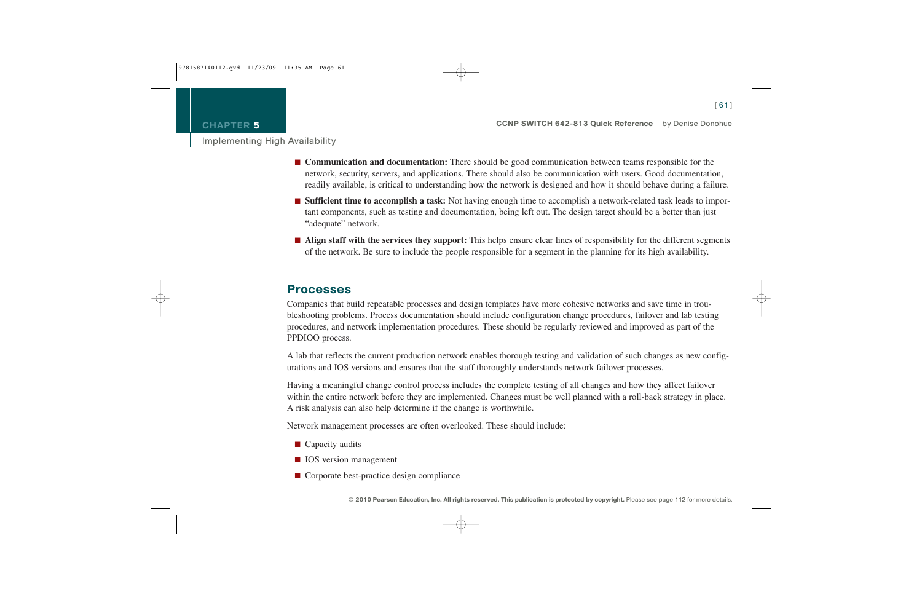#### **CHAPTER**  5

Implementing High Availability

- **Communication and documentation:** There should be good communication between teams responsible for the network, security, servers, and applications. There should also be communication with users. Good documentation, readily available, is critical to understanding how the network is designed and how it should behave during a failure.
- **Sufficient time to accomplish a task:** Not having enough time to accomplish a network-related task leads to important components, such as testing and documentation, being left out. The design target should be a better than just "adequate" network.
- <sup>n</sup> **Align staff with the services they support:** This helps ensure clear lines of responsibility for the different segments of the network. Be sure to include the people responsible for a segment in the planning for its high availability.

### **Processes**

Companies that build repeatable processes and design templates have more cohesive networks and save time in troubleshooting problems. Process documentation should include configuration change procedures, failover and lab testing procedures, and network implementation procedures. These should be regularly reviewed and improved as part of the PPDIOO process.

A lab that reflects the current production network enables thorough testing and validation of such changes as new configurations and IOS versions and ensures that the staff thoroughly understands network failover processes.

Having a meaningful change control process includes the complete testing of all changes and how they affect failover within the entire network before they are implemented. Changes must be well planned with a roll-back strategy in place. A risk analysis can also help determine if the change is worthwhile.

Network management processes are often overlooked. These should include:

- $\blacksquare$  Capacity audits
- **n** IOS version management
- $\blacksquare$  Corporate best-practice design compliance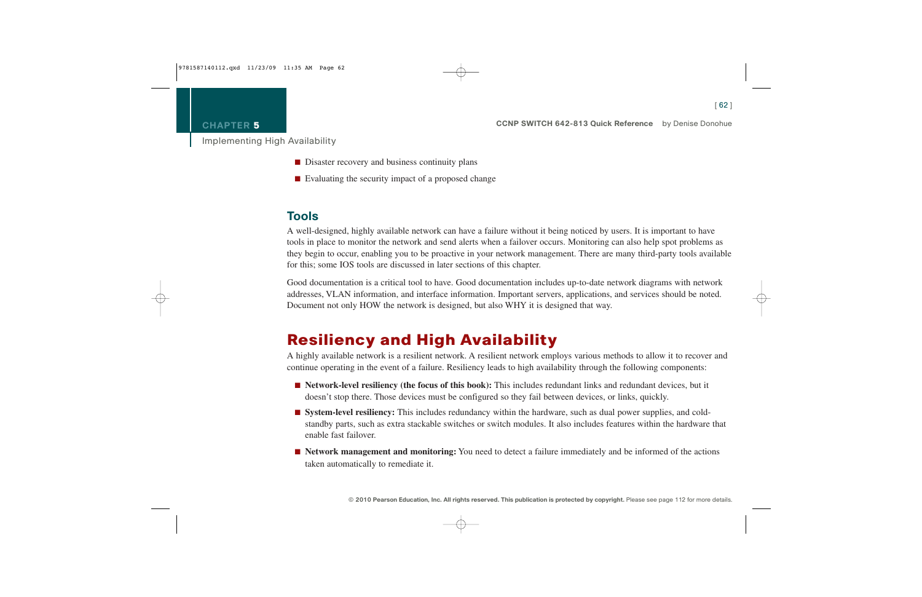#### **CHAPTER**  5

Implementing High Availability

- Disaster recovery and business continuity plans
- $\blacksquare$  Evaluating the security impact of a proposed change

### **Tools**

A well-designed, highly available network can have a failure without it being noticed by users. It is important to have tools in place to monitor the network and send alerts when a failover occurs. Monitoring can also help spot problems as they begin to occur, enabling you to be proactive in your network management. There are many third-party tools available for this; some IOS tools are discussed in later sections of this chapter.

Good documentation is a critical tool to have. Good documentation includes up-to-date network diagrams with network addresses, VLAN information, and interface information. Important servers, applications, and services should be noted. Document not only HOW the network is designed, but also WHY it is designed that way.

## Resiliency and High Availability

A highly available network is a resilient network. A resilient network employs various methods to allow it to recover and continue operating in the event of a failure. Resiliency leads to high availability through the following components:

- <sup>n</sup> **Network-level resiliency (the focus of this book):** This includes redundant links and redundant devices, but it doesn't stop there. Those devices must be configured so they fail between devices, or links, quickly.
- **System-level resiliency:** This includes redundancy within the hardware, such as dual power supplies, and coldstandby parts, such as extra stackable switches or switch modules. It also includes features within the hardware that enable fast failover.
- **n Network management and monitoring:** You need to detect a failure immediately and be informed of the actions taken automatically to remediate it.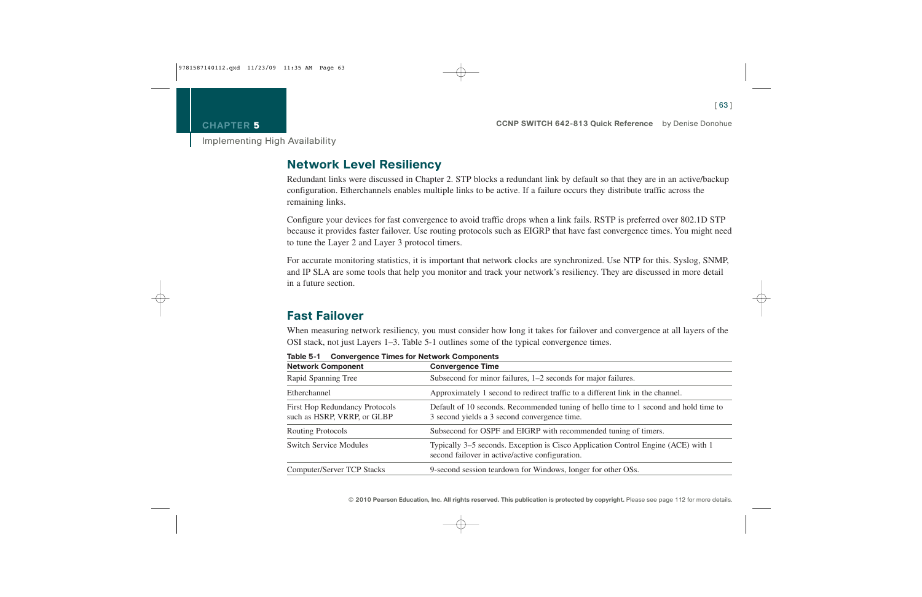Implementing High Availability

### **Network Level Resiliency**

Redundant links were discussed in Chapter 2. STP blocks a redundant link by default so that they are in an active/backup configuration. Etherchannels enables multiple links to be active. If a failure occurs they distribute traffic across the remaining links.

Configure your devices for fast convergence to avoid traffic drops when a link fails. RSTP is preferred over 802.1D STP because it provides faster failover. Use routing protocols such as EIGRP that have fast convergence times. You might need to tune the Layer 2 and Layer 3 protocol timers.

For accurate monitoring statistics, it is important that network clocks are synchronized. Use NTP for this. Syslog, SNMP, and IP SLA are some tools that help you monitor and track your network's resiliency. They are discussed in more detail in a future section.

### **Fast Failover**

When measuring network resiliency, you must consider how long it takes for failover and convergence at all layers of the OSI stack, not just Layers 1–3. Table 5-1 outlines some of the typical convergence times.

| <b>Network Component</b>                                             | <b>Convergence Time</b>                                                                                                              |  |
|----------------------------------------------------------------------|--------------------------------------------------------------------------------------------------------------------------------------|--|
| Rapid Spanning Tree                                                  | Subsecond for minor failures, 1–2 seconds for major failures.                                                                        |  |
| Etherchannel                                                         | Approximately 1 second to redirect traffic to a different link in the channel.                                                       |  |
| <b>First Hop Redundancy Protocols</b><br>such as HSRP, VRRP, or GLBP | Default of 10 seconds. Recommended tuning of hello time to 1 second and hold time to<br>3 second yields a 3 second convergence time. |  |
| <b>Routing Protocols</b>                                             | Subsecond for OSPF and EIGRP with recommended tuning of timers.                                                                      |  |
| <b>Switch Service Modules</b>                                        | Typically 3–5 seconds. Exception is Cisco Application Control Engine (ACE) with 1<br>second failover in active/active configuration. |  |
| <b>Computer/Server TCP Stacks</b>                                    | 9-second session teardown for Windows, longer for other OSs.                                                                         |  |

**Table 5-1 Convergence Times for Network Components**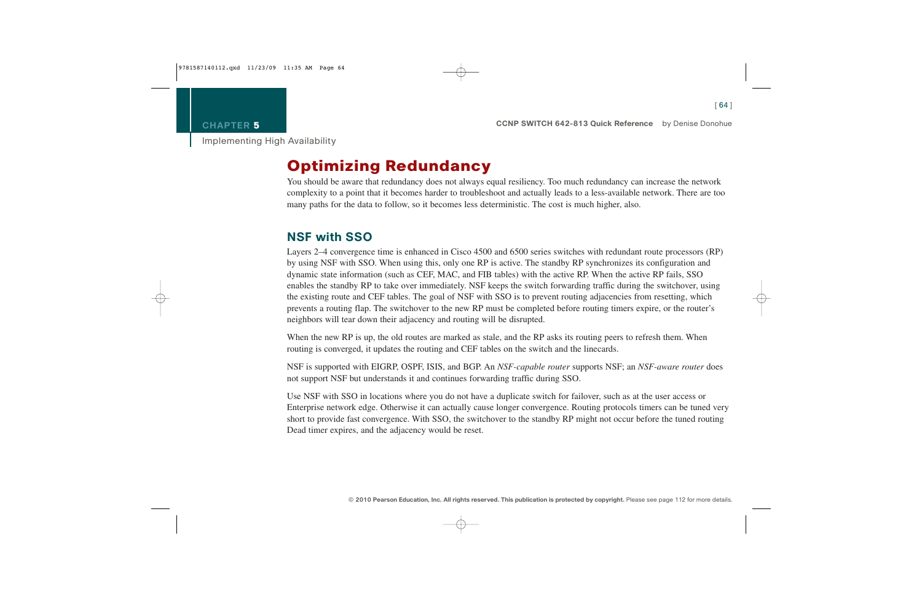Implementing High Availability

# Optimizing Redundancy

You should be aware that redundancy does not always equal resiliency. Too much redundancy can increase the network complexity to a point that it becomes harder to troubleshoot and actually leads to a less-available network. There are too many paths for the data to follow, so it becomes less deterministic. The cost is much higher, also.

### **NSF with SSO**

Layers 2–4 convergence time is enhanced in Cisco 4500 and 6500 series switches with redundant route processors (RP) by using NSF with SSO. When using this, only one RP is active. The standby RP synchronizes its configuration and dynamic state information (such as CEF, MAC, and FIB tables) with the active RP. When the active RP fails, SSO enables the standby RP to take over immediately. NSF keeps the switch forwarding traffic during the switchover, using the existing route and CEF tables. The goal of NSF with SSO is to prevent routing adjacencies from resetting, which prevents a routing flap. The switchover to the new RP must be completed before routing timers expire, or the router's neighbors will tear down their adjacency and routing will be disrupted.

When the new RP is up, the old routes are marked as stale, and the RP asks its routing peers to refresh them. When routing is converged, it updates the routing and CEF tables on the switch and the linecards.

NSF is supported with EIGRP, OSPF, ISIS, and BGP. An *NSF-capable router* supports NSF; an *NSF-aware router* does not support NSF but understands it and continues forwarding traffic during SSO.

Use NSF with SSO in locations where you do not have a duplicate switch for failover, such as at the user access or Enterprise network edge. Otherwise it can actually cause longer convergence. Routing protocols timers can be tuned very short to provide fast convergence. With SSO, the switchover to the standby RP might not occur before the tuned routing Dead timer expires, and the adjacency would be reset.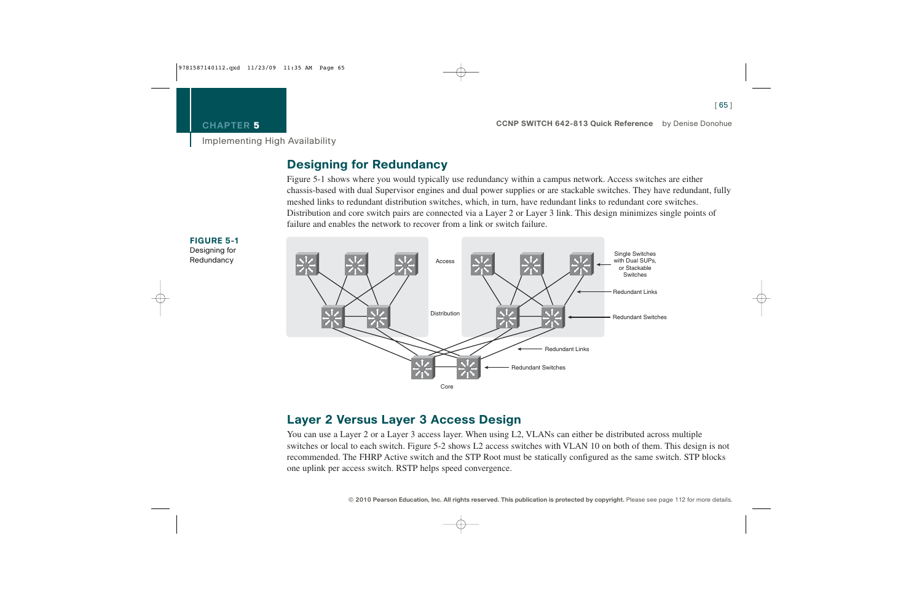#### **CHAPTER**  5

### **Designing for Redundancy**

Figure 5-1 shows where you would typically use redundancy within a campus network. Access switches are either chassis-based with dual Supervisor engines and dual power supplies or are stackable switches. They have redundant, fully meshed links to redundant distribution switches, which, in turn, have redundant links to redundant core switches. Distribution and core switch pairs are connected via a Layer 2 or Layer 3 link. This design minimizes single points of failure and enables the network to recover from a link or switch failure. CHAPTER 5<br>
Implementing High Availability<br> **Designing for Redundancy**<br>
Figure 5-1 shows where you would typically use redundancy within a campus network. Access switchassis-based with dual Supervisor engines and dual powe



### **Layer 2 Versus Layer 3 Access Design**

You can use a Layer 2 or a Layer 3 access layer. When using L2, VLANs can either be distributed across multiple switches or local to each switch. Figure 5-2 shows L2 access switches with VLAN 10 on both of them. This design is not recommended. The FHRP Active switch and the STP Root must be statically configured as the same switch. STP blocks one uplink per access switch. RSTP helps speed convergence.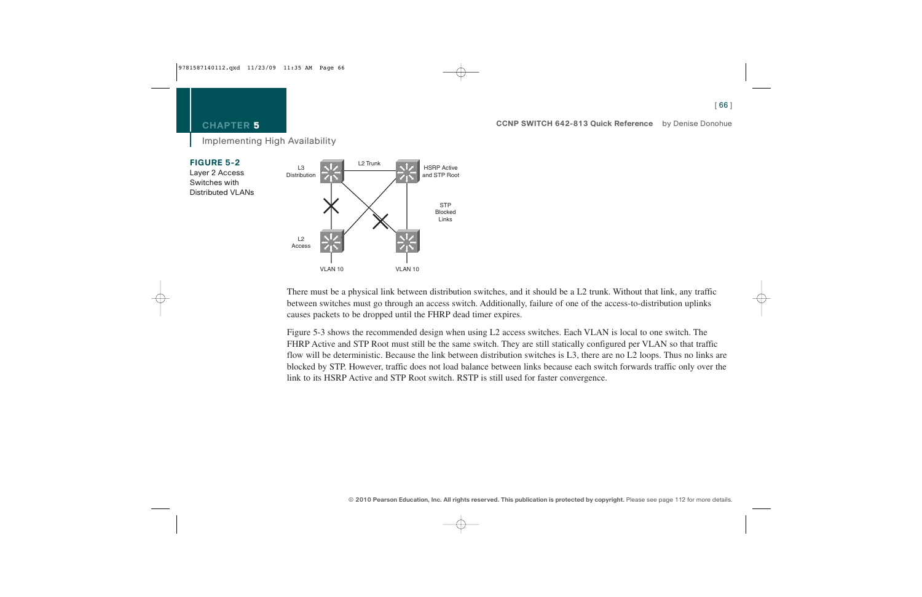#### **CCNP SWITCH 642-813 Quick Reference** by Denise Donohue

Implementing High Availability

### **FIGURE 5-2**

Layer 2 Access Switches with Distributed VLANs



There must be a physical link between distribution switches, and it should be a L2 trunk. Without that link, any traffic between switches must go through an access switch. Additionally, failure of one of the access-to-distribution uplinks causes packets to be dropped until the FHRP dead timer expires.

Figure 5-3 shows the recommended design when using L2 access switches. Each VLAN is local to one switch. The FHRP Active and STP Root must still be the same switch. They are still statically configured per VLAN so that traffic flow will be deterministic. Because the link between distribution switches is L3, there are no L2 loops. Thus no links are blocked by STP. However, traffic does not load balance between links because each switch forwards traffic only over the link to its HSRP Active and STP Root switch. RSTP is still used for faster convergence.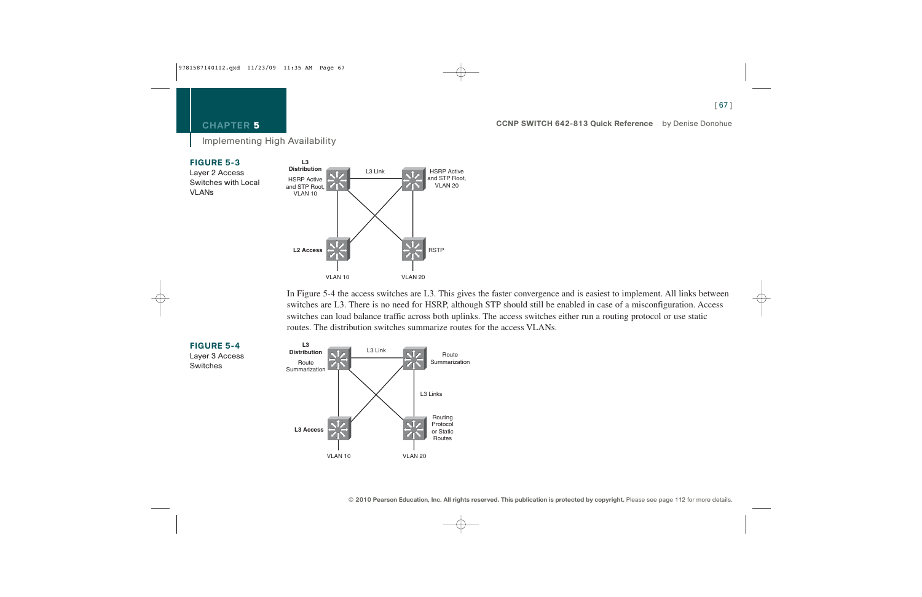#### **CCNP SWITCH 642-813 Quick Reference** by Denise Donohue

Implementing High Availability

### **FIGURE 5-3**

Layer 2 Access Switches with Local VLANs



In Figure 5-4 the access switches are L3. This gives the faster convergence and is easiest to implement. All links between switches are L3. There is no need for HSRP, although STP should still be enabled in case of a misconfiguration. Access switches can load balance traffic across both uplinks. The access switches either run a routing protocol or use static routes. The distribution switches summarize routes for the access VLANs.



**© 2010 Pearson Education, Inc. All rights reserved. This publication is protected by copyright.** Please see page 112 for more details.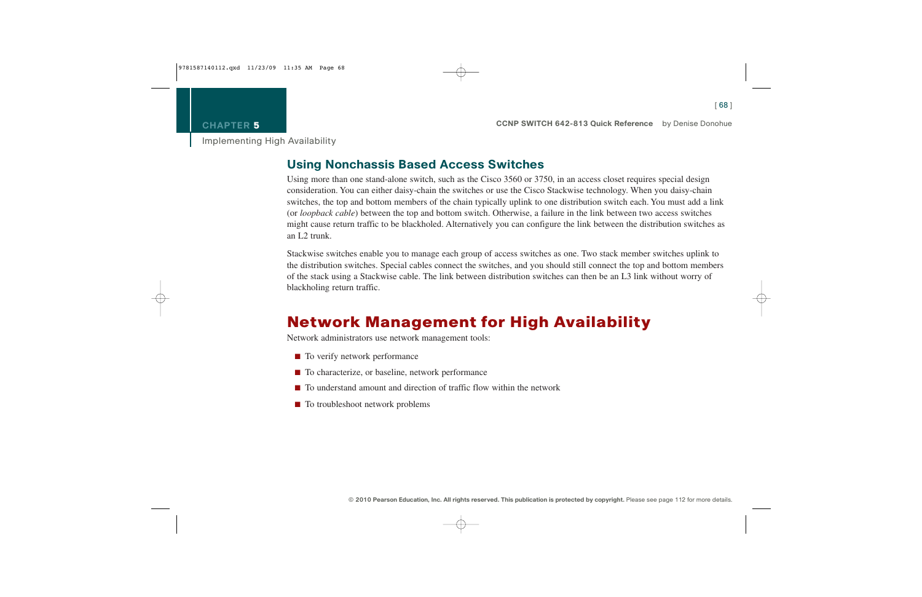[ 68 ]

Implementing High Availability

### **Using Nonchassis Based Access Switches**

Using more than one stand-alone switch, such as the Cisco 3560 or 3750, in an access closet requires special design consideration. You can either daisy-chain the switches or use the Cisco Stackwise technology. When you daisy-chain switches, the top and bottom members of the chain typically uplink to one distribution switch each. You must add a link (or *loopback cable*) between the top and bottom switch. Otherwise, a failure in the link between two access switches might cause return traffic to be blackholed. Alternatively you can configure the link between the distribution switches as an L2 trunk.

Stackwise switches enable you to manage each group of access switches as one. Two stack member switches uplink to the distribution switches. Special cables connect the switches, and you should still connect the top and bottom members of the stack using a Stackwise cable. The link between distribution switches can then be an L3 link without worry of blackholing return traffic.

# Network Management for High Availability

Network administrators use network management tools:

- $\blacksquare$  To verify network performance
- $\blacksquare$  To characterize, or baseline, network performance
- $\blacksquare$  To understand amount and direction of traffic flow within the network
- $\blacksquare$  To troubleshoot network problems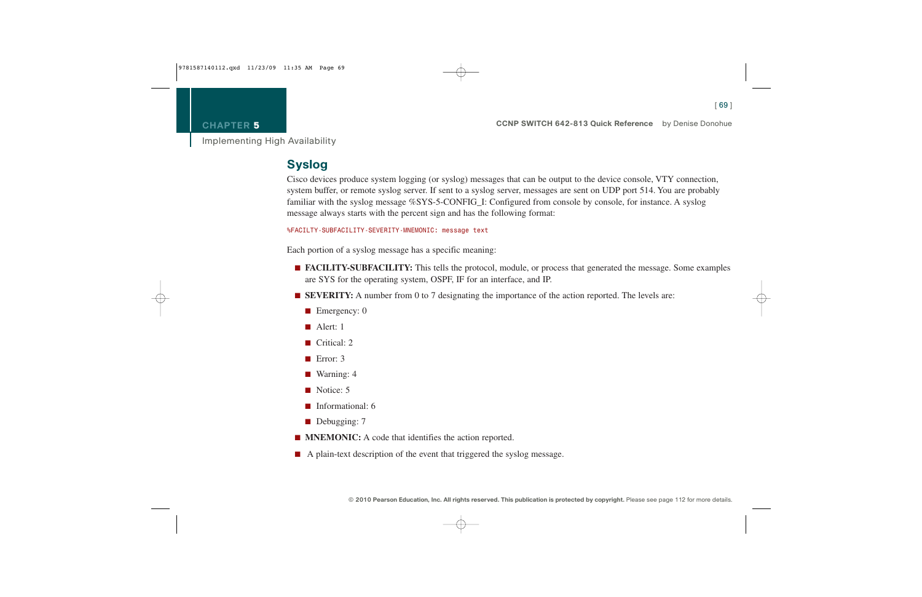Implementing High Availability

### **Syslog**

Cisco devices produce system logging (or syslog) messages that can be output to the device console, VTY connection, system buffer, or remote syslog server. If sent to a syslog server, messages are sent on UDP port 514. You are probably familiar with the syslog message %SYS-5-CONFIG\_I: Configured from console by console, for instance. A syslog message always starts with the percent sign and has the following format:

%FACILTY-SUBFACILITY-SEVERITY-MNEMONIC: message text

Each portion of a syslog message has a specific meaning:

- **FACILITY-SUBFACILITY:** This tells the protocol, module, or process that generated the message. Some examples are SYS for the operating system, OSPF, IF for an interface, and IP.
- **SEVERITY:** A number from 0 to 7 designating the importance of the action reported. The levels are:
	- $\blacksquare$  Emergency: 0
	- $\blacksquare$  Alert: 1
	- $\Box$  Critical: 2
	- Error: 3
	- **Naming: 4**
	- Notice: 5
	- n Informational: 6
	- $\blacksquare$  Debugging: 7
- **n MNEMONIC:** A code that identifies the action reported.
- $\blacksquare$  A plain-text description of the event that triggered the syslog message.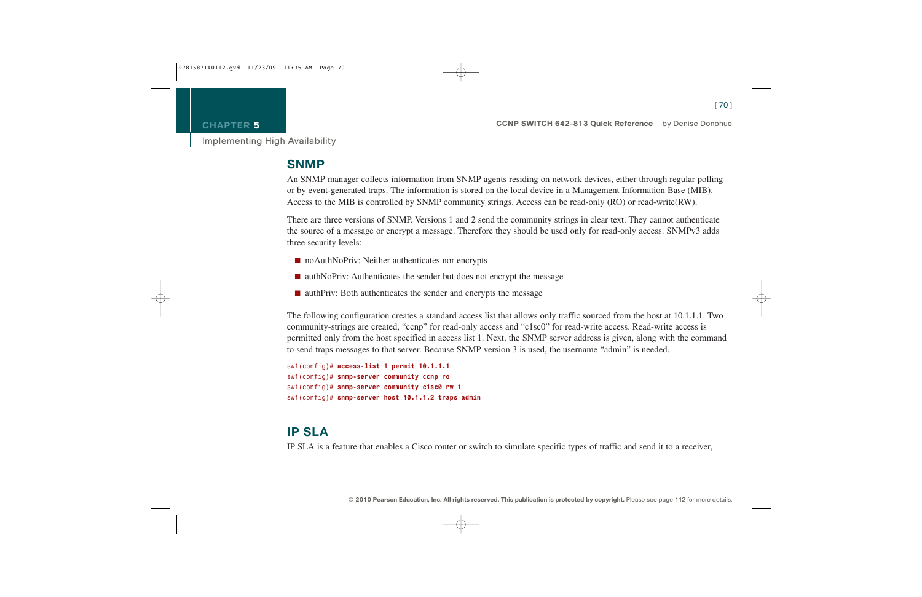[ 70 ]

Implementing High Availability

### **SNMP**

An SNMP manager collects information from SNMP agents residing on network devices, either through regular polling or by event-generated traps. The information is stored on the local device in a Management Information Base (MIB). Access to the MIB is controlled by SNMP community strings. Access can be read-only (RO) or read-write(RW).

There are three versions of SNMP. Versions 1 and 2 send the community strings in clear text. They cannot authenticate the source of a message or encrypt a message. Therefore they should be used only for read-only access. SNMPv3 adds three security levels:

- $\blacksquare$  noAuthNoPriv: Neither authenticates nor encrypts
- $\blacksquare$  authNoPriv: Authenticates the sender but does not encrypt the message
- $\blacksquare$  authPriv: Both authenticates the sender and encrypts the message

The following configuration creates a standard access list that allows only traffic sourced from the host at 10.1.1.1. Two community-strings are created, "ccnp" for read-only access and "c1sc0" for read-write access. Read-write access is permitted only from the host specified in access list 1. Next, the SNMP server address is given, along with the command to send traps messages to that server. Because SNMP version 3 is used, the username "admin" is needed.

```
sw1(config)# access-list 1 permit 10.1.1.1
sw1(config)# snmp-server community ccnp ro
sw1(config)# snmp-server community c1sc0 rw 1
sw1(config)# snmp-server host 10.1.1.2 traps admin
```
### **IP SLA**

IP SLA is a feature that enables a Cisco router or switch to simulate specific types of traffic and send it to a receiver,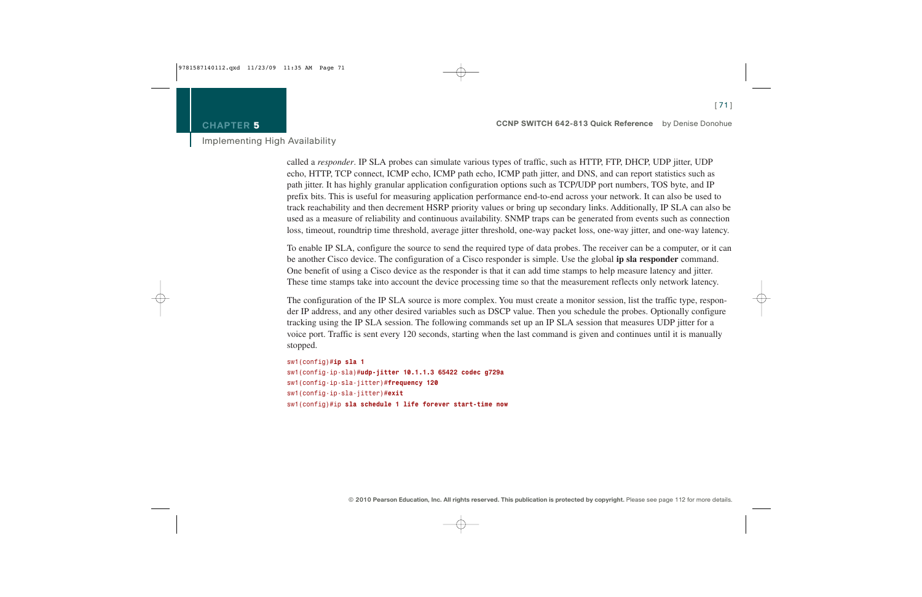[ 71 ]

Implementing High Availability

called a *responder*. IP SLA probes can simulate various types of traffic, such as HTTP, FTP, DHCP, UDP jitter, UDP echo, HTTP, TCP connect, ICMP echo, ICMP path echo, ICMP path jitter, and DNS, and can report statistics such as path jitter. It has highly granular application configuration options such as TCP/UDP port numbers, TOS byte, and IP prefix bits. This is useful for measuring application performance end-to-end across your network. It can also be used to track reachability and then decrement HSRP priority values or bring up secondary links. Additionally, IP SLA can also be used as a measure of reliability and continuous availability. SNMP traps can be generated from events such as connection loss, timeout, roundtrip time threshold, average jitter threshold, one-way packet loss, one-way jitter, and one-way latency.

To enable IP SLA, configure the source to send the required type of data probes. The receiver can be a computer, or it can be another Cisco device. The configuration of a Cisco responder is simple. Use the global **ip sla responder** command. One benefit of using a Cisco device as the responder is that it can add time stamps to help measure latency and jitter. These time stamps take into account the device processing time so that the measurement reflects only network latency.

The configuration of the IP SLA source is more complex. You must create a monitor session, list the traffic type, responder IP address, and any other desired variables such as DSCP value. Then you schedule the probes. Optionally configure tracking using the IP SLA session. The following commands set up an IP SLA session that measures UDP jitter for a voice port. Traffic is sent every 120 seconds, starting when the last command is given and continues until it is manually stopped.

```
sw1(config)#ip sla 1
sw1(config-ip-sla)#udp-jitter 10.1.1.3 65422 codec g729a
sw1(config-ip-sla-jitter)#frequency 120
sw1(config-ip-sla-jitter)#exit
sw1(config)#ip sla schedule 1 life forever start-time now
```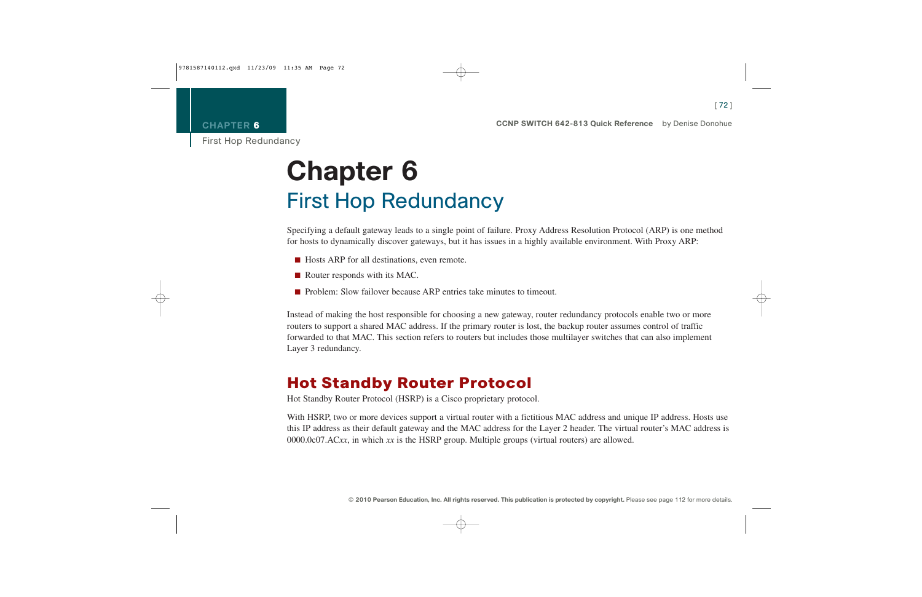[ 72 ]

First Hop Redundancy

# **Chapter 6** First Hop Redundancy

Specifying a default gateway leads to a single point of failure. Proxy Address Resolution Protocol (ARP) is one method for hosts to dynamically discover gateways, but it has issues in a highly available environment. With Proxy ARP:

- Hosts ARP for all destinations, even remote.
- $\blacksquare$  Router responds with its MAC.
- Problem: Slow failover because ARP entries take minutes to timeout.

Instead of making the host responsible for choosing a new gateway, router redundancy protocols enable two or more routers to support a shared MAC address. If the primary router is lost, the backup router assumes control of traffic forwarded to that MAC. This section refers to routers but includes those multilayer switches that can also implement Layer 3 redundancy.

## Hot Standby Router Protocol

Hot Standby Router Protocol (HSRP) is a Cisco proprietary protocol.

With HSRP, two or more devices support a virtual router with a fictitious MAC address and unique IP address. Hosts use this IP address as their default gateway and the MAC address for the Layer 2 header. The virtual router's MAC address is 0000.0c07.AC*xx*, in which *xx* is the HSRP group. Multiple groups (virtual routers) are allowed.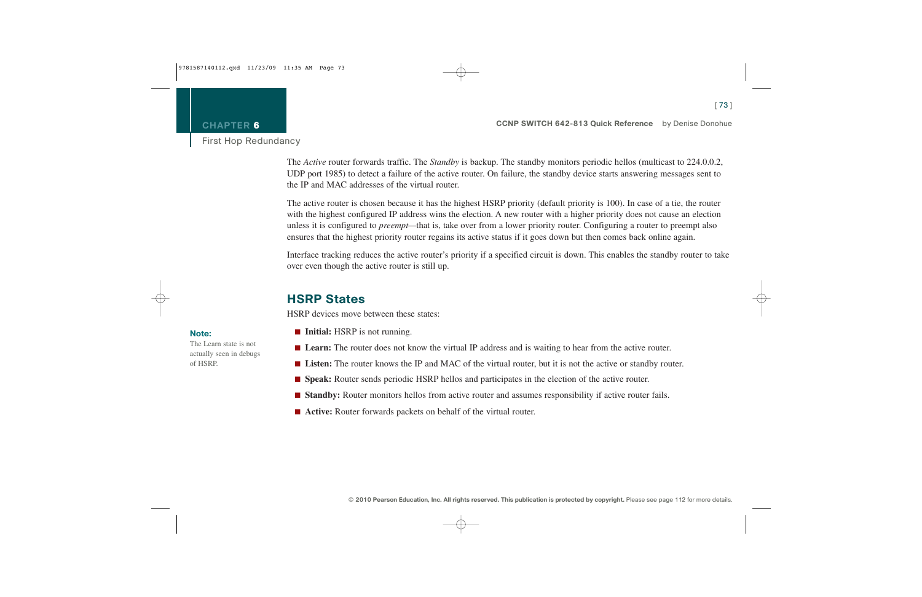[ 73 ]

#### **CHAPTER**  6

First Hop Redundancy

The *Active* router forwards traffic. The *Standby* is backup. The standby monitors periodic hellos (multicast to 224.0.0.2, UDP port 1985) to detect a failure of the active router. On failure, the standby device starts answering messages sent to the IP and MAC addresses of the virtual router.

The active router is chosen because it has the highest HSRP priority (default priority is 100). In case of a tie, the router with the highest configured IP address wins the election. A new router with a higher priority does not cause an election unless it is configured to *preempt—*that is, take over from a lower priority router. Configuring a router to preempt also ensures that the highest priority router regains its active status if it goes down but then comes back online again.

Interface tracking reduces the active router's priority if a specified circuit is down. This enables the standby router to take over even though the active router is still up.

### **HSRP States**

HSRP devices move between these states:

- **n Initial:** HSRP is not running.
- **n Learn:** The router does not know the virtual IP address and is waiting to hear from the active router.
- **Listen:** The router knows the IP and MAC of the virtual router, but it is not the active or standby router.
- **n Speak:** Router sends periodic HSRP hellos and participates in the election of the active router.
- **n Standby:** Router monitors hellos from active router and assumes responsibility if active router fails.
- **Active:** Router forwards packets on behalf of the virtual router.

#### **Note:**

The Learn state is not actually seen in debugs of HSRP.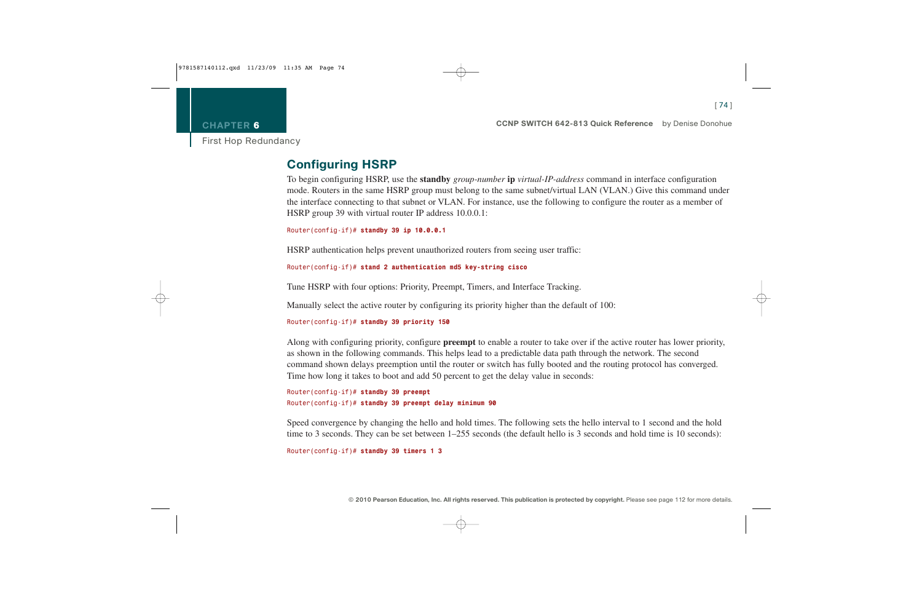[ 74 ]

#### **CHAPTER** 6

First Hop Redundancy

### **Configuring HSRP**

To begin configuring HSRP, use the **standby** *group-number* **ip** *virtual-IP-address* command in interface configuration mode. Routers in the same HSRP group must belong to the same subnet/virtual LAN (VLAN.) Give this command under the interface connecting to that subnet or VLAN. For instance, use the following to configure the router as a member of HSRP group 39 with virtual router IP address 10.0.0.1:

```
Router(config-if)# standby 39 ip 10.0.0.1
```
HSRP authentication helps prevent unauthorized routers from seeing user traffic:

#### Router(config-if)# **stand 2 authentication md5 key-string cisco**

Tune HSRP with four options: Priority, Preempt, Timers, and Interface Tracking.

Manually select the active router by configuring its priority higher than the default of 100:

#### Router(config-if)# **standby 39 priority 150**

Along with configuring priority, configure **preempt** to enable a router to take over if the active router has lower priority, as shown in the following commands. This helps lead to a predictable data path through the network. The second command shown delays preemption until the router or switch has fully booted and the routing protocol has converged. Time how long it takes to boot and add 50 percent to get the delay value in seconds:

```
Router(config-if)# standby 39 preempt
Router(config-if)# standby 39 preempt delay minimum 90
```
Speed convergence by changing the hello and hold times. The following sets the hello interval to 1 second and the hold time to 3 seconds. They can be set between  $1-255$  seconds (the default hello is 3 seconds and hold time is 10 seconds):

```
Router(config-if)# standby 39 timers 1 3
```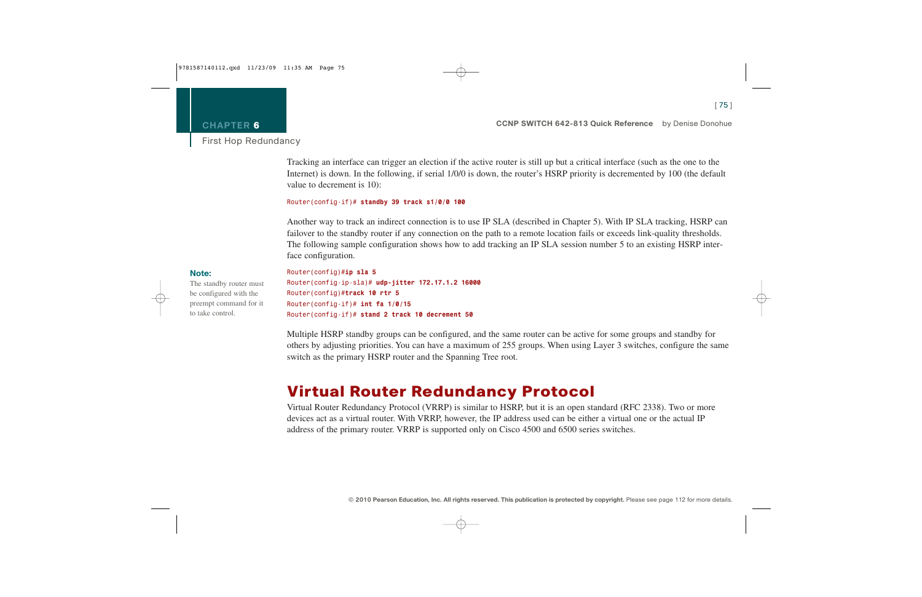First Hop Redundancy

[ 75 ]

Tracking an interface can trigger an election if the active router is still up but a critical interface (such as the one to the Internet) is down. In the following, if serial 1/0/0 is down, the router's HSRP priority is decremented by 100 (the default value to decrement is 10):

```
Router(config-if)# standby 39 track s1/0/0 100
```
Another way to track an indirect connection is to use IP SLA (described in Chapter 5). With IP SLA tracking, HSRP can failover to the standby router if any connection on the path to a remote location fails or exceeds link-quality thresholds. The following sample configuration shows how to add tracking an IP SLA session number 5 to an existing HSRP interface configuration.

```
Router(config)#ip sla 5
Router(config-ip-sla)# udp-jitter 172.17.1.2 16000
Router(config)#track 10 rtr 5
Router(config-if)# int fa 1/0/15
Router(config-if)# stand 2 track 10 decrement 50
```
Multiple HSRP standby groups can be configured, and the same router can be active for some groups and standby for others by adjusting priorities. You can have a maximum of 255 groups. When using Layer 3 switches, configure the same switch as the primary HSRP router and the Spanning Tree root.

# Virtual Router Redundancy Protocol

Virtual Router Redundancy Protocol (VRRP) is similar to HSRP, but it is an open standard (RFC 2338). Two or more devices act as a virtual router. With VRRP, however, the IP address used can be either a virtual one or the actual IP address of the primary router. VRRP is supported only on Cisco 4500 and 6500 series switches.

#### **Note:**

The standby router must be configured with the preempt command for it to take control.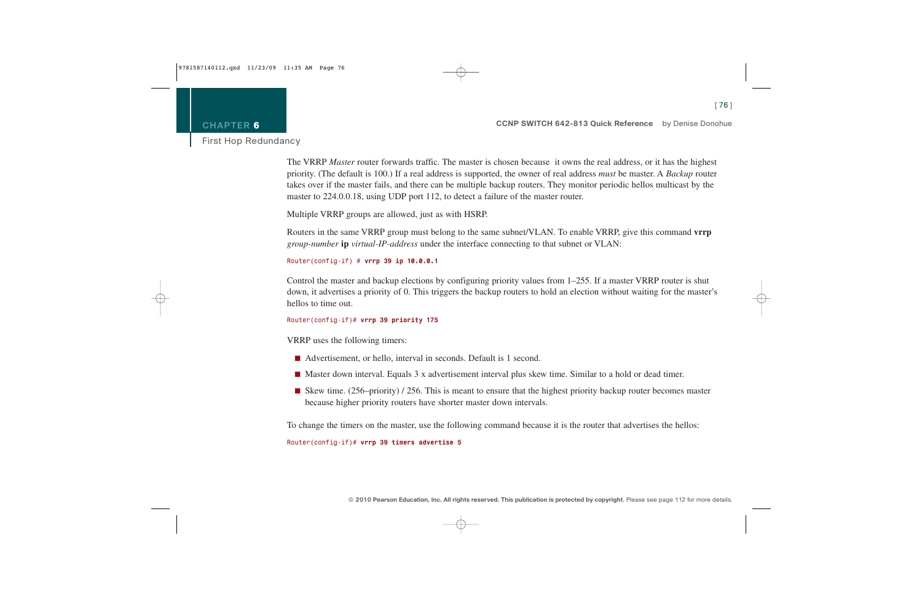First Hop Redundancy

The VRRP *Master* router forwards traffic. The master is chosen because it owns the real address, or it has the highest priority. (The default is 100.) If a real address is supported, the owner of real address *must* be master. A *Backup* router takes over if the master fails, and there can be multiple backup routers. They monitor periodic hellos multicast by the master to 224.0.0.18, using UDP port 112, to detect a failure of the master router.

Multiple VRRP groups are allowed, just as with HSRP.

Routers in the same VRRP group must belong to the same subnet/VLAN. To enable VRRP, give this command **vrrp** *group-number* **ip** *virtual-IP-address* under the interface connecting to that subnet or VLAN:

#### Router(config-if) # **vrrp 39 ip 10.0.0.1**

Control the master and backup elections by configuring priority values from 1–255. If a master VRRP router is shut down, it advertises a priority of 0. This triggers the backup routers to hold an election without waiting for the master's hellos to time out.

#### Router(config-if)# **vrrp 39 priority 175**

VRRP uses the following timers:

- Advertisement, or hello, interval in seconds. Default is 1 second.
- Master down interval. Equals 3 x advertisement interval plus skew time. Similar to a hold or dead timer.
- Skew time. (256–priority) / 256. This is meant to ensure that the highest priority backup router becomes master because higher priority routers have shorter master down intervals.

To change the timers on the master, use the following command because it is the router that advertises the hellos:

#### Router(config-if)# **vrrp 39 timers advertise 5**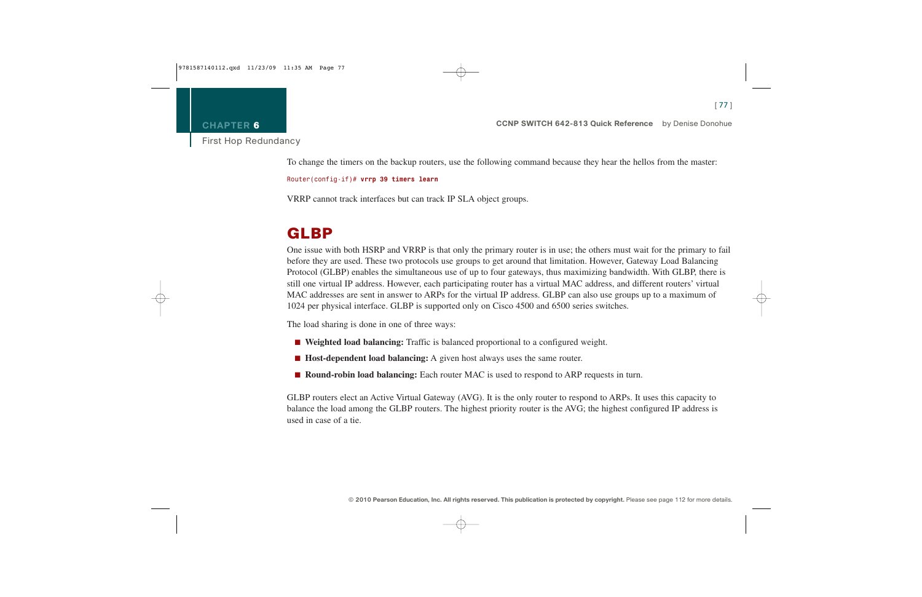To change the timers on the backup routers, use the following command because they hear the hellos from the master:

```
Router(config-if)# vrrp 39 timers learn
```
VRRP cannot track interfaces but can track IP SLA object groups.

# GLBP

One issue with both HSRP and VRRP is that only the primary router is in use; the others must wait for the primary to fail before they are used. These two protocols use groups to get around that limitation. However, Gateway Load Balancing Protocol (GLBP) enables the simultaneous use of up to four gateways, thus maximizing bandwidth. With GLBP, there is still one virtual IP address. However, each participating router has a virtual MAC address, and different routers' virtual MAC addresses are sent in answer to ARPs for the virtual IP address. GLBP can also use groups up to a maximum of 1024 per physical interface. GLBP is supported only on Cisco 4500 and 6500 series switches.

The load sharing is done in one of three ways:

- **Weighted load balancing:** Traffic is balanced proportional to a configured weight.
- **Host-dependent load balancing:** A given host always uses the same router.
- **Round-robin load balancing:** Each router MAC is used to respond to ARP requests in turn.

GLBP routers elect an Active Virtual Gateway (AVG). It is the only router to respond to ARPs. It uses this capacity to balance the load among the GLBP routers. The highest priority router is the AVG; the highest configured IP address is used in case of a tie.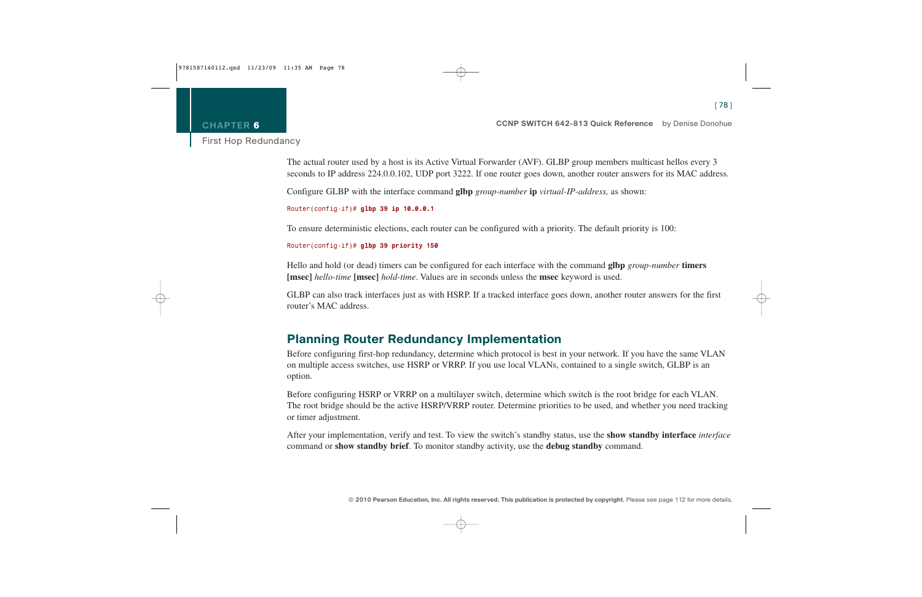First Hop Redundancy

The actual router used by a host is its Active Virtual Forwarder (AVF). GLBP group members multicast hellos every 3 seconds to IP address 224.0.0.102, UDP port 3222. If one router goes down, another router answers for its MAC address.

Configure GLBP with the interface command **glbp** *group-number* **ip** *virtual-IP-address,* as shown:

```
Router(config-if)# glbp 39 ip 10.0.0.1
```
To ensure deterministic elections, each router can be configured with a priority. The default priority is 100:

```
Router(config-if)# glbp 39 priority 150
```
Hello and hold (or dead) timers can be configured for each interface with the command **glbp** *group-number* **timers [msec]** *hello-time* **[msec]** *hold-time*. Values are in seconds unless the **msec** keyword is used.

GLBP can also track interfaces just as with HSRP. If a tracked interface goes down, another router answers for the first router's MAC address.

### **Planning Router Redundancy Implementation**

Before configuring first-hop redundancy, determine which protocol is best in your network. If you have the same VLAN on multiple access switches, use HSRP or VRRP. If you use local VLANs, contained to a single switch, GLBP is an option.

Before configuring HSRP or VRRP on a multilayer switch, determine which switch is the root bridge for each VLAN. The root bridge should be the active HSRP/VRRP router. Determine priorities to be used, and whether you need tracking or timer adjustment.

After your implementation, verify and test. To view the switch's standby status, use the **show standby interface** *interface* command or **show standby brief**. To monitor standby activity, use the **debug standby** command.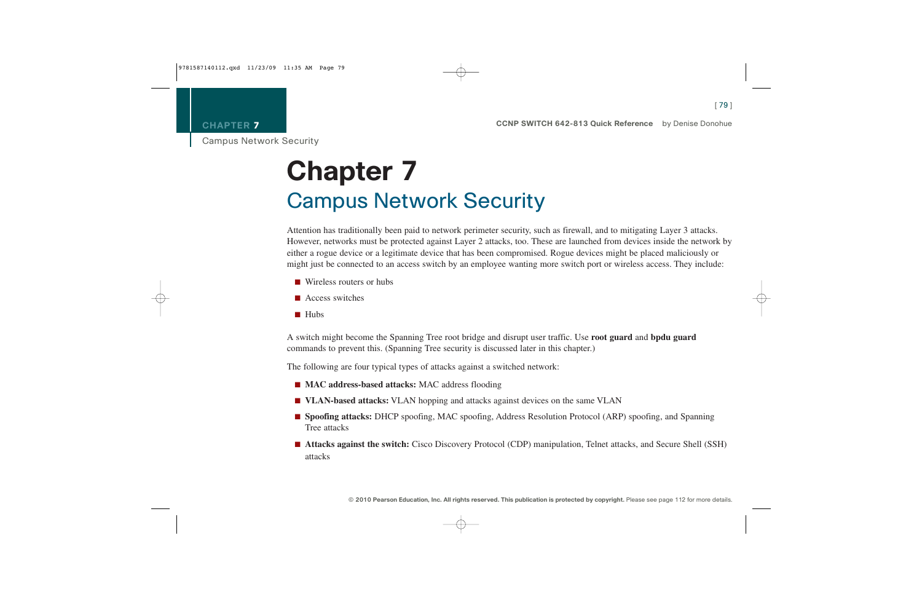[ 79 ]

Campus Network Security

# **Chapter 7** Campus Network Security

Attention has traditionally been paid to network perimeter security, such as firewall, and to mitigating Layer 3 attacks. However, networks must be protected against Layer 2 attacks, too. These are launched from devices inside the network by either a rogue device or a legitimate device that has been compromised. Rogue devices might be placed maliciously or might just be connected to an access switch by an employee wanting more switch port or wireless access. They include:

- $\blacksquare$  Wireless routers or hubs
- $\blacksquare$  Access switches
- $\blacksquare$  Hubs

A switch might become the Spanning Tree root bridge and disrupt user traffic. Use **root guard** and **bpdu guard** commands to prevent this. (Spanning Tree security is discussed later in this chapter.)

The following are four typical types of attacks against a switched network:

- **MAC address-based attacks:** MAC address flooding
- **VLAN-based attacks:** VLAN hopping and attacks against devices on the same VLAN
- **Spoofing attacks:** DHCP spoofing, MAC spoofing, Address Resolution Protocol (ARP) spoofing, and Spanning Tree attacks
- <sup>n</sup> **Attacks against the switch:** Cisco Discovery Protocol (CDP) manipulation, Telnet attacks, and Secure Shell (SSH) attacks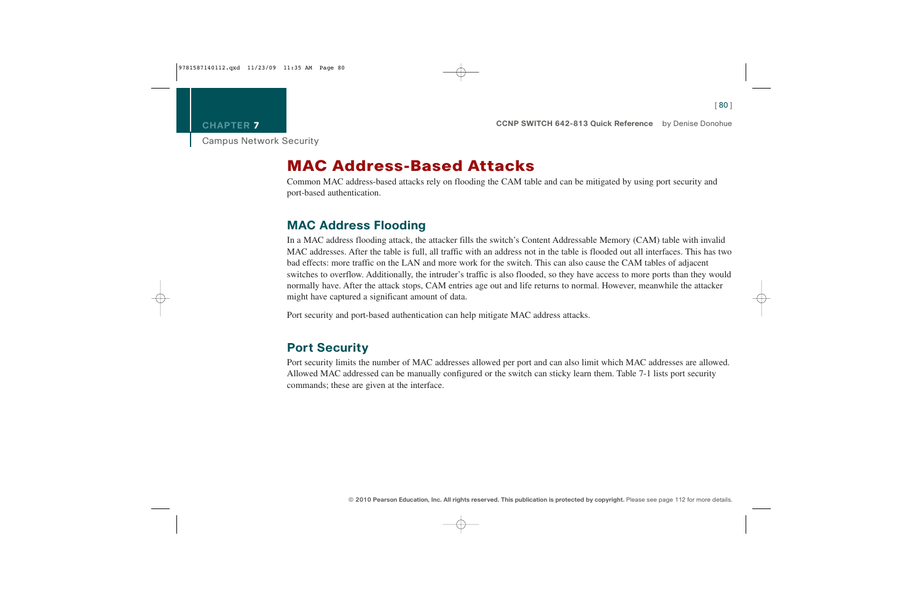Campus Network Security

# MAC Address-Based Attacks

Common MAC address-based attacks rely on flooding the CAM table and can be mitigated by using port security and port-based authentication.

### **MAC Address Flooding**

In a MAC address flooding attack, the attacker fills the switch's Content Addressable Memory (CAM) table with invalid MAC addresses. After the table is full, all traffic with an address not in the table is flooded out all interfaces. This has two bad effects: more traffic on the LAN and more work for the switch. This can also cause the CAM tables of adjacent switches to overflow. Additionally, the intruder's traffic is also flooded, so they have access to more ports than they would normally have. After the attack stops, CAM entries age out and life returns to normal. However, meanwhile the attacker might have captured a significant amount of data.

Port security and port-based authentication can help mitigate MAC address attacks.

### **Port Security**

Port security limits the number of MAC addresses allowed per port and can also limit which MAC addresses are allowed. Allowed MAC addressed can be manually configured or the switch can sticky learn them. Table 7-1 lists port security commands; these are given at the interface.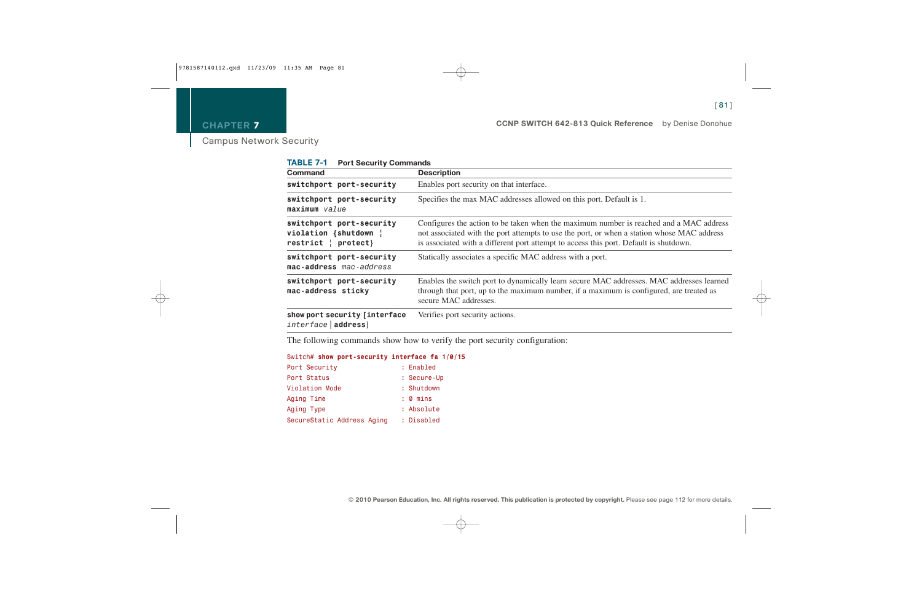Campus Network Security

| TABLE 7-1<br><b>Port Security Commands</b>                                 |                                                                                                                                                                                                                                                                               |  |
|----------------------------------------------------------------------------|-------------------------------------------------------------------------------------------------------------------------------------------------------------------------------------------------------------------------------------------------------------------------------|--|
| <b>Command</b>                                                             | <b>Description</b>                                                                                                                                                                                                                                                            |  |
| switchport port-security                                                   | Enables port security on that interface.                                                                                                                                                                                                                                      |  |
| switchport port-security<br>maximum value                                  | Specifies the max MAC addresses allowed on this port. Default is 1.                                                                                                                                                                                                           |  |
| switchport port-security<br>violation {shutdown }<br>$restrict$   protect} | Configures the action to be taken when the maximum number is reached and a MAC address<br>not associated with the port attempts to use the port, or when a station whose MAC address<br>is associated with a different port attempt to access this port. Default is shutdown. |  |
| switchport port-security<br>mac-address mac-address                        | Statically associates a specific MAC address with a port.                                                                                                                                                                                                                     |  |
| switchport port-security<br>mac-address sticky                             | Enables the switch port to dynamically learn secure MAC addresses. MAC addresses learned<br>through that port, up to the maximum number, if a maximum is configured, are treated as<br>secure MAC addresses.                                                                  |  |
| show port security [interface<br><i>interface</i>   address]               | Verifies port security actions.                                                                                                                                                                                                                                               |  |

The following commands show how to verify the port security configuration:

#### Switch# **show port-security interface fa 1/0/15**

| Port Security              | : Enabled                   |
|----------------------------|-----------------------------|
| Port Status                | : Secure-Up                 |
| Violation Mode             | : Shutdown                  |
| Aging Time                 | $: \, \mathsf{\Omega}$ mins |
| Aging Type                 | : Absolute                  |
| SecureStatic Address Aging | : Disabled                  |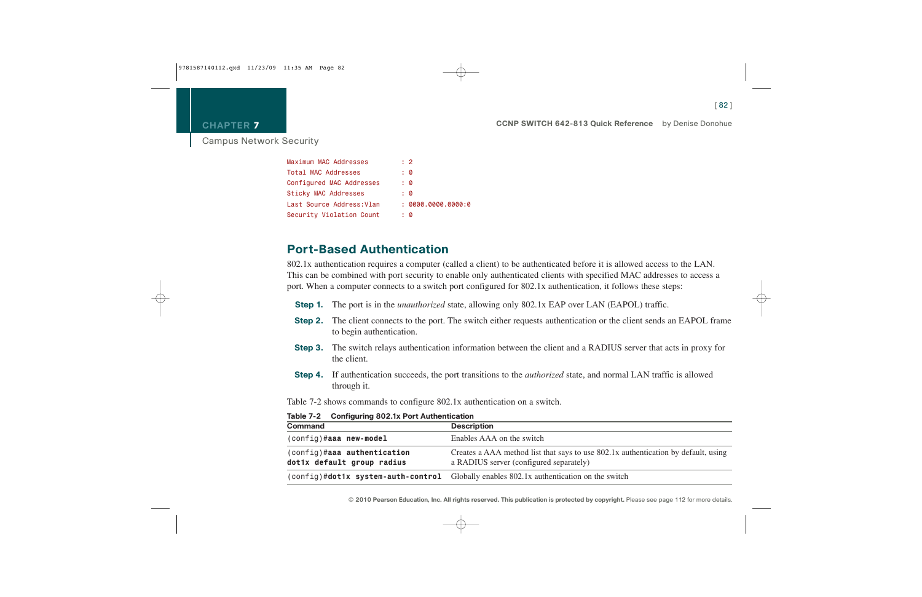#### **CCNP SWITCH 642-813 Quick Reference** by Denise Donohue

#### **CHAPTER**  7

Campus Network Security

| Maximum MAC Addresses     | $\cdot$ 2          |
|---------------------------|--------------------|
| Total MAC Addresses       | : 0                |
| Configured MAC Addresses  | : 0                |
| Sticky MAC Addresses      | : 0                |
| Last Source Address: Vlan | : 0000.0000.0000:0 |
| Security Violation Count  | : 0                |

### **Port-Based Authentication**

802.1x authentication requires a computer (called a client) to be authenticated before it is allowed access to the LAN. This can be combined with port security to enable only authenticated clients with specified MAC addresses to access a port. When a computer connects to a switch port configured for 802.1x authentication, it follows these steps:

- **Step 1.** The port is in the *unauthorized* state, allowing only 802.1x EAP over LAN (EAPOL) traffic.
- **Step 2.** The client connects to the port. The switch either requests authentication or the client sends an EAPOL frame to begin authentication.
- **Step 3.** The switch relays authentication information between the client and a RADIUS server that acts in proxy for the client.
- **Step 4.** If authentication succeeds, the port transitions to the *authorized* state, and normal LAN traffic is allowed through it.

Table 7-2 shows commands to configure 802.1x authentication on a switch.

| <b>Command</b>                                            | <b>Description</b>                                                                                                            |
|-----------------------------------------------------------|-------------------------------------------------------------------------------------------------------------------------------|
| $(config)$ #aaa new-model                                 | Enables AAA on the switch                                                                                                     |
| (config)#aaa authentication<br>dot1x default group radius | Creates a AAA method list that says to use 802.1x authentication by default, using<br>a RADIUS server (configured separately) |
|                                                           | (config)#dot1x system-auth-control Globally enables 802.1x authentication on the switch                                       |

**Table 7-2 Configuring 802.1x Port Authentication**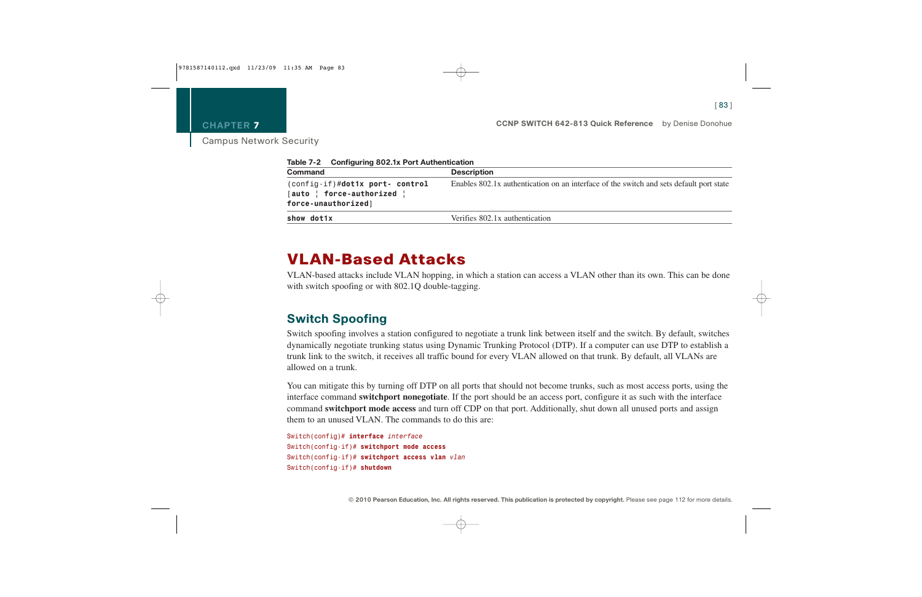Campus Network Security

| Table 7-2 Configuring 802.1x Port Authentication                                     |                                                                                         |  |
|--------------------------------------------------------------------------------------|-----------------------------------------------------------------------------------------|--|
| <b>Command</b>                                                                       | <b>Description</b>                                                                      |  |
| (config-if)#dot1x port- control<br>[auto   force-authorized  <br>force-unauthorized] | Enables 802.1x authentication on an interface of the switch and sets default port state |  |
| show dot1x                                                                           | Verifies 802.1x authentication                                                          |  |

**Table 7-2 Configuring 802.1x Port Authentication**

# VLAN-Based Attacks

VLAN-based attacks include VLAN hopping, in which a station can access a VLAN other than its own. This can be done with switch spoofing or with 802.1Q double-tagging.

### **Switch Spoofing**

Switch spoofing involves a station configured to negotiate a trunk link between itself and the switch. By default, switches dynamically negotiate trunking status using Dynamic Trunking Protocol (DTP). If a computer can use DTP to establish a trunk link to the switch, it receives all traffic bound for every VLAN allowed on that trunk. By default, all VLANs are allowed on a trunk.

You can mitigate this by turning off DTP on all ports that should not become trunks, such as most access ports, using the interface command **switchport nonegotiate**. If the port should be an access port, configure it as such with the interface command **switchport mode access** and turn off CDP on that port. Additionally, shut down all unused ports and assign them to an unused VLAN. The commands to do this are:

```
Switch(config)# interface interface
Switch(config-if)# switchport mode access
Switch(config-if)# switchport access vlan vlan
Switch(config-if)# shutdown
```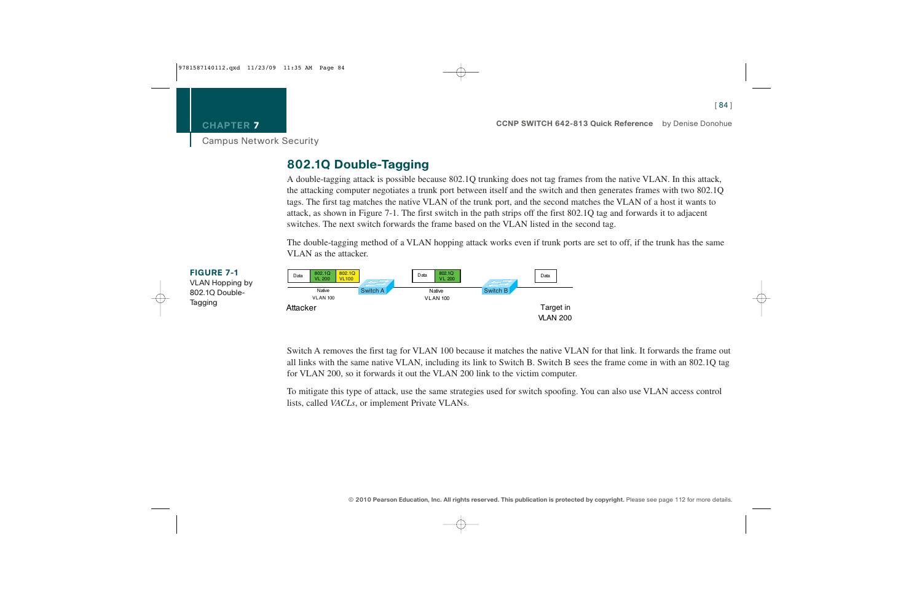Campus Network Security

### **802.1Q Double-Tagging**

A double-tagging attack is possible because 802.1Q trunking does not tag frames from the native VLAN. In this attack, the attacking computer negotiates a trunk port between itself and the switch and then generates frames with two 802.1Q tags. The first tag matches the native VLAN of the trunk port, and the second matches the VLAN of a host it wants to attack, as shown in Figure 7-1. The first switch in the path strips off the first 802.1Q tag and forwards it to adjacent switches. The next switch forwards the frame based on the VLAN listed in the second tag. CHAPTER 7<br>
Campus Network Security<br>
802.10 Dot<br>
A double-tagging<br>
the attacking computes.<br>
The first tage attack, as shown in<br>
switches. The next<br>
The double-taggin<br>
VLAN as the attack<br>
FIGURE 7-1

The double-tagging method of a VLAN hopping attack works even if trunk ports are set to off, if the trunk has the same VLAN as the attacker.



Switch A removes the first tag for VLAN 100 because it matches the native VLAN for that link. It forwards the frame out all links with the same native VLAN, including its link to Switch B. Switch B sees the frame come in with an 802.1Q tag for VLAN 200, so it forwards it out the VLAN 200 link to the victim computer.

To mitigate this type of attack, use the same strategies used for switch spoofing. You can also use VLAN access control lists, called *VACLs*, or implement Private VLANs.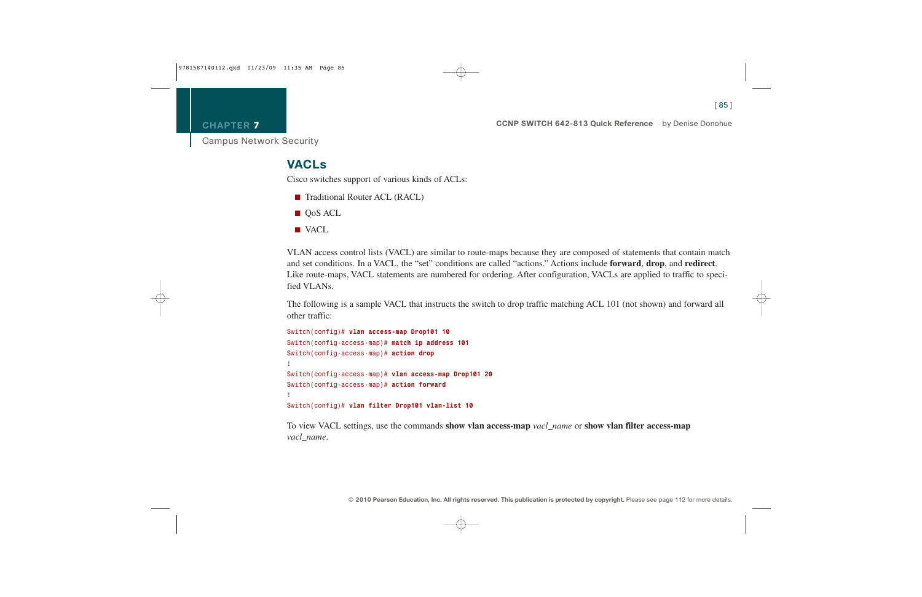[ 85 ]

#### **CHAPTER**  7

Campus Network Security

### **VACLs**

Cisco switches support of various kinds of ACLs:

- Traditional Router ACL (RACL)
- $\Box$  QoS ACL
- **N** VACL

VLAN access control lists (VACL) are similar to route-maps because they are composed of statements that contain match and set conditions. In a VACL, the "set" conditions are called "actions." Actions include **forward**, **drop**, and **redirect**. Like route-maps, VACL statements are numbered for ordering. After configuration, VACLs are applied to traffic to specified VLANs.

The following is a sample VACL that instructs the switch to drop traffic matching ACL 101 (not shown) and forward all other traffic:

```
Switch(config)# vlan access-map Drop101 10
Switch(config-access-map)# match ip address 101
Switch(config-access-map)# action drop
!
Switch(config-access-map)# vlan access-map Drop101 20
Switch(config-access-map)# action forward
!
Switch(config)# vlan filter Drop101 vlan-list 10
```
To view VACL settings, use the commands **show vlan access-map** *vacl\_name* or **show vlan filter access-map** *vacl\_name*.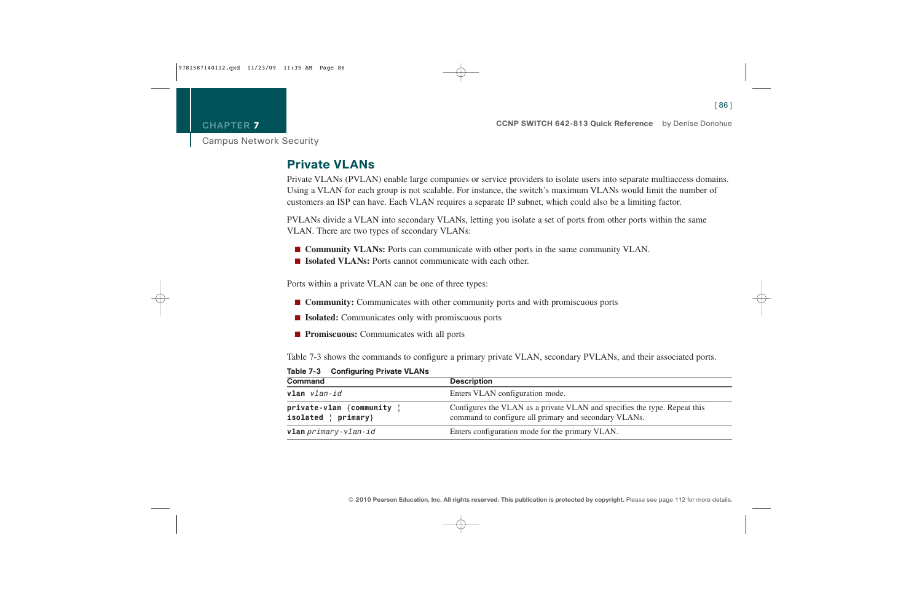Campus Network Security

### **Private VLANs**

Private VLANs (PVLAN) enable large companies or service providers to isolate users into separate multiaccess domains. Using a VLAN for each group is not scalable. For instance, the switch's maximum VLANs would limit the number of customers an ISP can have. Each VLAN requires a separate IP subnet, which could also be a limiting factor.

PVLANs divide a VLAN into secondary VLANs, letting you isolate a set of ports from other ports within the same VLAN. There are two types of secondary VLANs:

- **n Community VLANs:** Ports can communicate with other ports in the same community VLAN.
- **n Isolated VLANs:** Ports cannot communicate with each other.

Ports within a private VLAN can be one of three types:

- **Community:** Communicates with other community ports and with promiscuous ports
- **Isolated:** Communicates only with promiscuous ports
- **Promiscuous:** Communicates with all ports

Table 7-3 shows the commands to configure a primary private VLAN, secondary PVLANs, and their associated ports.

| <b>Command</b>                                       | <b>Description</b>                                                                                                                 |
|------------------------------------------------------|------------------------------------------------------------------------------------------------------------------------------------|
| <b>vlan</b> vlan-id                                  | Enters VLAN configuration mode.                                                                                                    |
| private-vlan {community<br>isolated $ $ primary $\}$ | Configures the VLAN as a private VLAN and specifies the type. Repeat this<br>command to configure all primary and secondary VLANs. |
| <b>vlan</b> primary-vlan-id                          | Enters configuration mode for the primary VLAN.                                                                                    |

**Table 7-3 Configuring Private VLANs**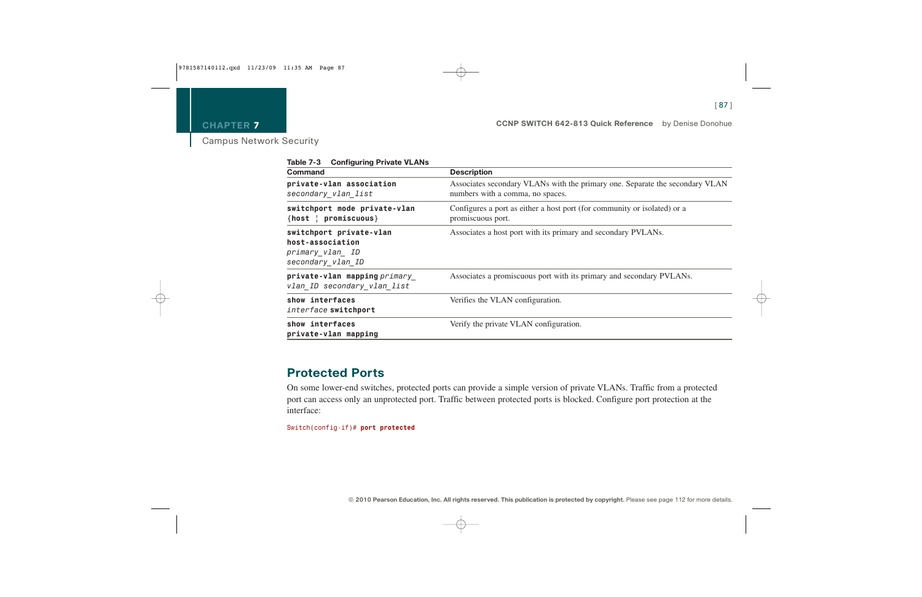#### Campus Network Security

| Table 7-3<br><b>Configuring Private VLANs</b>                                       |                                                                                                                  |
|-------------------------------------------------------------------------------------|------------------------------------------------------------------------------------------------------------------|
| <b>Command</b>                                                                      | <b>Description</b>                                                                                               |
| private-vlan association<br>secondary vlan list                                     | Associates secondary VLANs with the primary one. Separate the secondary VLAN<br>numbers with a comma, no spaces. |
| switchport mode private-vlan<br>${host}$ promiscuous}                               | Configures a port as either a host port (for community or isolated) or a<br>promiscuous port.                    |
| switchport private-vlan<br>host-association<br>primary vlan ID<br>secondary vlan ID | Associates a host port with its primary and secondary PVLANs.                                                    |
| private-vlan mapping primary<br>vlan ID secondary vlan list                         | Associates a promiscuous port with its primary and secondary PVLANs.                                             |
| show interfaces<br>interface switchport                                             | Verifies the VLAN configuration.                                                                                 |
| show interfaces<br>private-vlan mapping                                             | Verify the private VLAN configuration.                                                                           |

### **Protected Ports**

On some lower-end switches, protected ports can provide a simple version of private VLANs. Traffic from a protected port can access only an unprotected port. Traffic between protected ports is blocked. Configure port protection at the interface:

#### Switch(config-if)# **port protected**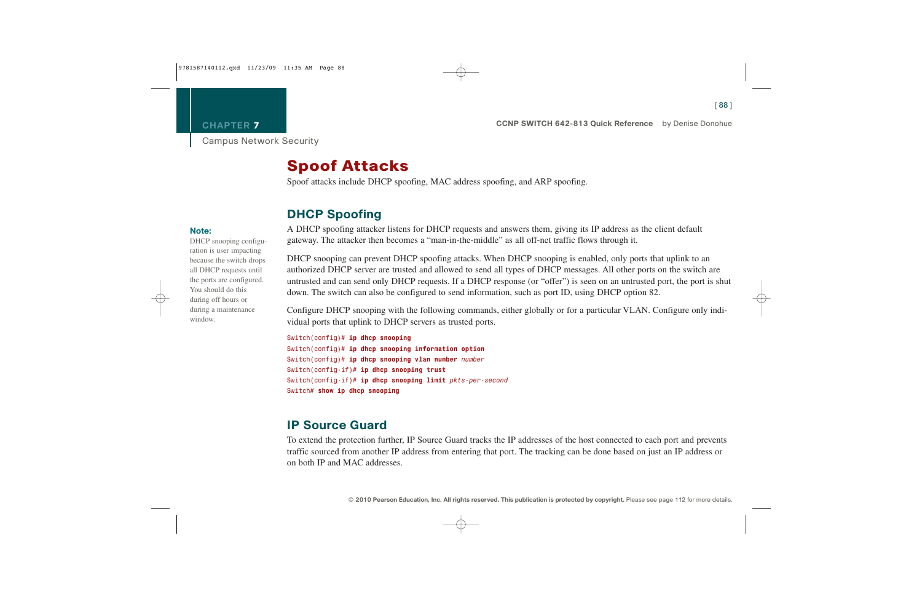Campus Network Security

[ 88 ]

# Spoof Attacks

Spoof attacks include DHCP spoofing, MAC address spoofing, and ARP spoofing.

### **DHCP Spoofing**

A DHCP spoofing attacker listens for DHCP requests and answers them, giving its IP address as the client default gateway. The attacker then becomes a "man-in-the-middle" as all off-net traffic flows through it.

DHCP snooping can prevent DHCP spoofing attacks. When DHCP snooping is enabled, only ports that uplink to an authorized DHCP server are trusted and allowed to send all types of DHCP messages. All other ports on the switch are untrusted and can send only DHCP requests. If a DHCP response (or "offer") is seen on an untrusted port, the port is shut down. The switch can also be configured to send information, such as port ID, using DHCP option 82.

Configure DHCP snooping with the following commands, either globally or for a particular VLAN. Configure only individual ports that uplink to DHCP servers as trusted ports.

```
Switch(config)# ip dhcp snooping
Switch(config)# ip dhcp snooping information option
Switch(config)# ip dhcp snooping vlan number number
Switch(config-if)# ip dhcp snooping trust
Switch(config-if)# ip dhcp snooping limit pkts-per-second
Switch# show ip dhcp snooping
```
### **IP Source Guard**

To extend the protection further, IP Source Guard tracks the IP addresses of the host connected to each port and prevents traffic sourced from another IP address from entering that port. The tracking can be done based on just an IP address or on both IP and MAC addresses.

### **Note:**

DHCP snooping configuration is user impacting because the switch drops all DHCP requests until the ports are configured. You should do this during off hours or during a maintenance window.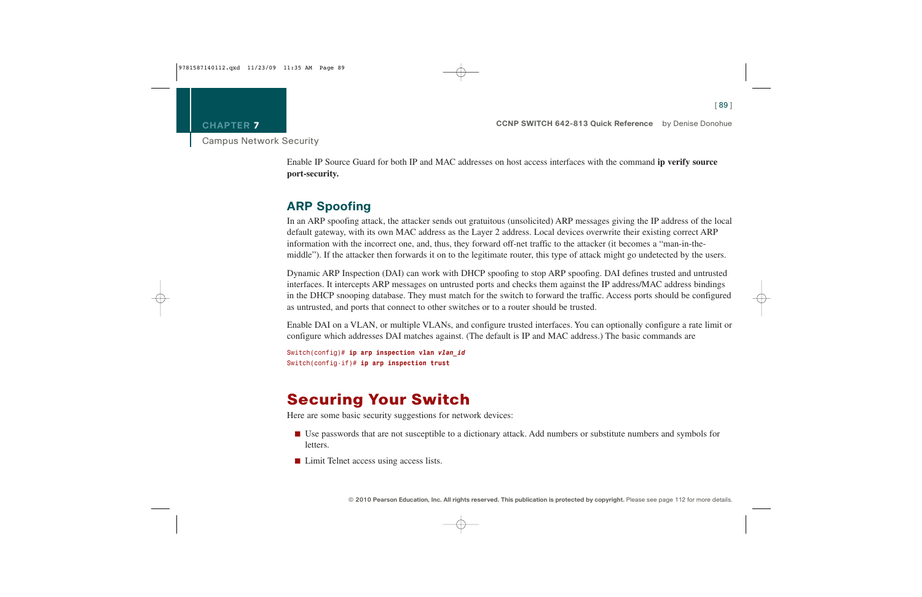[ 89 ]

#### **CHAPTER**  7

Campus Network Security

Enable IP Source Guard for both IP and MAC addresses on host access interfaces with the command **ip verify source port-security.**

### **ARP Spoofing**

In an ARP spoofing attack, the attacker sends out gratuitous (unsolicited) ARP messages giving the IP address of the local default gateway, with its own MAC address as the Layer 2 address. Local devices overwrite their existing correct ARP information with the incorrect one, and, thus, they forward off-net traffic to the attacker (it becomes a "man-in-themiddle"). If the attacker then forwards it on to the legitimate router, this type of attack might go undetected by the users.

Dynamic ARP Inspection (DAI) can work with DHCP spoofing to stop ARP spoofing. DAI defines trusted and untrusted interfaces. It intercepts ARP messages on untrusted ports and checks them against the IP address/MAC address bindings in the DHCP snooping database. They must match for the switch to forward the traffic. Access ports should be configured as untrusted, and ports that connect to other switches or to a router should be trusted.

Enable DAI on a VLAN, or multiple VLANs, and configure trusted interfaces. You can optionally configure a rate limit or configure which addresses DAI matches against. (The default is IP and MAC address.) The basic commands are

```
Switch(config)# ip arp inspection vlan vlan_id
Switch(config-if)# ip arp inspection trust
```
# Securing Your Switch

Here are some basic security suggestions for network devices:

- <sup>n</sup> Use passwords that are not susceptible to a dictionary attack. Add numbers or substitute numbers and symbols for letters.
- $\blacksquare$  Limit Telnet access using access lists.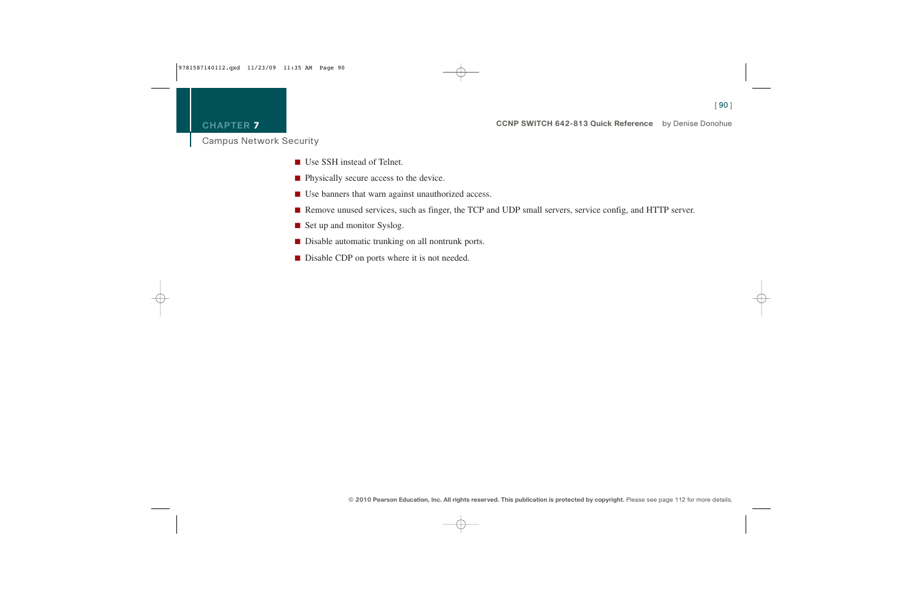#### **CCNP SWITCH 642-813 Quick Reference** by Denise Donohue

#### **CHAPTER**  7

Campus Network Security

- Use SSH instead of Telnet.
- n Physically secure access to the device.
- Use banners that warn against unauthorized access.
- Remove unused services, such as finger, the TCP and UDP small servers, service config, and HTTP server.
- $\blacksquare$  Set up and monitor Syslog.
- Disable automatic trunking on all nontrunk ports.
- Disable CDP on ports where it is not needed.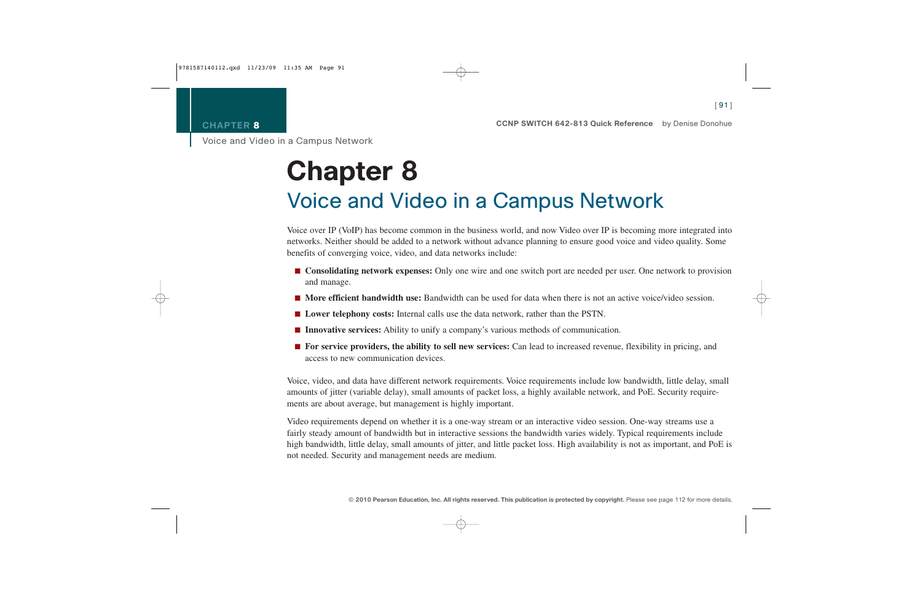# **Chapter 8** Voice and Video in a Campus Network

Voice over IP (VoIP) has become common in the business world, and now Video over IP is becoming more integrated into networks. Neither should be added to a network without advance planning to ensure good voice and video quality. Some benefits of converging voice, video, and data networks include:

- **n Consolidating network expenses:** Only one wire and one switch port are needed per user. One network to provision and manage.
- **More efficient bandwidth use:** Bandwidth can be used for data when there is not an active voice/video session.
- **n** Lower telephony costs: Internal calls use the data network, rather than the PSTN.
- **Innovative services:** Ability to unify a company's various methods of communication.
- **For service providers, the ability to sell new services:** Can lead to increased revenue, flexibility in pricing, and access to new communication devices.

Voice, video, and data have different network requirements. Voice requirements include low bandwidth, little delay, small amounts of jitter (variable delay), small amounts of packet loss, a highly available network, and PoE. Security requirements are about average, but management is highly important.

Video requirements depend on whether it is a one-way stream or an interactive video session. One-way streams use a fairly steady amount of bandwidth but in interactive sessions the bandwidth varies widely. Typical requirements include high bandwidth, little delay, small amounts of jitter, and little packet loss. High availability is not as important, and PoE is not needed. Security and management needs are medium.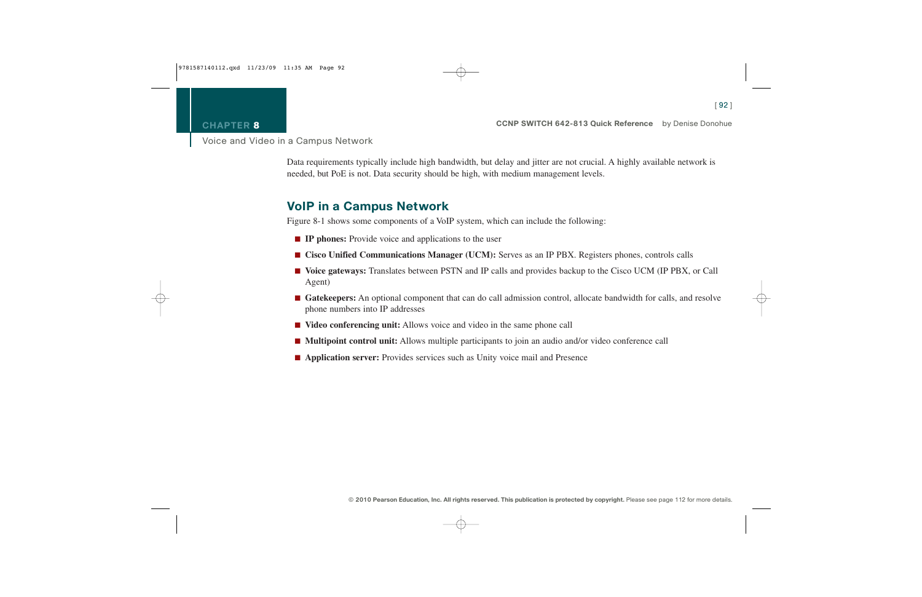Data requirements typically include high bandwidth, but delay and jitter are not crucial. A highly available network is needed, but PoE is not. Data security should be high, with medium management levels.

### **VoIP in a Campus Network**

Figure 8-1 shows some components of a VoIP system, which can include the following:

- **IP phones:** Provide voice and applications to the user
- **n Cisco Unified Communications Manager (UCM):** Serves as an IP PBX. Registers phones, controls calls
- <sup>n</sup> **Voice gateways:** Translates between PSTN and IP calls and provides backup to the Cisco UCM (IP PBX, or Call Agent)
- Gatekeepers: An optional component that can do call admission control, allocate bandwidth for calls, and resolve phone numbers into IP addresses
- **Video conferencing unit:** Allows voice and video in the same phone call
- **Multipoint control unit:** Allows multiple participants to join an audio and/or video conference call
- **Application server:** Provides services such as Unity voice mail and Presence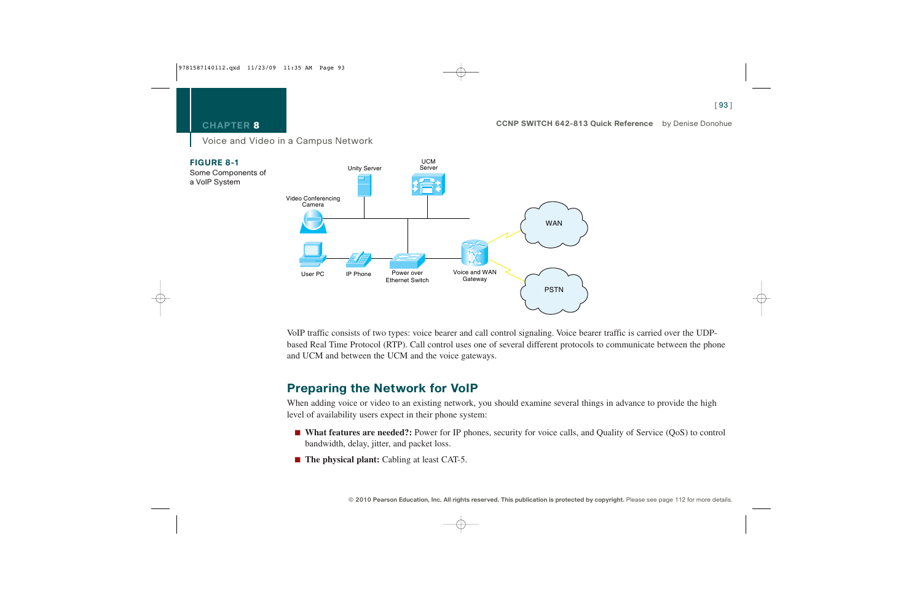**FIGURE 8-1**

a VoIP System

#### **CCNP SWITCH 642-813 Quick Reference** by Denise Donohue

#### Voice and Video in a Campus Network



VoIP traffic consists of two types: voice bearer and call control signaling. Voice bearer traffic is carried over the UDPbased Real Time Protocol (RTP). Call control uses one of several different protocols to communicate between the phone and UCM and between the UCM and the voice gateways.

### **Preparing the Network for VoIP**

When adding voice or video to an existing network, you should examine several things in advance to provide the high level of availability users expect in their phone system:

- **What features are needed?:** Power for IP phones, security for voice calls, and Quality of Service (QoS) to control bandwidth, delay, jitter, and packet loss.
- **The physical plant:** Cabling at least CAT-5.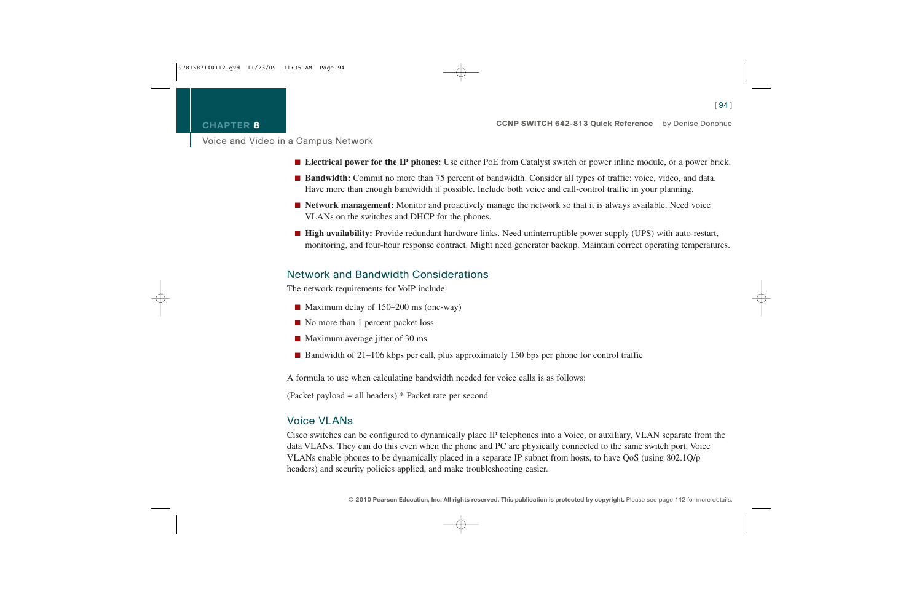Voice and Video in a Campus Network

- **Electrical power for the IP phones:** Use either PoE from Catalyst switch or power inline module, or a power brick.
- **Bandwidth:** Commit no more than 75 percent of bandwidth. Consider all types of traffic: voice, video, and data. Have more than enough bandwidth if possible. Include both voice and call-control traffic in your planning.
- **n Network management:** Monitor and proactively manage the network so that it is always available. Need voice VLANs on the switches and DHCP for the phones.
- **High availability:** Provide redundant hardware links. Need uninterruptible power supply (UPS) with auto-restart, monitoring, and four-hour response contract. Might need generator backup. Maintain correct operating temperatures.

### Network and Bandwidth Considerations

The network requirements for VoIP include:

- $\blacksquare$  Maximum delay of 150–200 ms (one-way)
- $\blacksquare$  No more than 1 percent packet loss
- $\blacksquare$  Maximum average jitter of 30 ms
- **n** Bandwidth of 21–106 kbps per call, plus approximately 150 bps per phone for control traffic

A formula to use when calculating bandwidth needed for voice calls is as follows:

(Packet payload + all headers) \* Packet rate per second

### Voice VLANs

Cisco switches can be configured to dynamically place IP telephones into a Voice, or auxiliary, VLAN separate from the data VLANs. They can do this even when the phone and PC are physically connected to the same switch port. Voice VLANs enable phones to be dynamically placed in a separate IP subnet from hosts, to have QoS (using 802.1Q/p headers) and security policies applied, and make troubleshooting easier.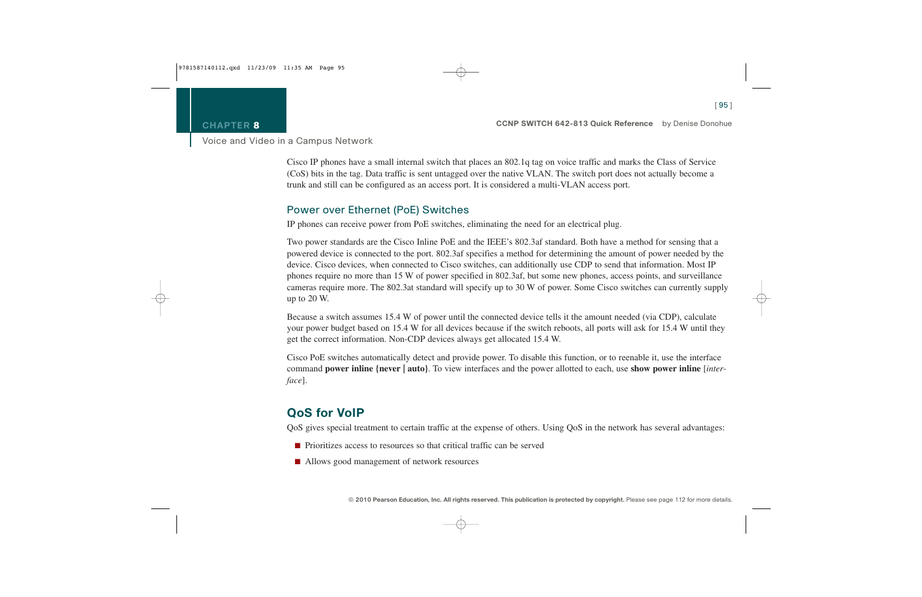Cisco IP phones have a small internal switch that places an 802.1q tag on voice traffic and marks the Class of Service (CoS) bits in the tag. Data traffic is sent untagged over the native VLAN. The switch port does not actually become a trunk and still can be configured as an access port. It is considered a multi-VLAN access port.

### Power over Ethernet (PoE) Switches

IP phones can receive power from PoE switches, eliminating the need for an electrical plug.

Two power standards are the Cisco Inline PoE and the IEEE's 802.3af standard. Both have a method for sensing that a powered device is connected to the port. 802.3af specifies a method for determining the amount of power needed by the device. Cisco devices, when connected to Cisco switches, can additionally use CDP to send that information. Most IP phones require no more than 15 W of power specified in 802.3af, but some new phones, access points, and surveillance cameras require more. The 802.3at standard will specify up to 30 W of power. Some Cisco switches can currently supply up to 20 W.

Because a switch assumes 15.4 W of power until the connected device tells it the amount needed (via CDP), calculate your power budget based on 15.4 W for all devices because if the switch reboots, all ports will ask for 15.4 W until they get the correct information. Non-CDP devices always get allocated 15.4 W.

Cisco PoE switches automatically detect and provide power. To disable this function, or to reenable it, use the interface command **power inline {never | auto}**. To view interfaces and the power allotted to each, use **show power inline** [*interface*].

### **QoS for VoIP**

QoS gives special treatment to certain traffic at the expense of others. Using QoS in the network has several advantages:

- $\blacksquare$  Prioritizes access to resources so that critical traffic can be served
- Allows good management of network resources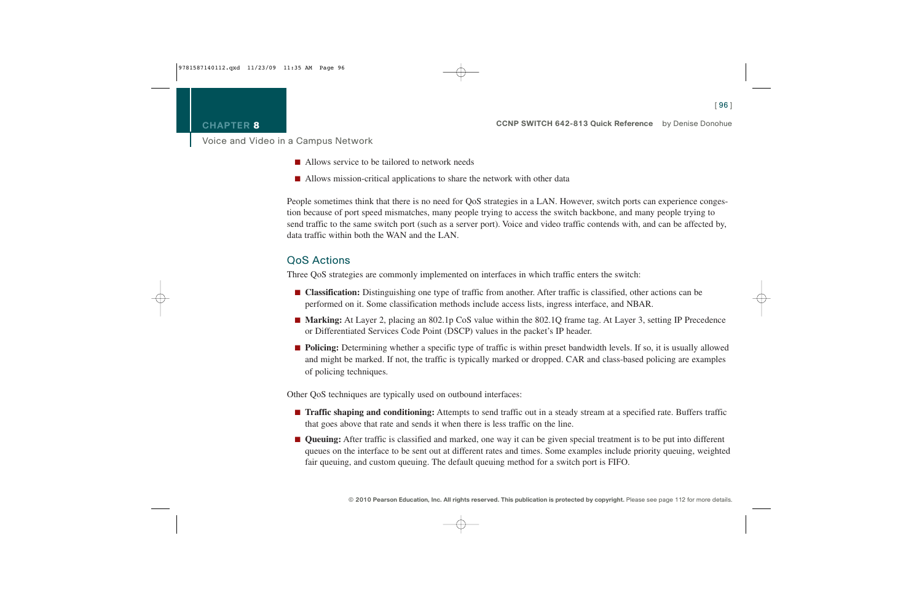[ 96 ]

#### **CHAPTER**  8

Voice and Video in a Campus Network

- $\blacksquare$  Allows service to be tailored to network needs
- $\blacksquare$  Allows mission-critical applications to share the network with other data

People sometimes think that there is no need for QoS strategies in a LAN. However, switch ports can experience congestion because of port speed mismatches, many people trying to access the switch backbone, and many people trying to send traffic to the same switch port (such as a server port). Voice and video traffic contends with, and can be affected by, data traffic within both the WAN and the LAN.

### QoS Actions

Three QoS strategies are commonly implemented on interfaces in which traffic enters the switch:

- <sup>n</sup> **Classification:** Distinguishing one type of traffic from another. After traffic is classified, other actions can be performed on it. Some classification methods include access lists, ingress interface, and NBAR.
- **n Marking:** At Layer 2, placing an 802.1p CoS value within the 802.1Q frame tag. At Layer 3, setting IP Precedence or Differentiated Services Code Point (DSCP) values in the packet's IP header.
- **n Policing:** Determining whether a specific type of traffic is within preset bandwidth levels. If so, it is usually allowed and might be marked. If not, the traffic is typically marked or dropped. CAR and class-based policing are examples of policing techniques.

Other QoS techniques are typically used on outbound interfaces:

- **Traffic shaping and conditioning:** Attempts to send traffic out in a steady stream at a specified rate. Buffers traffic that goes above that rate and sends it when there is less traffic on the line.
- **Queuing:** After traffic is classified and marked, one way it can be given special treatment is to be put into different queues on the interface to be sent out at different rates and times. Some examples include priority queuing, weighted fair queuing, and custom queuing. The default queuing method for a switch port is FIFO.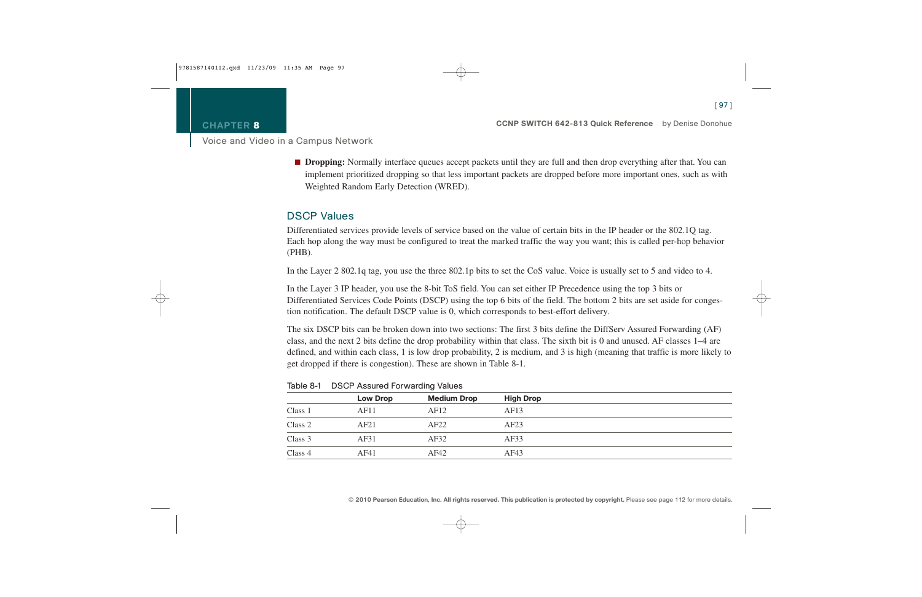[ 97 ]

#### **CHAPTER**  8

Voice and Video in a Campus Network

**n Dropping:** Normally interface queues accept packets until they are full and then drop everything after that. You can implement prioritized dropping so that less important packets are dropped before more important ones, such as with Weighted Random Early Detection (WRED).

### DSCP Values

Differentiated services provide levels of service based on the value of certain bits in the IP header or the 802.1Q tag. Each hop along the way must be configured to treat the marked traffic the way you want; this is called per-hop behavior (PHB).

In the Layer 2 802.1q tag, you use the three 802.1p bits to set the CoS value. Voice is usually set to 5 and video to 4.

In the Layer 3 IP header, you use the 8-bit ToS field. You can set either IP Precedence using the top 3 bits or Differentiated Services Code Points (DSCP) using the top 6 bits of the field. The bottom 2 bits are set aside for congestion notification. The default DSCP value is 0, which corresponds to best-effort delivery.

The six DSCP bits can be broken down into two sections: The first 3 bits define the DiffServ Assured Forwarding (AF) class, and the next 2 bits define the drop probability within that class. The sixth bit is 0 and unused. AF classes 1–4 are defined, and within each class, 1 is low drop probability, 2 is medium, and 3 is high (meaning that traffic is more likely to get dropped if there is congestion). These are shown in Table 8-1.

|         | <b>Low Drop</b> | <b>Medium Drop</b> | <b>High Drop</b> |  |
|---------|-----------------|--------------------|------------------|--|
| Class 1 | AF11            | AF12               | AF13             |  |
| Class 2 | AF21            | AF22               | AF23             |  |
| Class 3 | AF31            | AF32               | AF33             |  |
| Class 4 | AF41            | AF42               | AF43             |  |
|         |                 |                    |                  |  |

|  |  | Table 8-1 DSCP Assured Forwarding Values |  |
|--|--|------------------------------------------|--|
|--|--|------------------------------------------|--|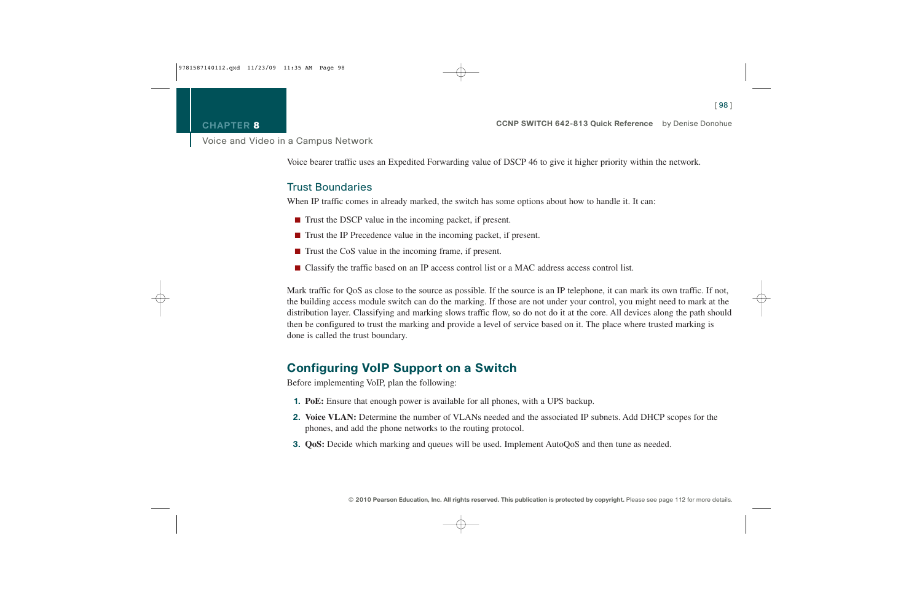[ 98 ]

Voice and Video in a Campus Network

Voice bearer traffic uses an Expedited Forwarding value of DSCP 46 to give it higher priority within the network.

### Trust Boundaries

When IP traffic comes in already marked, the switch has some options about how to handle it. It can:

- $\blacksquare$  Trust the DSCP value in the incoming packet, if present.
- $\blacksquare$  Trust the IP Precedence value in the incoming packet, if present.
- $\blacksquare$  Trust the CoS value in the incoming frame, if present.
- <sup>n</sup> Classify the traffic based on an IP access control list or a MAC address access control list.

Mark traffic for QoS as close to the source as possible. If the source is an IP telephone, it can mark its own traffic. If not, the building access module switch can do the marking. If those are not under your control, you might need to mark at the distribution layer. Classifying and marking slows traffic flow, so do not do it at the core. All devices along the path should then be configured to trust the marking and provide a level of service based on it. The place where trusted marking is done is called the trust boundary.

## **Configuring VoIP Support on a Switch**

Before implementing VoIP, plan the following:

- **1. PoE:** Ensure that enough power is available for all phones, with a UPS backup.
- **2. Voice VLAN:** Determine the number of VLANs needed and the associated IP subnets. Add DHCP scopes for the phones, and add the phone networks to the routing protocol.
- **3. QoS:** Decide which marking and queues will be used. Implement AutoQoS and then tune as needed.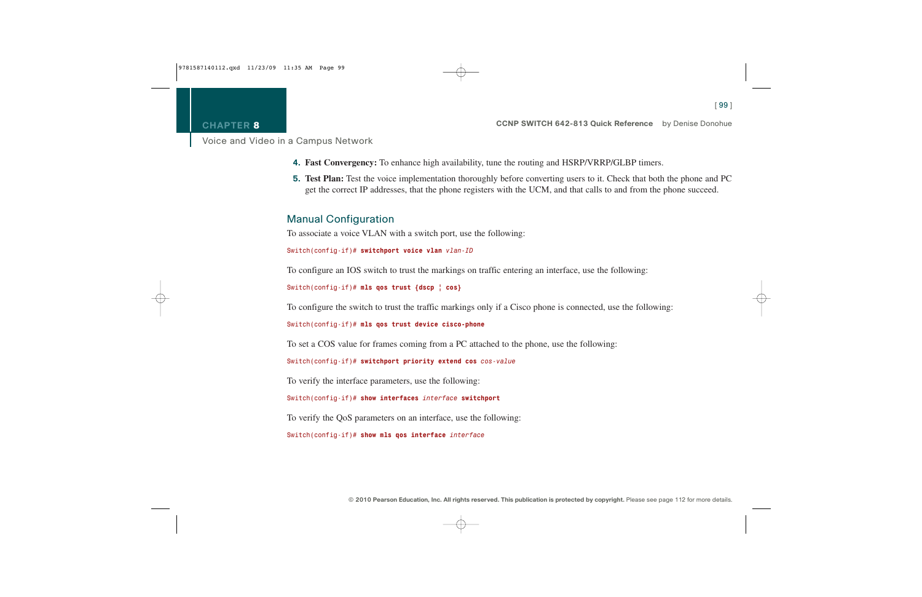- **4. Fast Convergency:** To enhance high availability, tune the routing and HSRP/VRRP/GLBP timers.
- **5. Test Plan:** Test the voice implementation thoroughly before converting users to it. Check that both the phone and PC get the correct IP addresses, that the phone registers with the UCM, and that calls to and from the phone succeed.

### Manual Configuration

To associate a voice VLAN with a switch port, use the following:

```
Switch(config-if)# switchport voice vlan vlan-ID
```
To configure an IOS switch to trust the markings on traffic entering an interface, use the following:

```
Switch(config-if)# mls qos trust {dscp | cos}
```
To configure the switch to trust the traffic markings only if a Cisco phone is connected, use the following:

Switch(config-if)# **mls qos trust device cisco-phone**

To set a COS value for frames coming from a PC attached to the phone, use the following:

Switch(config-if)# **switchport priority extend cos** *cos-value*

To verify the interface parameters, use the following:

```
Switch(config-if)# show interfaces interface switchport
```
To verify the QoS parameters on an interface, use the following:

Switch(config-if)# **show mls qos interface** *interface*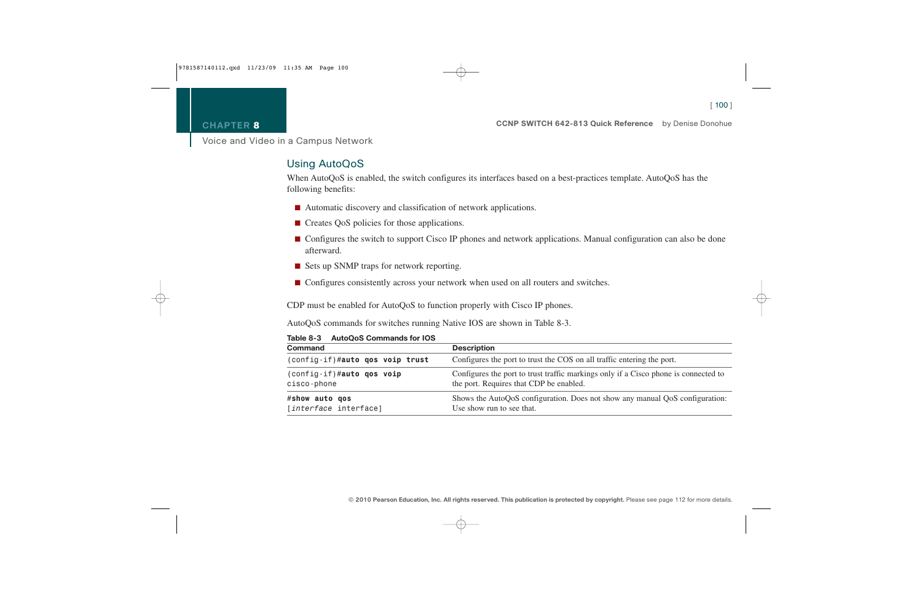### Using AutoQoS

When AutoQoS is enabled, the switch configures its interfaces based on a best-practices template. AutoQoS has the following benefits:

- $\blacksquare$  Automatic discovery and classification of network applications.
- Creates QoS policies for those applications.
- Configures the switch to support Cisco IP phones and network applications. Manual configuration can also be done afterward.
- $\blacksquare$  Sets up SNMP traps for network reporting.
- Configures consistently across your network when used on all routers and switches.

CDP must be enabled for AutoQoS to function properly with Cisco IP phones.

AutoQoS commands for switches running Native IOS are shown in Table 8-3.

|  |  | Table 8-3 AutoQoS Commands for IOS |  |
|--|--|------------------------------------|--|
|--|--|------------------------------------|--|

| <b>Command</b>                        | <b>Description</b>                                                                  |
|---------------------------------------|-------------------------------------------------------------------------------------|
| (config-if)#auto gos voip trust       | Configures the port to trust the COS on all traffic entering the port.              |
| $(config\text{-}if)\#auto\ qos\ voip$ | Configures the port to trust traffic markings only if a Cisco phone is connected to |
| cisco-phone                           | the port. Requires that CDP be enabled.                                             |
| #show auto gos                        | Shows the AutoQoS configuration. Does not show any manual QoS configuration:        |
| [interface interface]                 | Use show run to see that.                                                           |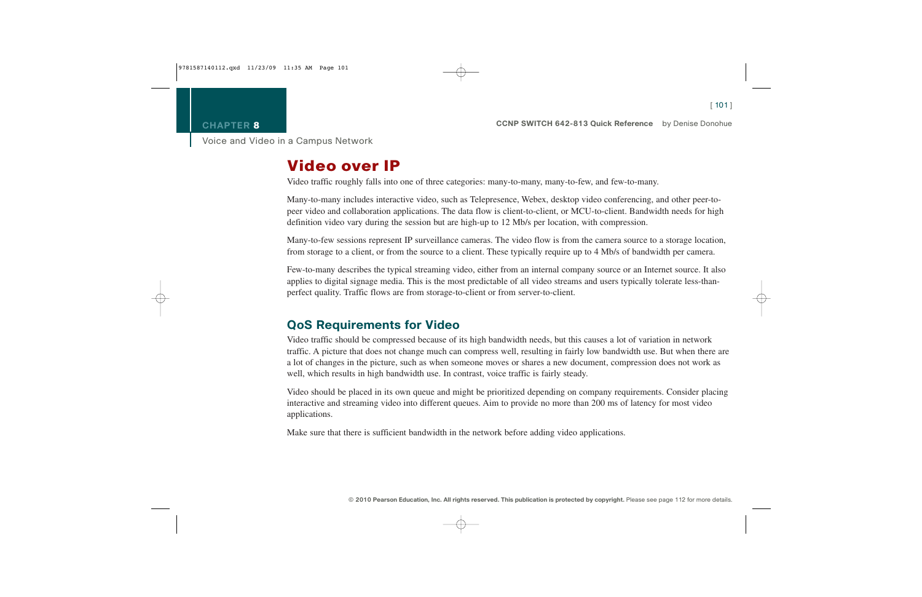# Video over IP

Video traffic roughly falls into one of three categories: many-to-many, many-to-few, and few-to-many.

Many-to-many includes interactive video, such as Telepresence, Webex, desktop video conferencing, and other peer-topeer video and collaboration applications. The data flow is client-to-client, or MCU-to-client. Bandwidth needs for high definition video vary during the session but are high-up to 12 Mb/s per location, with compression.

Many-to-few sessions represent IP surveillance cameras. The video flow is from the camera source to a storage location, from storage to a client, or from the source to a client. These typically require up to 4 Mb/s of bandwidth per camera.

Few-to-many describes the typical streaming video, either from an internal company source or an Internet source. It also applies to digital signage media. This is the most predictable of all video streams and users typically tolerate less-thanperfect quality. Traffic flows are from storage-to-client or from server-to-client.

### **QoS Requirements for Video**

Video traffic should be compressed because of its high bandwidth needs, but this causes a lot of variation in network traffic. A picture that does not change much can compress well, resulting in fairly low bandwidth use. But when there are a lot of changes in the picture, such as when someone moves or shares a new document, compression does not work as well, which results in high bandwidth use. In contrast, voice traffic is fairly steady.

Video should be placed in its own queue and might be prioritized depending on company requirements. Consider placing interactive and streaming video into different queues. Aim to provide no more than 200 ms of latency for most video applications.

Make sure that there is sufficient bandwidth in the network before adding video applications.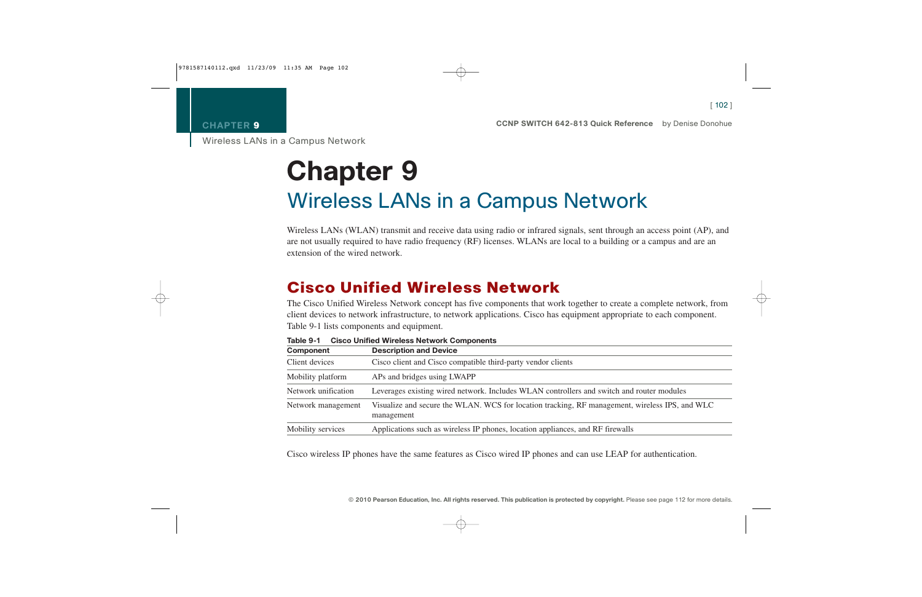Wireless LANs in a Campus Network

# **Chapter 9** Wireless LANs in a Campus Network

Wireless LANs (WLAN) transmit and receive data using radio or infrared signals, sent through an access point (AP), and are not usually required to have radio frequency (RF) licenses. WLANs are local to a building or a campus and are an extension of the wired network.

# Cisco Unified Wireless Network

The Cisco Unified Wireless Network concept has five components that work together to create a complete network, from client devices to network infrastructure, to network applications. Cisco has equipment appropriate to each component. Table 9-1 lists components and equipment.

| Component           | <b>Description and Device</b>                                                                                |
|---------------------|--------------------------------------------------------------------------------------------------------------|
| Client devices      | Cisco client and Cisco compatible third-party vendor clients                                                 |
| Mobility platform   | APs and bridges using LWAPP                                                                                  |
| Network unification | Leverages existing wired network. Includes WLAN controllers and switch and router modules                    |
| Network management  | Visualize and secure the WLAN. WCS for location tracking, RF management, wireless IPS, and WLC<br>management |
| Mobility services   | Applications such as wireless IP phones, location appliances, and RF firewalls                               |

**Table 9-1 Cisco Unified Wireless Network Components**

Cisco wireless IP phones have the same features as Cisco wired IP phones and can use LEAP for authentication.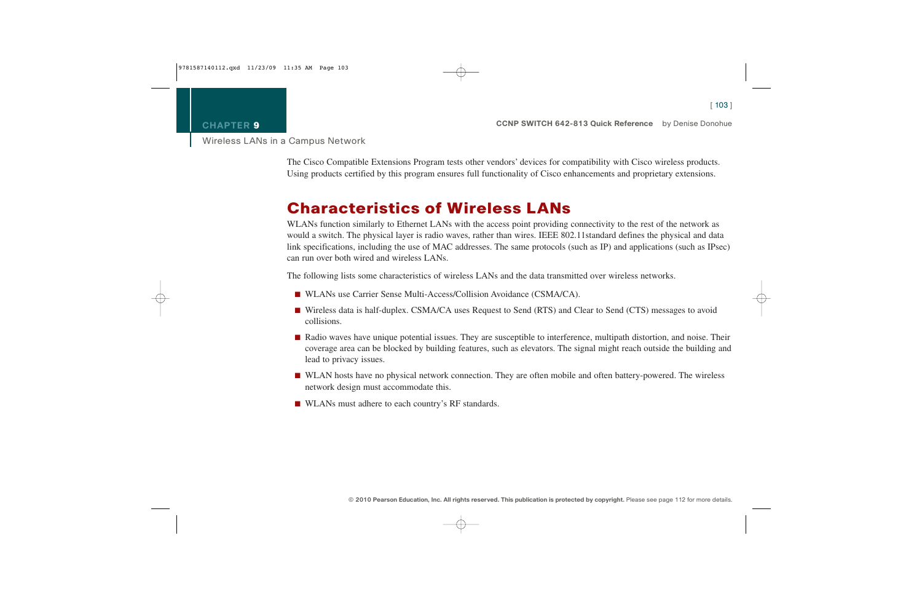[ 103 ]

Wireless LANs in a Campus Network

The Cisco Compatible Extensions Program tests other vendors' devices for compatibility with Cisco wireless products. Using products certified by this program ensures full functionality of Cisco enhancements and proprietary extensions.

## Characteristics of Wireless LANs

WLANs function similarly to Ethernet LANs with the access point providing connectivity to the rest of the network as would a switch. The physical layer is radio waves, rather than wires. IEEE 802.11standard defines the physical and data link specifications, including the use of MAC addresses. The same protocols (such as IP) and applications (such as IPsec) can run over both wired and wireless LANs.

The following lists some characteristics of wireless LANs and the data transmitted over wireless networks.

- <sup>n</sup> WLANs use Carrier Sense Multi-Access/Collision Avoidance (CSMA/CA).
- Wireless data is half-duplex. CSMA/CA uses Request to Send (RTS) and Clear to Send (CTS) messages to avoid collisions.
- Radio waves have unique potential issues. They are susceptible to interference, multipath distortion, and noise. Their coverage area can be blocked by building features, such as elevators. The signal might reach outside the building and lead to privacy issues.
- <sup>n</sup> WLAN hosts have no physical network connection. They are often mobile and often battery-powered. The wireless network design must accommodate this.
- WLANs must adhere to each country's RF standards.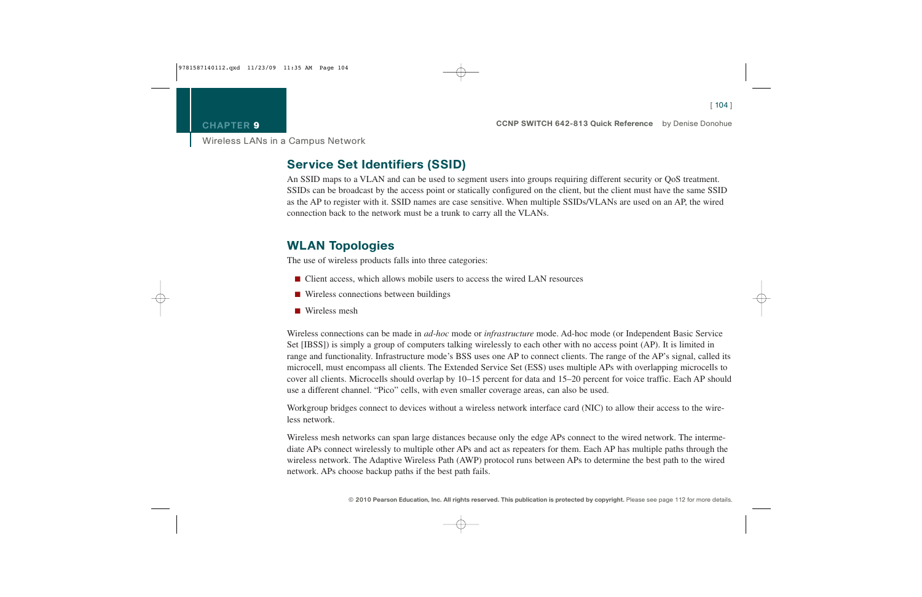[ 104 ]

Wireless LANs in a Campus Network

### **Service Set Identifiers (SSID)**

An SSID maps to a VLAN and can be used to segment users into groups requiring different security or QoS treatment. SSIDs can be broadcast by the access point or statically configured on the client, but the client must have the same SSID as the AP to register with it. SSID names are case sensitive. When multiple SSIDs/VLANs are used on an AP, the wired connection back to the network must be a trunk to carry all the VLANs.

### **WLAN Topologies**

The use of wireless products falls into three categories:

- n Client access, which allows mobile users to access the wired LAN resources
- $\blacksquare$  Wireless connections between buildings
- $\blacksquare$  Wireless mesh

Wireless connections can be made in *ad-hoc* mode or *infrastructure* mode. Ad-hoc mode (or Independent Basic Service Set [IBSS]) is simply a group of computers talking wirelessly to each other with no access point (AP). It is limited in range and functionality. Infrastructure mode's BSS uses one AP to connect clients. The range of the AP's signal, called its microcell, must encompass all clients. The Extended Service Set (ESS) uses multiple APs with overlapping microcells to cover all clients. Microcells should overlap by 10–15 percent for data and 15–20 percent for voice traffic. Each AP should use a different channel. "Pico" cells, with even smaller coverage areas, can also be used.

Workgroup bridges connect to devices without a wireless network interface card (NIC) to allow their access to the wireless network.

Wireless mesh networks can span large distances because only the edge APs connect to the wired network. The intermediate APs connect wirelessly to multiple other APs and act as repeaters for them. Each AP has multiple paths through the wireless network. The Adaptive Wireless Path (AWP) protocol runs between APs to determine the best path to the wired network. APs choose backup paths if the best path fails.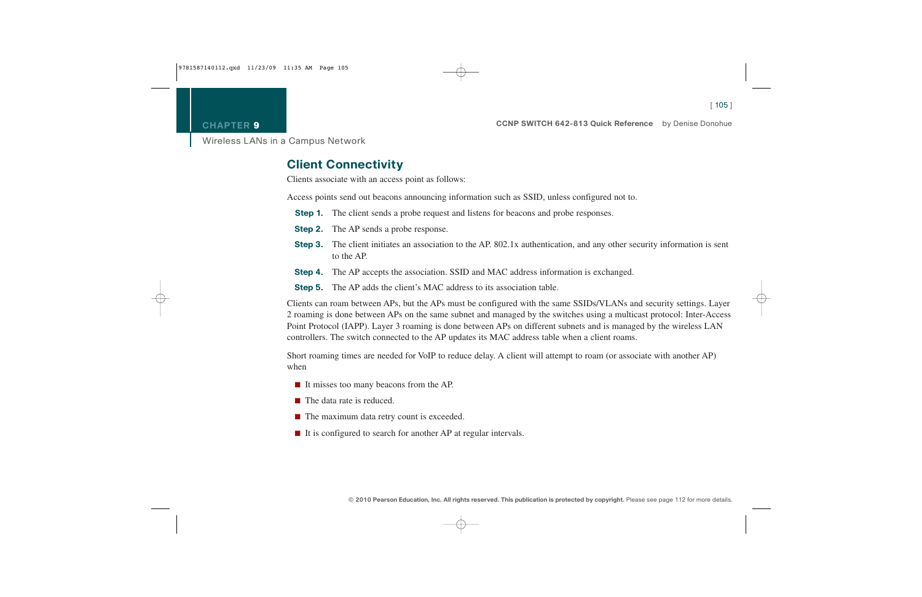Wireless LANs in a Campus Network

### **Client Connectivity**

Clients associate with an access point as follows:

Access points send out beacons announcing information such as SSID, unless configured not to.

- **Step 1.** The client sends a probe request and listens for beacons and probe responses.
- **Step 2.** The AP sends a probe response.
- **Step 3.** The client initiates an association to the AP. 802.1x authentication, and any other security information is sent to the AP.
- **Step 4.** The AP accepts the association. SSID and MAC address information is exchanged.
- **Step 5.** The AP adds the client's MAC address to its association table.

Clients can roam between APs, but the APs must be configured with the same SSIDs/VLANs and security settings. Layer 2 roaming is done between APs on the same subnet and managed by the switches using a multicast protocol: Inter-Access Point Protocol (IAPP). Layer 3 roaming is done between APs on different subnets and is managed by the wireless LAN controllers. The switch connected to the AP updates its MAC address table when a client roams.

Short roaming times are needed for VoIP to reduce delay. A client will attempt to roam (or associate with another AP) when

- $\blacksquare$  It misses too many beacons from the AP.
- $\blacksquare$  The data rate is reduced.
- The maximum data retry count is exceeded.
- $\blacksquare$  It is configured to search for another AP at regular intervals.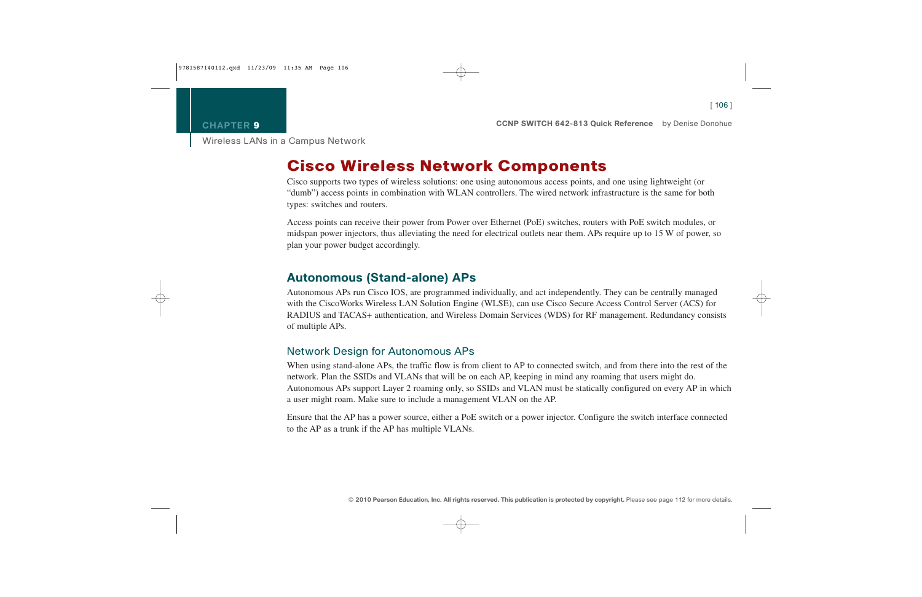[ 106 ]

Wireless LANs in a Campus Network

# Cisco Wireless Network Components

Cisco supports two types of wireless solutions: one using autonomous access points, and one using lightweight (or "dumb") access points in combination with WLAN controllers. The wired network infrastructure is the same for both types: switches and routers.

Access points can receive their power from Power over Ethernet (PoE) switches, routers with PoE switch modules, or midspan power injectors, thus alleviating the need for electrical outlets near them. APs require up to 15 W of power, so plan your power budget accordingly.

### **Autonomous (Stand-alone) APs**

Autonomous APs run Cisco IOS, are programmed individually, and act independently. They can be centrally managed with the CiscoWorks Wireless LAN Solution Engine (WLSE), can use Cisco Secure Access Control Server (ACS) for RADIUS and TACAS+ authentication, and Wireless Domain Services (WDS) for RF management. Redundancy consists of multiple APs.

### Network Design for Autonomous APs

When using stand-alone APs, the traffic flow is from client to AP to connected switch, and from there into the rest of the network. Plan the SSIDs and VLANs that will be on each AP, keeping in mind any roaming that users might do. Autonomous APs support Layer 2 roaming only, so SSIDs and VLAN must be statically configured on every AP in which a user might roam. Make sure to include a management VLAN on the AP.

Ensure that the AP has a power source, either a PoE switch or a power injector. Configure the switch interface connected to the AP as a trunk if the AP has multiple VLANs.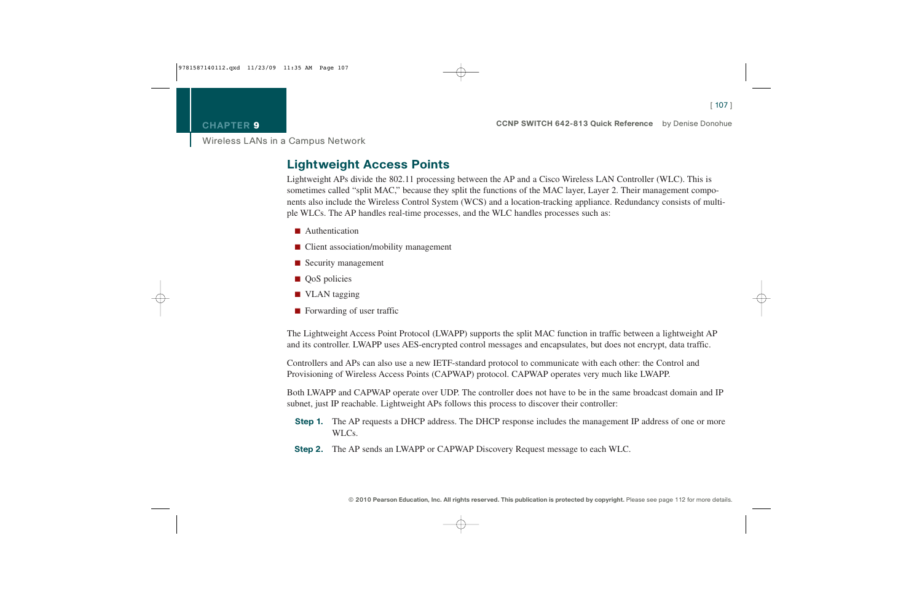[ 107 ]

Wireless LANs in a Campus Network

## **Lightweight Access Points**

Lightweight APs divide the 802.11 processing between the AP and a Cisco Wireless LAN Controller (WLC). This is sometimes called "split MAC," because they split the functions of the MAC layer, Layer 2. Their management components also include the Wireless Control System (WCS) and a location-tracking appliance. Redundancy consists of multiple WLCs. The AP handles real-time processes, and the WLC handles processes such as:

- $\blacksquare$  Authentication
- $\blacksquare$  Client association/mobility management
- $\blacksquare$  Security management
- $\Box$  QoS policies
- $\blacksquare$  VLAN tagging
- $\blacksquare$  Forwarding of user traffic

The Lightweight Access Point Protocol (LWAPP) supports the split MAC function in traffic between a lightweight AP and its controller. LWAPP uses AES-encrypted control messages and encapsulates, but does not encrypt, data traffic.

Controllers and APs can also use a new IETF-standard protocol to communicate with each other: the Control and Provisioning of Wireless Access Points (CAPWAP) protocol. CAPWAP operates very much like LWAPP.

Both LWAPP and CAPWAP operate over UDP. The controller does not have to be in the same broadcast domain and IP subnet, just IP reachable. Lightweight APs follows this process to discover their controller:

- **Step 1.** The AP requests a DHCP address. The DHCP response includes the management IP address of one or more WLCs.
- **Step 2.** The AP sends an LWAPP or CAPWAP Discovery Request message to each WLC.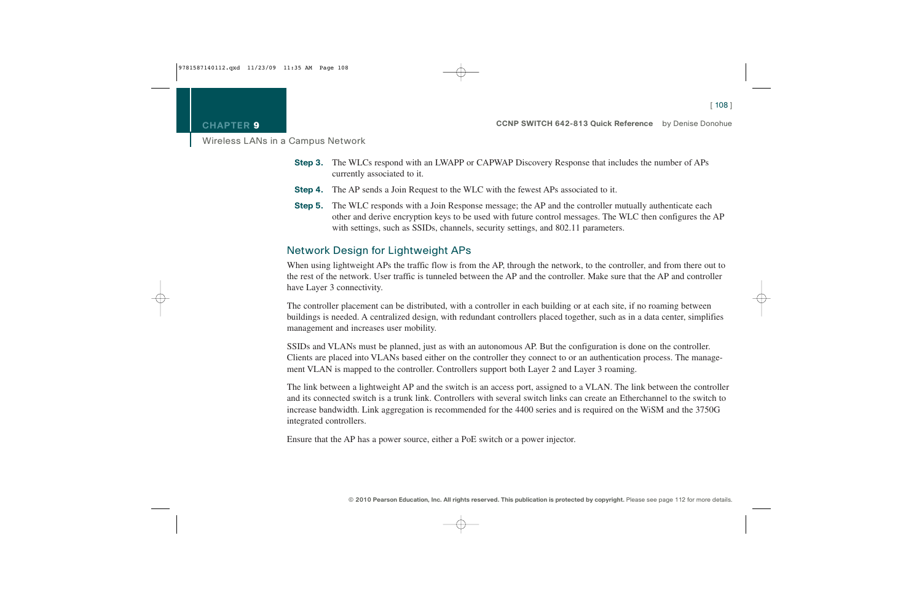[ 108 ]

Wireless LANs in a Campus Network

- **Step 3.** The WLCs respond with an LWAPP or CAPWAP Discovery Response that includes the number of APs currently associated to it.
- **Step 4.** The AP sends a Join Request to the WLC with the fewest APs associated to it.
- **Step 5.** The WLC responds with a Join Response message; the AP and the controller mutually authenticate each other and derive encryption keys to be used with future control messages. The WLC then configures the AP with settings, such as SSIDs, channels, security settings, and 802.11 parameters.

### Network Design for Lightweight APs

When using lightweight APs the traffic flow is from the AP, through the network, to the controller, and from there out to the rest of the network. User traffic is tunneled between the AP and the controller. Make sure that the AP and controller have Layer 3 connectivity.

The controller placement can be distributed, with a controller in each building or at each site, if no roaming between buildings is needed. A centralized design, with redundant controllers placed together, such as in a data center, simplifies management and increases user mobility.

SSIDs and VLANs must be planned, just as with an autonomous AP. But the configuration is done on the controller. Clients are placed into VLANs based either on the controller they connect to or an authentication process. The management VLAN is mapped to the controller. Controllers support both Layer 2 and Layer 3 roaming.

The link between a lightweight AP and the switch is an access port, assigned to a VLAN. The link between the controller and its connected switch is a trunk link. Controllers with several switch links can create an Etherchannel to the switch to increase bandwidth. Link aggregation is recommended for the 4400 series and is required on the WiSM and the 3750G integrated controllers.

Ensure that the AP has a power source, either a PoE switch or a power injector.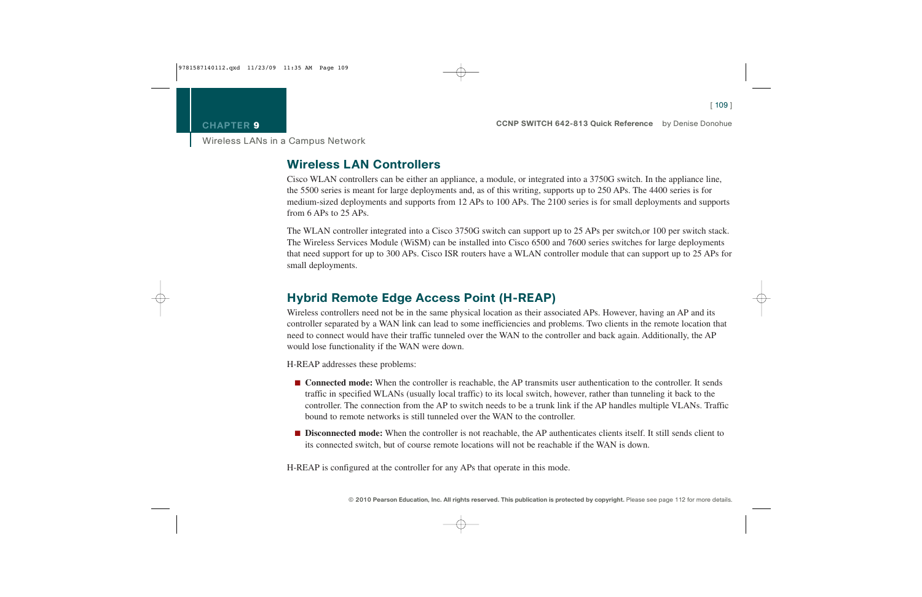[ 109 ]

Wireless LANs in a Campus Network

## **Wireless LAN Controllers**

Cisco WLAN controllers can be either an appliance, a module, or integrated into a 3750G switch. In the appliance line, the 5500 series is meant for large deployments and, as of this writing, supports up to 250 APs. The 4400 series is for medium-sized deployments and supports from 12 APs to 100 APs. The 2100 series is for small deployments and supports from 6 APs to 25 APs.

The WLAN controller integrated into a Cisco 3750G switch can support up to 25 APs per switch,or 100 per switch stack. The Wireless Services Module (WiSM) can be installed into Cisco 6500 and 7600 series switches for large deployments that need support for up to 300 APs. Cisco ISR routers have a WLAN controller module that can support up to 25 APs for small deployments.

# **Hybrid Remote Edge Access Point (H-REAP)**

Wireless controllers need not be in the same physical location as their associated APs. However, having an AP and its controller separated by a WAN link can lead to some inefficiencies and problems. Two clients in the remote location that need to connect would have their traffic tunneled over the WAN to the controller and back again. Additionally, the AP would lose functionality if the WAN were down.

H-REAP addresses these problems:

- **n Connected mode:** When the controller is reachable, the AP transmits user authentication to the controller. It sends traffic in specified WLANs (usually local traffic) to its local switch, however, rather than tunneling it back to the controller. The connection from the AP to switch needs to be a trunk link if the AP handles multiple VLANs. Traffic bound to remote networks is still tunneled over the WAN to the controller.
- **n Disconnected mode:** When the controller is not reachable, the AP authenticates clients itself. It still sends client to its connected switch, but of course remote locations will not be reachable if the WAN is down.

H-REAP is configured at the controller for any APs that operate in this mode.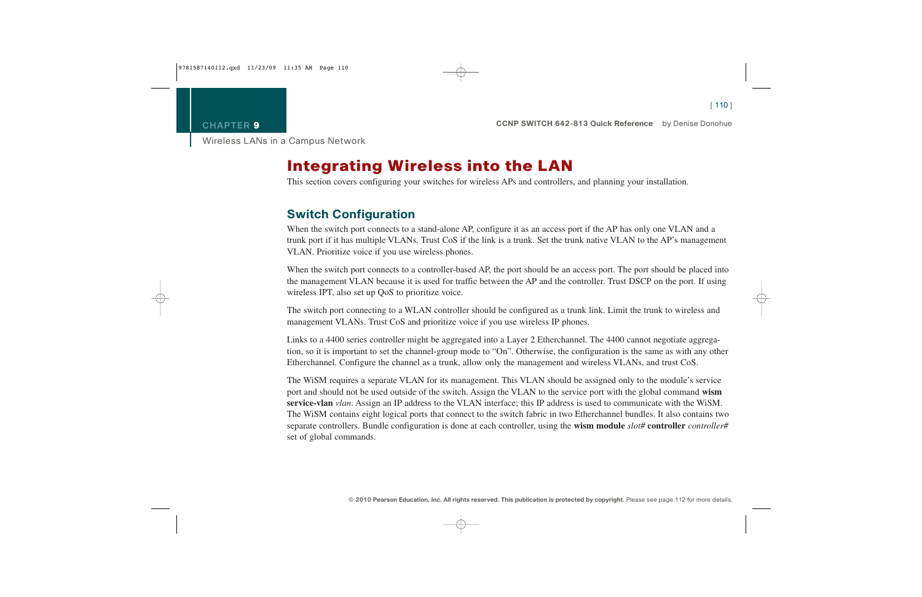Wireless LANs in a Campus Network

# Integrating Wireless into the LAN

This section covers configuring your switches for wireless APs and controllers, and planning your installation.

### **Switch Configuration**

When the switch port connects to a stand-alone AP, configure it as an access port if the AP has only one VLAN and a trunk port if it has multiple VLANs. Trust CoS if the link is a trunk. Set the trunk native VLAN to the AP's management VLAN. Prioritize voice if you use wireless phones.

When the switch port connects to a controller-based AP, the port should be an access port. The port should be placed into the management VLAN because it is used for traffic between the AP and the controller. Trust DSCP on the port. If using wireless IPT, also set up QoS to prioritize voice.

The switch port connecting to a WLAN controller should be configured as a trunk link. Limit the trunk to wireless and management VLANs. Trust CoS and prioritize voice if you use wireless IP phones.

Links to a 4400 series controller might be aggregated into a Layer 2 Etherchannel. The 4400 cannot negotiate aggregation, so it is important to set the channel-group mode to "On". Otherwise, the configuration is the same as with any other Etherchannel. Configure the channel as a trunk, allow only the management and wireless VLANs, and trust CoS.

The WiSM requires a separate VLAN for its management. This VLAN should be assigned only to the module's service port and should not be used outside of the switch. Assign the VLAN to the service port with the global command **wism service-vlan** *vlan*. Assign an IP address to the VLAN interface; this IP address is used to communicate with the WiSM. The WiSM contains eight logical ports that connect to the switch fabric in two Etherchannel bundles. It also contains two separate controllers. Bundle configuration is done at each controller, using the **wism module** *slot#* **controller** *controller#* set of global commands.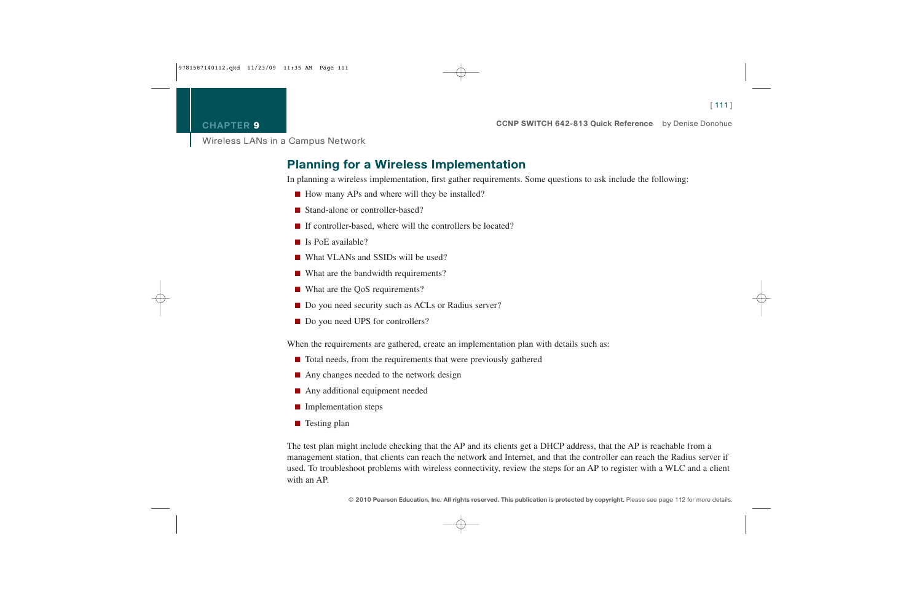**CHAPTER**  9

Wireless LANs in a Campus Network

### **Planning for a Wireless Implementation**

In planning a wireless implementation, first gather requirements. Some questions to ask include the following:

- $\blacksquare$  How many APs and where will they be installed?
- Stand-alone or controller-based?
- $\blacksquare$  If controller-based, where will the controllers be located?
- $\blacksquare$  Is PoE available?
- What VLANs and SSIDs will be used?
- What are the bandwidth requirements?
- What are the QoS requirements?
- Do you need security such as ACLs or Radius server?
- Do you need UPS for controllers?

When the requirements are gathered, create an implementation plan with details such as:

- $\blacksquare$  Total needs, from the requirements that were previously gathered
- $\blacksquare$  Any changes needed to the network design
- Any additional equipment needed
- $\blacksquare$  Implementation steps
- $\blacksquare$  Testing plan

The test plan might include checking that the AP and its clients get a DHCP address, that the AP is reachable from a management station, that clients can reach the network and Internet, and that the controller can reach the Radius server if used. To troubleshoot problems with wireless connectivity, review the steps for an AP to register with a WLC and a client with an AP.